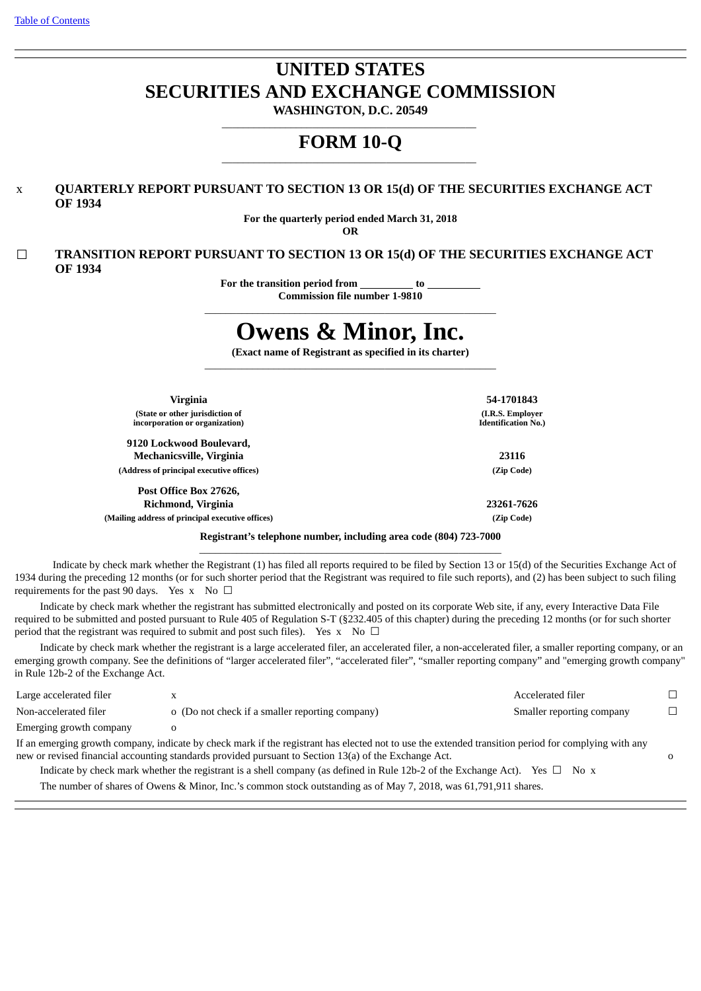# **UNITED STATES SECURITIES AND EXCHANGE COMMISSION**

**WASHINGTON, D.C. 20549** \_\_\_\_\_\_\_\_\_\_\_\_\_\_\_\_\_\_\_\_\_\_\_\_\_\_\_\_\_\_\_\_\_\_\_\_\_\_\_\_\_\_\_\_\_\_\_\_

## **FORM 10-Q** \_\_\_\_\_\_\_\_\_\_\_\_\_\_\_\_\_\_\_\_\_\_\_\_\_\_\_\_\_\_\_\_\_\_\_\_\_\_\_\_\_\_\_\_\_\_\_\_

### x **QUARTERLY REPORT PURSUANT TO SECTION 13 OR 15(d) OF THE SECURITIES EXCHANGE ACT OF 1934**

**For the quarterly period ended March 31, 2018 OR**

☐ **TRANSITION REPORT PURSUANT TO SECTION 13 OR 15(d) OF THE SECURITIES EXCHANGE ACT OF 1934**

**For the transition period from to**

**Commission file number 1-9810** \_\_\_\_\_\_\_\_\_\_\_\_\_\_\_\_\_\_\_\_\_\_\_\_\_\_\_\_\_\_\_\_\_\_\_\_\_\_\_\_\_\_\_\_\_\_\_\_\_\_\_\_\_\_\_

# **Owens & Minor, Inc.**

**(Exact name of Registrant as specified in its charter)** \_\_\_\_\_\_\_\_\_\_\_\_\_\_\_\_\_\_\_\_\_\_\_\_\_\_\_\_\_\_\_\_\_\_\_\_\_\_\_\_\_\_\_\_\_\_\_\_\_\_\_\_\_\_\_

| Virginia                                                          | 54-1701843                                     |
|-------------------------------------------------------------------|------------------------------------------------|
| (State or other jurisdiction of<br>incorporation or organization) | (I.R.S. Employer<br><b>Identification No.)</b> |
| 9120 Lockwood Boulevard.                                          |                                                |
| Mechanicsville, Virginia                                          | 23116                                          |
| (Address of principal executive offices)                          | (Zip Code)                                     |
| Post Office Box 27626,                                            |                                                |
| Richmond, Virginia                                                | 23261-7626                                     |
| (Mailing address of principal executive offices)                  | (Zip Code)                                     |
|                                                                   |                                                |

**Registrant's telephone number, including area code (804) 723-7000** \_\_\_\_\_\_\_\_\_\_\_\_\_\_\_\_\_\_\_\_\_\_\_\_\_\_\_\_\_\_\_\_\_\_\_\_\_\_\_\_\_\_\_\_\_\_\_\_\_\_\_\_\_\_\_\_\_

Indicate by check mark whether the Registrant (1) has filed all reports required to be filed by Section 13 or 15(d) of the Securities Exchange Act of 1934 during the preceding 12 months (or for such shorter period that the Registrant was required to file such reports), and (2) has been subject to such filing requirements for the past 90 days. Yes x No  $\Box$ 

Indicate by check mark whether the registrant has submitted electronically and posted on its corporate Web site, if any, every Interactive Data File required to be submitted and posted pursuant to Rule 405 of Regulation S-T (§232.405 of this chapter) during the preceding 12 months (or for such shorter period that the registrant was required to submit and post such files). Yes  $x$  No  $\Box$ 

Indicate by check mark whether the registrant is a large accelerated filer, an accelerated filer, a non-accelerated filer, a smaller reporting company, or an emerging growth company. See the definitions of "larger accelerated filer", "accelerated filer", "smaller reporting company" and "emerging growth company" in Rule 12b-2 of the Exchange Act.

| Large accelerated filer                                                                                                                              |                                                 | Accelerated filer         |  |  |  |  |  |
|------------------------------------------------------------------------------------------------------------------------------------------------------|-------------------------------------------------|---------------------------|--|--|--|--|--|
| Non-accelerated filer                                                                                                                                | o (Do not check if a smaller reporting company) | Smaller reporting company |  |  |  |  |  |
| Emerging growth company                                                                                                                              |                                                 |                           |  |  |  |  |  |
| If an emerging growth company, indicate by check mark if the registrant has elected not to use the extended transition period for complying with any |                                                 |                           |  |  |  |  |  |
| new or revised financial accounting standards provided pursuant to Section 13(a) of the Exchange Act.                                                |                                                 |                           |  |  |  |  |  |

Indicate by check mark whether the registrant is a shell company (as defined in Rule 12b-2 of the Exchange Act). Yes  $\Box$  No x

The number of shares of Owens & Minor, Inc.'s common stock outstanding as of May 7, 2018, was 61,791,911 shares.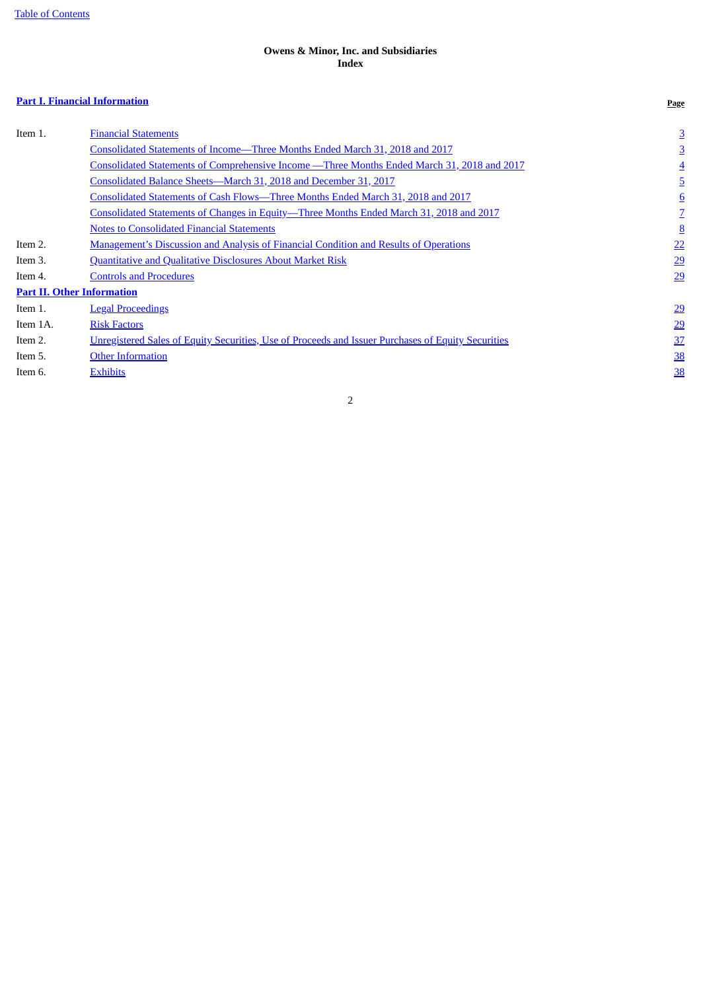## **Owens & Minor, Inc. and Subsidiaries Index**

## <span id="page-1-0"></span>**Part I. Financial [Information](#page-2-0) Page**

| Item 1.  | <b>Financial Statements</b>                                                                        | $\overline{3}$  |
|----------|----------------------------------------------------------------------------------------------------|-----------------|
|          | Consolidated Statements of Income—Three Months Ended March 31, 2018 and 2017                       |                 |
|          | <u>Consolidated Statements of Comprehensive Income —Three Months Ended March 31, 2018 and 2017</u> | $\overline{4}$  |
|          | Consolidated Balance Sheets-March 31, 2018 and December 31, 2017                                   | <u>5</u>        |
|          | Consolidated Statements of Cash Flows—Three Months Ended March 31, 2018 and 2017                   | $6\phantom{1}6$ |
|          | <u>Consolidated Statements of Changes in Equity-Three Months Ended March 31, 2018 and 2017</u>     |                 |
|          | <b>Notes to Consolidated Financial Statements</b>                                                  | 8               |
| Item 2.  | <u>Management's Discussion and Analysis of Financial Condition and Results of Operations</u>       | 22              |
| Item 3.  | <b>Quantitative and Qualitative Disclosures About Market Risk</b>                                  | 29              |
| Item 4.  | <b>Controls and Procedures</b>                                                                     | 29              |
|          | <b>Part II. Other Information</b>                                                                  |                 |
| Item 1.  | <b>Legal Proceedings</b>                                                                           | 29              |
| Item 1A. | <b>Risk Factors</b>                                                                                | 29              |
| Item 2.  | Unregistered Sales of Equity Securities, Use of Proceeds and Issuer Purchases of Equity Securities | 37              |
| Item 5.  | <b>Other Information</b>                                                                           | <u>38</u>       |
| Item 6.  | <b>Exhibits</b>                                                                                    | <u>38</u>       |
|          |                                                                                                    |                 |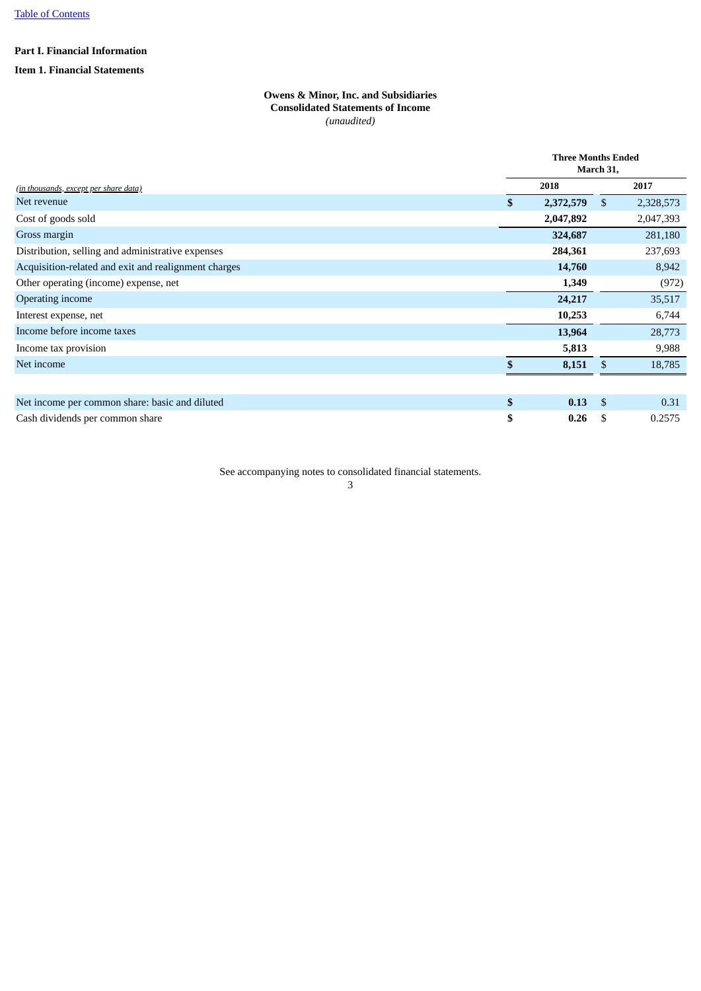## <span id="page-2-0"></span>**Part I. Financial Information**

## <span id="page-2-2"></span><span id="page-2-1"></span>**Item 1. Financial Statements**

#### **Owens & Minor, Inc. and Subsidiaries Consolidated Statements of Income** *(unaudited)*

|                                                      | <b>Three Months Ended</b><br>March 31, |           |                |           |
|------------------------------------------------------|----------------------------------------|-----------|----------------|-----------|
| (in thousands, except per share data)                |                                        | 2018      |                | 2017      |
| Net revenue                                          | \$                                     | 2,372,579 | $\mathfrak{S}$ | 2,328,573 |
| Cost of goods sold                                   |                                        | 2,047,892 |                | 2,047,393 |
| Gross margin                                         |                                        | 324,687   |                | 281,180   |
| Distribution, selling and administrative expenses    |                                        | 284,361   |                | 237,693   |
| Acquisition-related and exit and realignment charges |                                        | 14,760    |                | 8,942     |
| Other operating (income) expense, net                |                                        | 1,349     |                | (972)     |
| Operating income                                     |                                        | 24,217    |                | 35,517    |
| Interest expense, net                                |                                        | 10,253    |                | 6,744     |
| Income before income taxes                           |                                        | 13,964    |                | 28,773    |
| Income tax provision                                 |                                        | 5,813     |                | 9,988     |
| Net income                                           |                                        | 8,151     | \$.            | 18,785    |
|                                                      |                                        |           |                |           |
| Net income per common share: basic and diluted       | \$                                     | 0.13      | $\mathfrak{S}$ | 0.31      |
| Cash dividends per common share                      | \$                                     | 0.26      | \$.            | 0.2575    |

See accompanying notes to consolidated financial statements.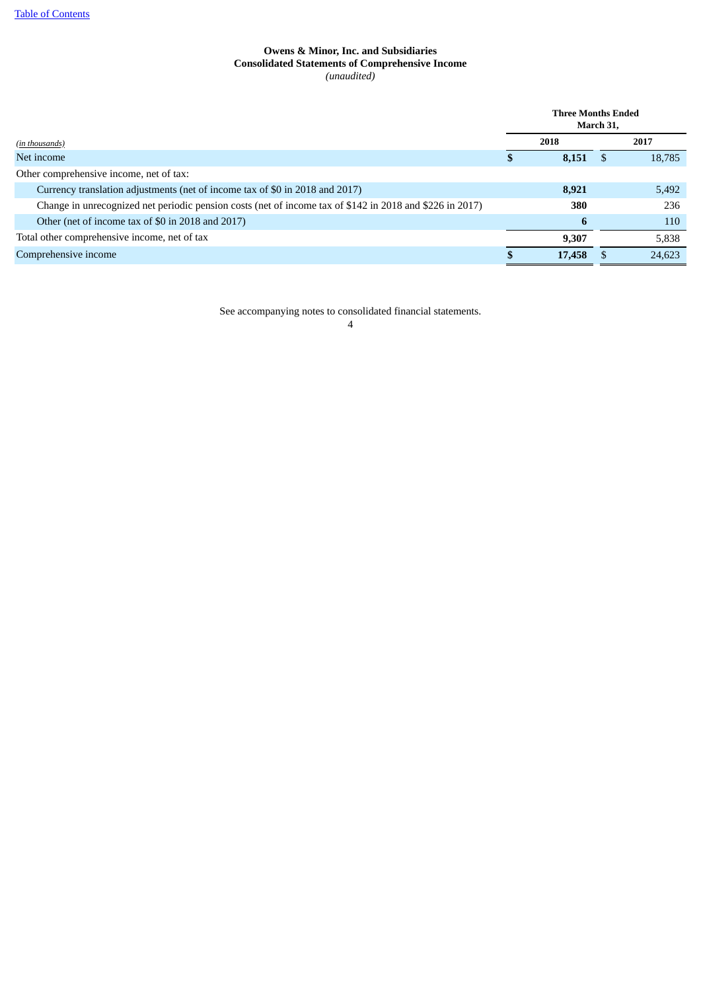#### **Owens & Minor, Inc. and Subsidiaries Consolidated Statements of Comprehensive Income** *(unaudited)*

<span id="page-3-0"></span>

|                                                                                                          |        | <b>Three Months Ended</b><br>March 31, |        |  |  |
|----------------------------------------------------------------------------------------------------------|--------|----------------------------------------|--------|--|--|
| (in thousands)                                                                                           | 2018   |                                        | 2017   |  |  |
| Net income                                                                                               | 8,151  |                                        | 18,785 |  |  |
| Other comprehensive income, net of tax:                                                                  |        |                                        |        |  |  |
| Currency translation adjustments (net of income tax of \$0 in 2018 and 2017)                             | 8.921  |                                        | 5,492  |  |  |
| Change in unrecognized net periodic pension costs (net of income tax of \$142 in 2018 and \$226 in 2017) | 380    |                                        | 236    |  |  |
| Other (net of income tax of \$0 in 2018 and 2017)                                                        | 6      |                                        | 110    |  |  |
| Total other comprehensive income, net of tax                                                             | 9.307  |                                        | 5,838  |  |  |
| Comprehensive income                                                                                     | 17,458 |                                        | 24,623 |  |  |

See accompanying notes to consolidated financial statements.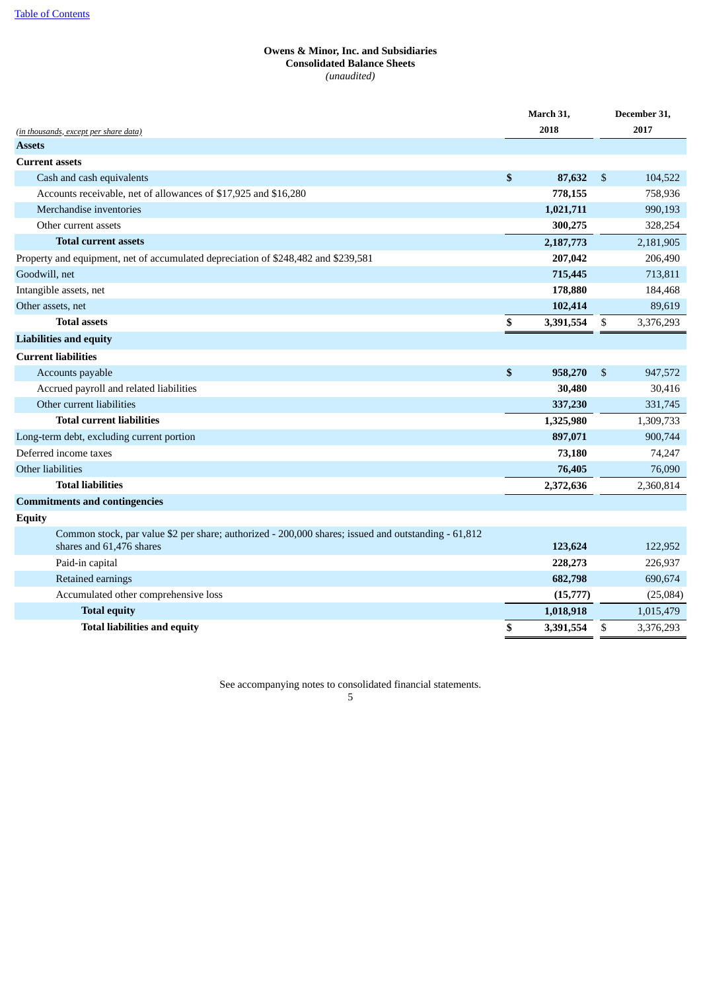#### **Owens & Minor, Inc. and Subsidiaries Consolidated Balance Sheets** *(unaudited)*

<span id="page-4-0"></span>

|                                                                                                                                 | March 31, |           |    | December 31, |  |  |
|---------------------------------------------------------------------------------------------------------------------------------|-----------|-----------|----|--------------|--|--|
| (in thousands, except per share data)                                                                                           | 2018      |           |    | 2017         |  |  |
| <b>Assets</b>                                                                                                                   |           |           |    |              |  |  |
| <b>Current assets</b>                                                                                                           |           |           |    |              |  |  |
| Cash and cash equivalents                                                                                                       | \$        | 87,632    | \$ | 104,522      |  |  |
| Accounts receivable, net of allowances of \$17,925 and \$16,280                                                                 |           | 778,155   |    | 758,936      |  |  |
| Merchandise inventories                                                                                                         |           | 1,021,711 |    | 990,193      |  |  |
| Other current assets                                                                                                            |           | 300,275   |    | 328,254      |  |  |
| <b>Total current assets</b>                                                                                                     |           | 2,187,773 |    | 2,181,905    |  |  |
| Property and equipment, net of accumulated depreciation of \$248,482 and \$239,581                                              |           | 207,042   |    | 206,490      |  |  |
| Goodwill, net                                                                                                                   |           | 715,445   |    | 713,811      |  |  |
| Intangible assets, net                                                                                                          |           | 178,880   |    | 184,468      |  |  |
| Other assets, net                                                                                                               |           | 102,414   |    | 89,619       |  |  |
| <b>Total assets</b>                                                                                                             | \$        | 3,391,554 | \$ | 3,376,293    |  |  |
| <b>Liabilities and equity</b>                                                                                                   |           |           |    |              |  |  |
| <b>Current liabilities</b>                                                                                                      |           |           |    |              |  |  |
| Accounts payable                                                                                                                | \$        | 958,270   | \$ | 947,572      |  |  |
| Accrued payroll and related liabilities                                                                                         |           | 30,480    |    | 30,416       |  |  |
| Other current liabilities                                                                                                       |           | 337,230   |    | 331,745      |  |  |
| <b>Total current liabilities</b>                                                                                                |           | 1,325,980 |    | 1,309,733    |  |  |
| Long-term debt, excluding current portion                                                                                       |           | 897,071   |    | 900,744      |  |  |
| Deferred income taxes                                                                                                           |           | 73,180    |    | 74,247       |  |  |
| Other liabilities                                                                                                               |           | 76,405    |    | 76,090       |  |  |
| <b>Total liabilities</b>                                                                                                        |           | 2,372,636 |    | 2,360,814    |  |  |
| <b>Commitments and contingencies</b>                                                                                            |           |           |    |              |  |  |
| <b>Equity</b>                                                                                                                   |           |           |    |              |  |  |
| Common stock, par value \$2 per share; authorized - 200,000 shares; issued and outstanding - 61,812<br>shares and 61,476 shares |           | 123,624   |    | 122,952      |  |  |
| Paid-in capital                                                                                                                 |           | 228,273   |    | 226,937      |  |  |
| Retained earnings                                                                                                               |           | 682,798   |    | 690,674      |  |  |
| Accumulated other comprehensive loss                                                                                            |           | (15, 777) |    | (25,084)     |  |  |
| <b>Total equity</b>                                                                                                             |           | 1,018,918 |    | 1,015,479    |  |  |
| <b>Total liabilities and equity</b>                                                                                             | \$        | 3,391,554 | \$ | 3,376,293    |  |  |
|                                                                                                                                 |           |           |    |              |  |  |

See accompanying notes to consolidated financial statements.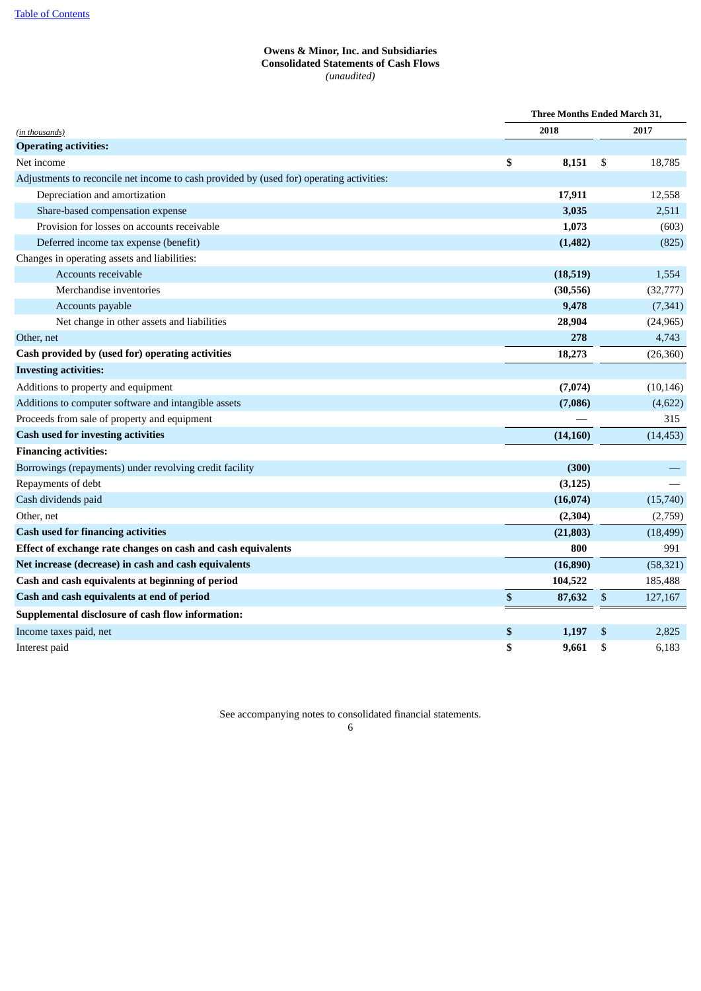#### **Owens & Minor, Inc. and Subsidiaries Consolidated Statements of Cash Flows** *(unaudited)*

<span id="page-5-0"></span>

|                                                                                          | Three Months Ended March 31, |           |      |           |  |  |  |
|------------------------------------------------------------------------------------------|------------------------------|-----------|------|-----------|--|--|--|
| (in thousands)                                                                           |                              | 2018      | 2017 |           |  |  |  |
| <b>Operating activities:</b>                                                             |                              |           |      |           |  |  |  |
| Net income                                                                               | \$                           | 8,151     | \$   | 18,785    |  |  |  |
| Adjustments to reconcile net income to cash provided by (used for) operating activities: |                              |           |      |           |  |  |  |
| Depreciation and amortization                                                            |                              | 17,911    |      | 12,558    |  |  |  |
| Share-based compensation expense                                                         |                              | 3,035     |      | 2,511     |  |  |  |
| Provision for losses on accounts receivable                                              |                              | 1,073     |      | (603)     |  |  |  |
| Deferred income tax expense (benefit)                                                    |                              | (1,482)   |      | (825)     |  |  |  |
| Changes in operating assets and liabilities:                                             |                              |           |      |           |  |  |  |
| Accounts receivable                                                                      |                              | (18, 519) |      | 1,554     |  |  |  |
| Merchandise inventories                                                                  |                              | (30, 556) |      | (32, 777) |  |  |  |
| Accounts payable                                                                         |                              | 9,478     |      | (7, 341)  |  |  |  |
| Net change in other assets and liabilities                                               |                              | 28,904    |      | (24, 965) |  |  |  |
| Other, net                                                                               |                              | 278       |      | 4,743     |  |  |  |
| Cash provided by (used for) operating activities                                         |                              | 18,273    |      | (26, 360) |  |  |  |
| <b>Investing activities:</b>                                                             |                              |           |      |           |  |  |  |
| Additions to property and equipment                                                      |                              | (7,074)   |      | (10, 146) |  |  |  |
| Additions to computer software and intangible assets                                     |                              | (7,086)   |      | (4,622)   |  |  |  |
| Proceeds from sale of property and equipment                                             |                              |           |      | 315       |  |  |  |
| <b>Cash used for investing activities</b>                                                |                              | (14, 160) |      | (14, 453) |  |  |  |
| <b>Financing activities:</b>                                                             |                              |           |      |           |  |  |  |
| Borrowings (repayments) under revolving credit facility                                  |                              | (300)     |      |           |  |  |  |
| Repayments of debt                                                                       |                              | (3, 125)  |      |           |  |  |  |
| Cash dividends paid                                                                      |                              | (16, 074) |      | (15,740)  |  |  |  |
| Other, net                                                                               |                              | (2, 304)  |      | (2,759)   |  |  |  |
| <b>Cash used for financing activities</b>                                                |                              | (21, 803) |      | (18, 499) |  |  |  |
| Effect of exchange rate changes on cash and cash equivalents                             |                              | 800       |      | 991       |  |  |  |
| Net increase (decrease) in cash and cash equivalents                                     |                              | (16, 890) |      | (58, 321) |  |  |  |
| Cash and cash equivalents at beginning of period                                         |                              | 104,522   |      | 185,488   |  |  |  |
| Cash and cash equivalents at end of period                                               | \$                           | 87,632    | \$   | 127,167   |  |  |  |
| Supplemental disclosure of cash flow information:                                        |                              |           |      |           |  |  |  |
| Income taxes paid, net                                                                   | \$                           | 1,197     | \$   | 2,825     |  |  |  |
| Interest paid                                                                            | \$                           | 9,661     | \$   | 6,183     |  |  |  |

See accompanying notes to consolidated financial statements.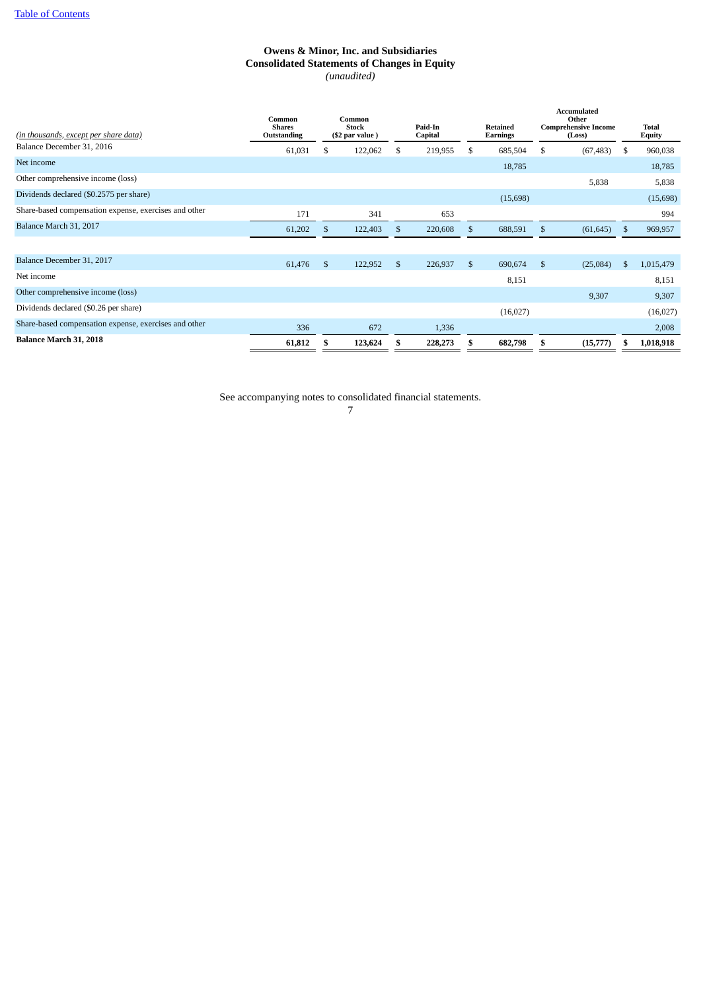#### **Owens & Minor, Inc. and Subsidiaries Consolidated Statements of Changes in Equity** *(unaudited)*

<span id="page-6-0"></span>

|                                                       | Common<br><b>Shares</b> |              | Common<br><b>Stock</b> |              | Paid-In |    | <b>Retained</b> |                | <b>Accumulated</b><br>Other<br><b>Comprehensive Income</b> |                | <b>Total</b> |
|-------------------------------------------------------|-------------------------|--------------|------------------------|--------------|---------|----|-----------------|----------------|------------------------------------------------------------|----------------|--------------|
| (in thousands, except per share data)                 | Outstanding             |              | (\$2 par value)        |              | Capital |    | <b>Earnings</b> |                | (Loss)                                                     |                | Equity       |
| Balance December 31, 2016                             | 61,031                  | \$           | 122,062                | \$           | 219,955 | £. | 685,504         | S              | (67, 483)                                                  | \$             | 960,038      |
| Net income                                            |                         |              |                        |              |         |    | 18,785          |                |                                                            |                | 18,785       |
| Other comprehensive income (loss)                     |                         |              |                        |              |         |    |                 |                | 5,838                                                      |                | 5,838        |
| Dividends declared (\$0.2575 per share)               |                         |              |                        |              |         |    | (15,698)        |                |                                                            |                | (15,698)     |
| Share-based compensation expense, exercises and other | 171                     |              | 341                    |              | 653     |    |                 |                |                                                            |                | 994          |
| Balance March 31, 2017                                | 61,202                  | S            | 122,403                | \$           | 220,608 | .S | 688,591         | S              | (61, 645)                                                  | \$             | 969,957      |
|                                                       |                         |              |                        |              |         |    |                 |                |                                                            |                |              |
| Balance December 31, 2017                             | 61,476                  | $\mathbb{S}$ | 122,952                | $\mathbb{S}$ | 226,937 | \$ | 690,674         | $\mathfrak{s}$ | (25,084)                                                   | $\mathfrak{S}$ | 1,015,479    |
| Net income                                            |                         |              |                        |              |         |    | 8,151           |                |                                                            |                | 8,151        |
| Other comprehensive income (loss)                     |                         |              |                        |              |         |    |                 |                | 9,307                                                      |                | 9,307        |
| Dividends declared (\$0.26 per share)                 |                         |              |                        |              |         |    | (16,027)        |                |                                                            |                | (16,027)     |
| Share-based compensation expense, exercises and other | 336                     |              | 672                    |              | 1,336   |    |                 |                |                                                            |                | 2,008        |
| Balance March 31, 2018                                | 61,812                  |              | 123,624                | S            | 228,273 | X. | 682,798         | S              | (15, 777)                                                  | \$             | 1,018,918    |

See accompanying notes to consolidated financial statements.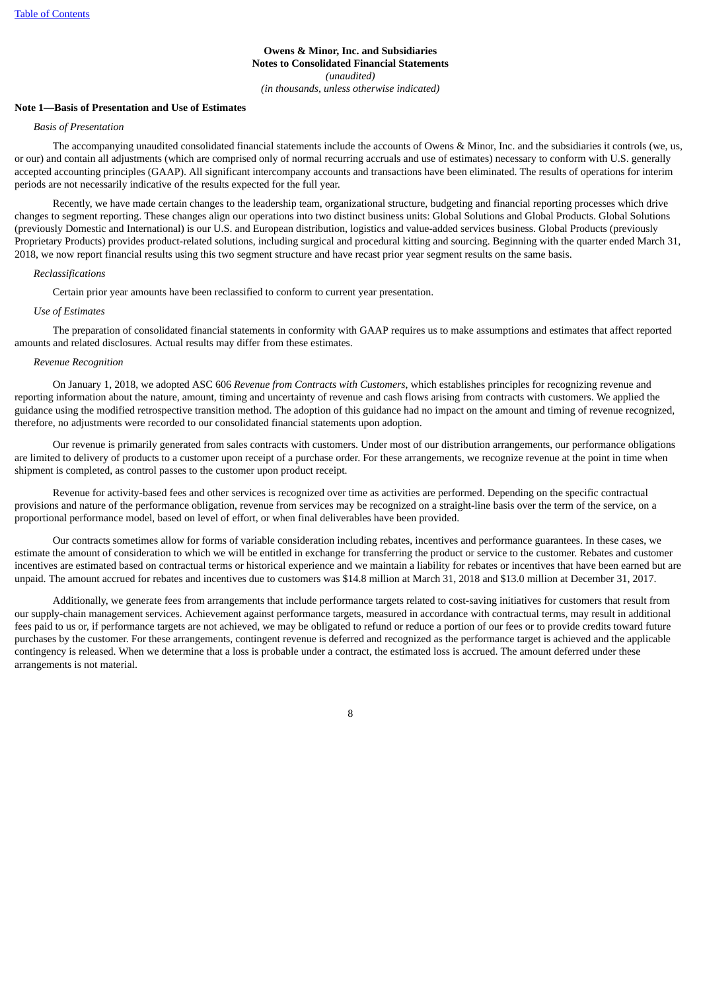## **Owens & Minor, Inc. and Subsidiaries Notes to Consolidated Financial Statements** *(unaudited) (in thousands, unless otherwise indicated)*

#### <span id="page-7-0"></span>**Note 1—Basis of Presentation and Use of Estimates**

#### *Basis of Presentation*

The accompanying unaudited consolidated financial statements include the accounts of Owens & Minor, Inc. and the subsidiaries it controls (we, us, or our) and contain all adjustments (which are comprised only of normal recurring accruals and use of estimates) necessary to conform with U.S. generally accepted accounting principles (GAAP). All significant intercompany accounts and transactions have been eliminated. The results of operations for interim periods are not necessarily indicative of the results expected for the full year.

Recently, we have made certain changes to the leadership team, organizational structure, budgeting and financial reporting processes which drive changes to segment reporting. These changes align our operations into two distinct business units: Global Solutions and Global Products. Global Solutions (previously Domestic and International) is our U.S. and European distribution, logistics and value-added services business. Global Products (previously Proprietary Products) provides product-related solutions, including surgical and procedural kitting and sourcing. Beginning with the quarter ended March 31, 2018, we now report financial results using this two segment structure and have recast prior year segment results on the same basis.

#### *Reclassifications*

Certain prior year amounts have been reclassified to conform to current year presentation.

#### *Use of Estimates*

The preparation of consolidated financial statements in conformity with GAAP requires us to make assumptions and estimates that affect reported amounts and related disclosures. Actual results may differ from these estimates.

#### *Revenue Recognition*

On January 1, 2018, we adopted ASC 606 *Revenue from Contracts with Customers*, which establishes principles for recognizing revenue and reporting information about the nature, amount, timing and uncertainty of revenue and cash flows arising from contracts with customers. We applied the guidance using the modified retrospective transition method. The adoption of this guidance had no impact on the amount and timing of revenue recognized, therefore, no adjustments were recorded to our consolidated financial statements upon adoption.

Our revenue is primarily generated from sales contracts with customers. Under most of our distribution arrangements, our performance obligations are limited to delivery of products to a customer upon receipt of a purchase order. For these arrangements, we recognize revenue at the point in time when shipment is completed, as control passes to the customer upon product receipt.

Revenue for activity-based fees and other services is recognized over time as activities are performed. Depending on the specific contractual provisions and nature of the performance obligation, revenue from services may be recognized on a straight-line basis over the term of the service, on a proportional performance model, based on level of effort, or when final deliverables have been provided.

Our contracts sometimes allow for forms of variable consideration including rebates, incentives and performance guarantees. In these cases, we estimate the amount of consideration to which we will be entitled in exchange for transferring the product or service to the customer. Rebates and customer incentives are estimated based on contractual terms or historical experience and we maintain a liability for rebates or incentives that have been earned but are unpaid. The amount accrued for rebates and incentives due to customers was \$14.8 million at March 31, 2018 and \$13.0 million at December 31, 2017.

Additionally, we generate fees from arrangements that include performance targets related to cost-saving initiatives for customers that result from our supply-chain management services. Achievement against performance targets, measured in accordance with contractual terms, may result in additional fees paid to us or, if performance targets are not achieved, we may be obligated to refund or reduce a portion of our fees or to provide credits toward future purchases by the customer. For these arrangements, contingent revenue is deferred and recognized as the performance target is achieved and the applicable contingency is released. When we determine that a loss is probable under a contract, the estimated loss is accrued. The amount deferred under these arrangements is not material.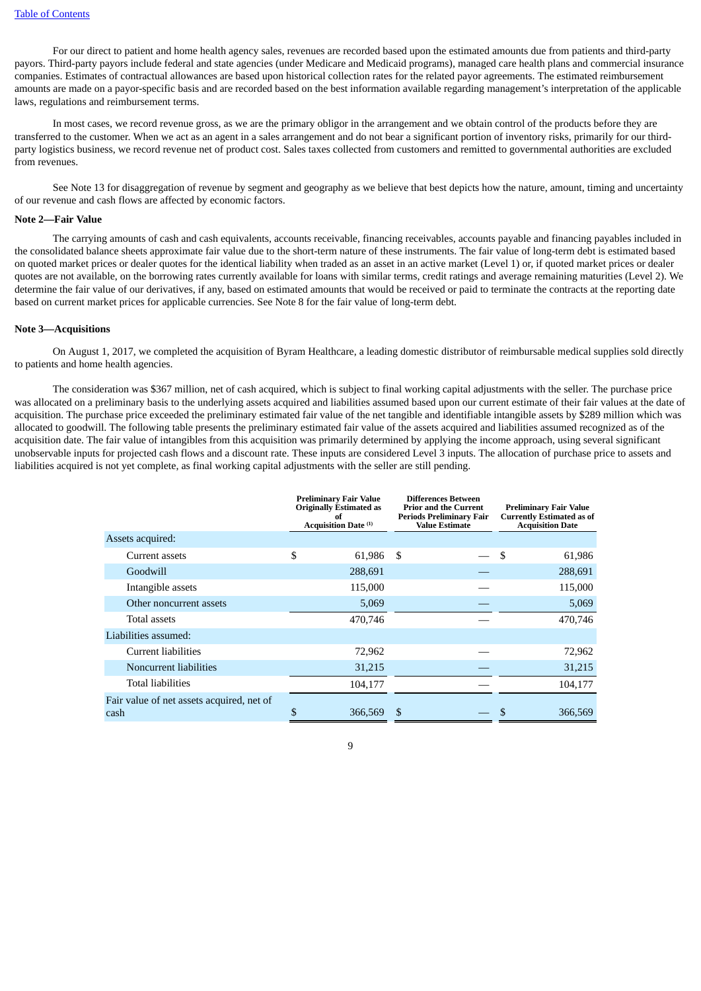For our direct to patient and home health agency sales, revenues are recorded based upon the estimated amounts due from patients and third-party payors. Third-party payors include federal and state agencies (under Medicare and Medicaid programs), managed care health plans and commercial insurance companies. Estimates of contractual allowances are based upon historical collection rates for the related payor agreements. The estimated reimbursement amounts are made on a payor-specific basis and are recorded based on the best information available regarding management's interpretation of the applicable laws, regulations and reimbursement terms.

In most cases, we record revenue gross, as we are the primary obligor in the arrangement and we obtain control of the products before they are transferred to the customer. When we act as an agent in a sales arrangement and do not bear a significant portion of inventory risks, primarily for our thirdparty logistics business, we record revenue net of product cost. Sales taxes collected from customers and remitted to governmental authorities are excluded from revenues.

See Note 13 for disaggregation of revenue by segment and geography as we believe that best depicts how the nature, amount, timing and uncertainty of our revenue and cash flows are affected by economic factors.

#### **Note 2—Fair Value**

The carrying amounts of cash and cash equivalents, accounts receivable, financing receivables, accounts payable and financing payables included in the consolidated balance sheets approximate fair value due to the short-term nature of these instruments. The fair value of long-term debt is estimated based on quoted market prices or dealer quotes for the identical liability when traded as an asset in an active market (Level 1) or, if quoted market prices or dealer quotes are not available, on the borrowing rates currently available for loans with similar terms, credit ratings and average remaining maturities (Level 2). We determine the fair value of our derivatives, if any, based on estimated amounts that would be received or paid to terminate the contracts at the reporting date based on current market prices for applicable currencies. See Note 8 for the fair value of long-term debt.

#### **Note 3—Acquisitions**

On August 1, 2017, we completed the acquisition of Byram Healthcare, a leading domestic distributor of reimbursable medical supplies sold directly to patients and home health agencies.

The consideration was \$367 million, net of cash acquired, which is subject to final working capital adjustments with the seller. The purchase price was allocated on a preliminary basis to the underlying assets acquired and liabilities assumed based upon our current estimate of their fair values at the date of acquisition. The purchase price exceeded the preliminary estimated fair value of the net tangible and identifiable intangible assets by \$289 million which was allocated to goodwill. The following table presents the preliminary estimated fair value of the assets acquired and liabilities assumed recognized as of the acquisition date. The fair value of intangibles from this acquisition was primarily determined by applying the income approach, using several significant unobservable inputs for projected cash flows and a discount rate. These inputs are considered Level 3 inputs. The allocation of purchase price to assets and liabilities acquired is not yet complete, as final working capital adjustments with the seller are still pending.

|                                                   | <b>Preliminary Fair Value</b><br><b>Originally Estimated as</b><br>of<br><b>Acquisition Date (1)</b> | <b>Differences Between</b><br><b>Prior and the Current</b><br><b>Periods Preliminary Fair</b><br><b>Value Estimate</b> | Preliminary Fair Value<br><b>Currently Estimated as of</b><br><b>Acquisition Date</b> |
|---------------------------------------------------|------------------------------------------------------------------------------------------------------|------------------------------------------------------------------------------------------------------------------------|---------------------------------------------------------------------------------------|
| Assets acquired:                                  |                                                                                                      |                                                                                                                        |                                                                                       |
| Current assets                                    | \$<br>61,986                                                                                         | \$                                                                                                                     | S<br>61,986                                                                           |
| Goodwill                                          | 288,691                                                                                              |                                                                                                                        | 288,691                                                                               |
| Intangible assets                                 | 115,000                                                                                              |                                                                                                                        | 115,000                                                                               |
| Other noncurrent assets                           | 5,069                                                                                                |                                                                                                                        | 5,069                                                                                 |
| Total assets                                      | 470,746                                                                                              |                                                                                                                        | 470,746                                                                               |
| Liabilities assumed:                              |                                                                                                      |                                                                                                                        |                                                                                       |
| Current liabilities                               | 72,962                                                                                               |                                                                                                                        | 72,962                                                                                |
| Noncurrent liabilities                            | 31,215                                                                                               |                                                                                                                        | 31,215                                                                                |
| <b>Total liabilities</b>                          | 104,177                                                                                              |                                                                                                                        | 104,177                                                                               |
| Fair value of net assets acquired, net of<br>cash | \$<br>366,569                                                                                        | S                                                                                                                      | \$<br>366,569                                                                         |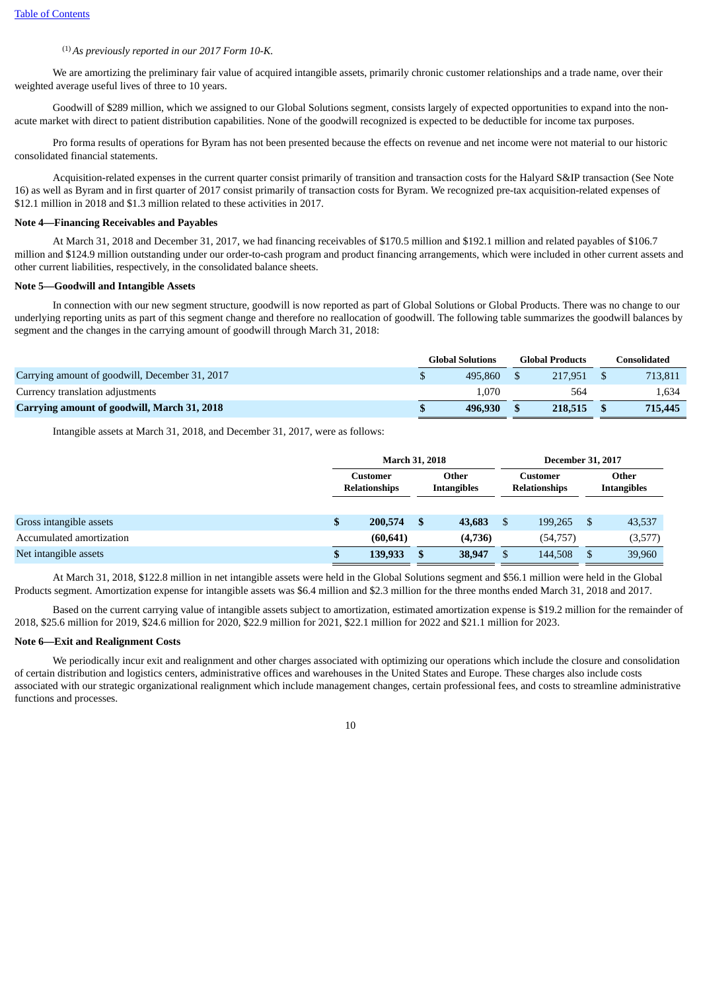(1) *As previously reported in our 2017 Form 10-K.*

We are amortizing the preliminary fair value of acquired intangible assets, primarily chronic customer relationships and a trade name, over their weighted average useful lives of three to 10 years.

Goodwill of \$289 million, which we assigned to our Global Solutions segment, consists largely of expected opportunities to expand into the nonacute market with direct to patient distribution capabilities. None of the goodwill recognized is expected to be deductible for income tax purposes.

Pro forma results of operations for Byram has not been presented because the effects on revenue and net income were not material to our historic consolidated financial statements.

Acquisition-related expenses in the current quarter consist primarily of transition and transaction costs for the Halyard S&IP transaction (See Note 16) as well as Byram and in first quarter of 2017 consist primarily of transaction costs for Byram. We recognized pre-tax acquisition-related expenses of \$12.1 million in 2018 and \$1.3 million related to these activities in 2017.

### **Note 4—Financing Receivables and Payables**

At March 31, 2018 and December 31, 2017, we had financing receivables of \$170.5 million and \$192.1 million and related payables of \$106.7 million and \$124.9 million outstanding under our order-to-cash program and product financing arrangements, which were included in other current assets and other current liabilities, respectively, in the consolidated balance sheets.

#### **Note 5—Goodwill and Intangible Assets**

In connection with our new segment structure, goodwill is now reported as part of Global Solutions or Global Products. There was no change to our underlying reporting units as part of this segment change and therefore no reallocation of goodwill. The following table summarizes the goodwill balances by segment and the changes in the carrying amount of goodwill through March 31, 2018:

| <b>Global Solutions</b> |         |         | consolidated:          |         |  |
|-------------------------|---------|---------|------------------------|---------|--|
|                         | 495.860 | 217.951 |                        | 713,811 |  |
|                         | 1.070   | 564     |                        | 1,634   |  |
|                         | 496.930 | 218,515 |                        | 715,445 |  |
|                         |         |         | <b>Global Products</b> |         |  |

Intangible assets at March 31, 2018, and December 31, 2017, were as follows:

|                          | <b>March 31, 2018</b>            |           |                             |         |                                         |           | <b>December 31, 2017</b> |                             |  |
|--------------------------|----------------------------------|-----------|-----------------------------|---------|-----------------------------------------|-----------|--------------------------|-----------------------------|--|
|                          | Customer<br><b>Relationships</b> |           | Other<br><b>Intangibles</b> |         | <b>Customer</b><br><b>Relationships</b> |           |                          | Other<br><b>Intangibles</b> |  |
|                          |                                  |           |                             |         |                                         |           |                          |                             |  |
| Gross intangible assets  | S                                | 200,574   |                             | 43,683  | \$                                      | 199,265   | \$                       | 43,537                      |  |
| Accumulated amortization |                                  | (60, 641) |                             | (4,736) |                                         | (54, 757) |                          | (3,577)                     |  |
| Net intangible assets    |                                  | 139,933   |                             | 38,947  | <sup>\$</sup>                           | 144,508   | \$                       | 39,960                      |  |

At March 31, 2018, \$122.8 million in net intangible assets were held in the Global Solutions segment and \$56.1 million were held in the Global Products segment. Amortization expense for intangible assets was \$6.4 million and \$2.3 million for the three months ended March 31, 2018 and 2017.

Based on the current carrying value of intangible assets subject to amortization, estimated amortization expense is \$19.2 million for the remainder of 2018, \$25.6 million for 2019, \$24.6 million for 2020, \$22.9 million for 2021, \$22.1 million for 2022 and \$21.1 million for 2023.

#### **Note 6—Exit and Realignment Costs**

We periodically incur exit and realignment and other charges associated with optimizing our operations which include the closure and consolidation of certain distribution and logistics centers, administrative offices and warehouses in the United States and Europe. These charges also include costs associated with our strategic organizational realignment which include management changes, certain professional fees, and costs to streamline administrative functions and processes.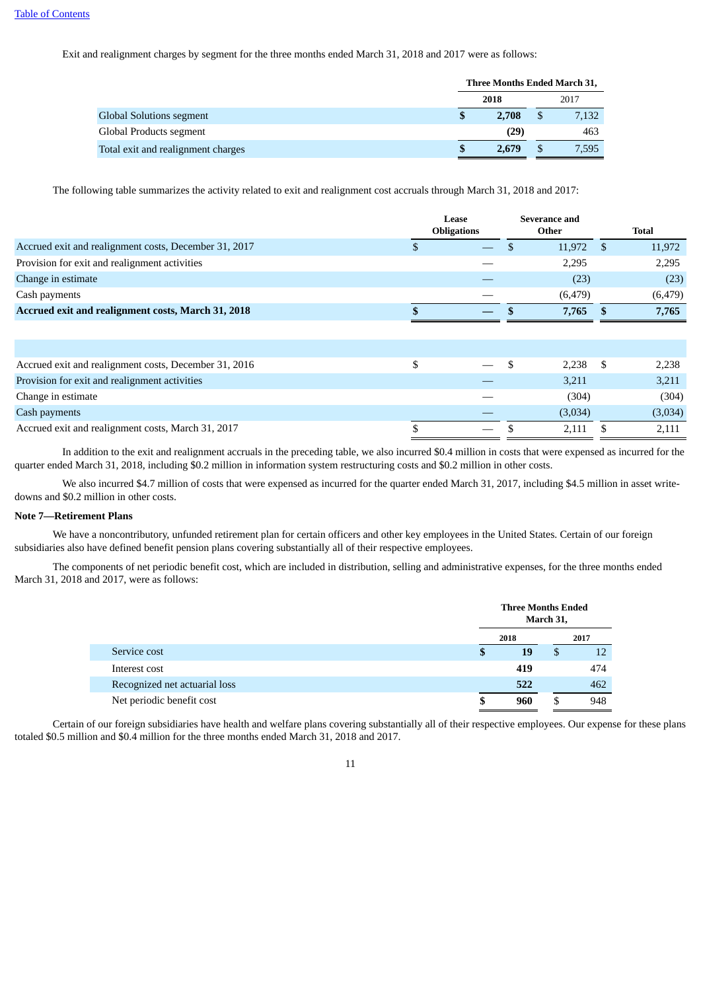Exit and realignment charges by segment for the three months ended March 31, 2018 and 2017 were as follows:

|                                    | Three Months Ended March 31, |       |  |       |  |  |
|------------------------------------|------------------------------|-------|--|-------|--|--|
|                                    |                              | 2018  |  | 2017  |  |  |
| <b>Global Solutions segment</b>    | \$                           | 2.708 |  | 7,132 |  |  |
| Global Products segment            |                              | (29)  |  | 463   |  |  |
| Total exit and realignment charges | \$                           | 2.679 |  | 7,595 |  |  |

The following table summarizes the activity related to exit and realignment cost accruals through March 31, 2018 and 2017:

|                                                             | Lease<br><b>Obligations</b> | <b>Severance and</b><br>Other | <b>Total</b>   |
|-------------------------------------------------------------|-----------------------------|-------------------------------|----------------|
| Accrued exit and realignment costs, December 31, 2017<br>\$ |                             | 11,972                        | - \$<br>11,972 |
| Provision for exit and realignment activities               |                             | 2,295                         | 2,295          |
| Change in estimate                                          |                             | (23)                          | (23)           |
| Cash payments                                               |                             | (6, 479)                      | (6, 479)       |
| Accrued exit and realignment costs, March 31, 2018          |                             | 7,765                         | 7,765          |
|                                                             |                             |                               |                |
|                                                             |                             |                               |                |
| \$<br>Accrued exit and realignment costs, December 31, 2016 |                             | \$<br>2,238                   | - \$<br>2,238  |
| Provision for exit and realignment activities               |                             | 3,211                         | 3,211          |
| Change in estimate                                          |                             | (304)                         | (304)          |
| Cash payments                                               |                             | (3,034)                       | (3,034)        |
| Accrued exit and realignment costs, March 31, 2017<br>\$    |                             | 2,111                         | 2,111<br>S     |

In addition to the exit and realignment accruals in the preceding table, we also incurred \$0.4 million in costs that were expensed as incurred for the quarter ended March 31, 2018, including \$0.2 million in information system restructuring costs and \$0.2 million in other costs.

We also incurred \$4.7 million of costs that were expensed as incurred for the quarter ended March 31, 2017, including \$4.5 million in asset writedowns and \$0.2 million in other costs.

#### **Note 7—Retirement Plans**

We have a noncontributory, unfunded retirement plan for certain officers and other key employees in the United States. Certain of our foreign subsidiaries also have defined benefit pension plans covering substantially all of their respective employees.

The components of net periodic benefit cost, which are included in distribution, selling and administrative expenses, for the three months ended March 31, 2018 and 2017, were as follows:

|                               | <b>Three Months Ended</b><br>March 31, |   |      |  |  |
|-------------------------------|----------------------------------------|---|------|--|--|
|                               | 2018                                   |   | 2017 |  |  |
| Service cost                  | \$<br>19                               | S | 12   |  |  |
| Interest cost                 | 419                                    |   | 474  |  |  |
| Recognized net actuarial loss | 522                                    |   | 462  |  |  |
| Net periodic benefit cost     | \$<br>960                              | S | 948  |  |  |

Certain of our foreign subsidiaries have health and welfare plans covering substantially all of their respective employees. Our expense for these plans totaled \$0.5 million and \$0.4 million for the three months ended March 31, 2018 and 2017.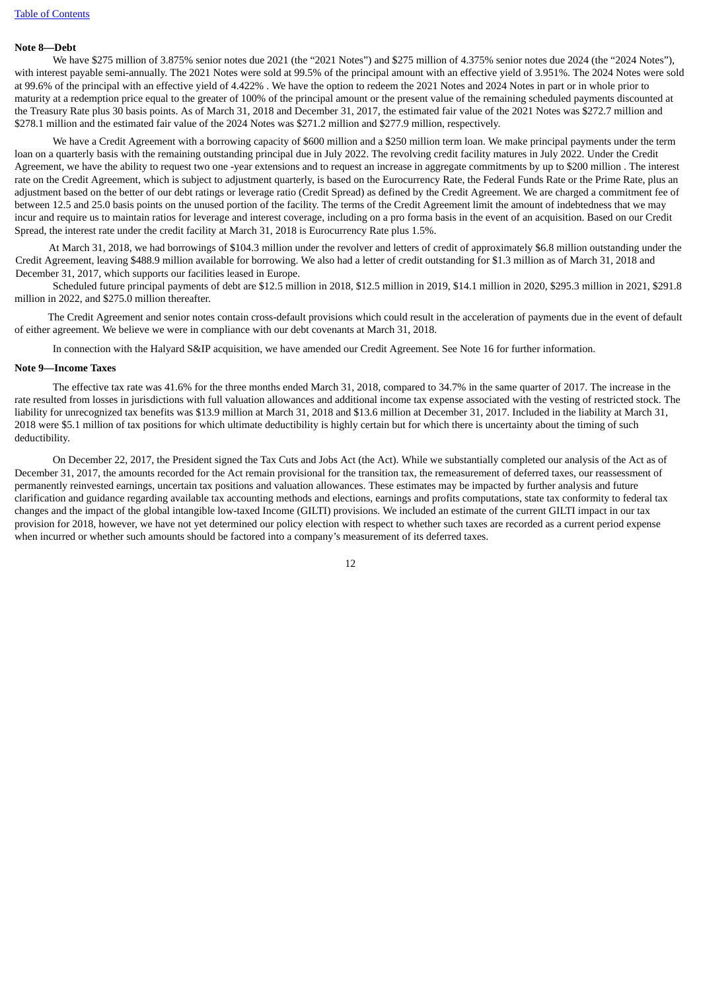## **Note 8—Debt**

We have \$275 million of 3.875% senior notes due 2021 (the "2021 Notes") and \$275 million of 4.375% senior notes due 2024 (the "2024 Notes"), with interest payable semi-annually. The 2021 Notes were sold at 99.5% of the principal amount with an effective yield of 3.951%. The 2024 Notes were sold at 99.6% of the principal with an effective yield of 4.422% . We have the option to redeem the 2021 Notes and 2024 Notes in part or in whole prior to maturity at a redemption price equal to the greater of 100% of the principal amount or the present value of the remaining scheduled payments discounted at the Treasury Rate plus 30 basis points. As of March 31, 2018 and December 31, 2017, the estimated fair value of the 2021 Notes was \$272.7 million and \$278.1 million and the estimated fair value of the 2024 Notes was \$271.2 million and \$277.9 million, respectively.

We have a Credit Agreement with a borrowing capacity of \$600 million and a \$250 million term loan. We make principal payments under the term loan on a quarterly basis with the remaining outstanding principal due in July 2022. The revolving credit facility matures in July 2022. Under the Credit Agreement, we have the ability to request two one -year extensions and to request an increase in aggregate commitments by up to \$200 million . The interest rate on the Credit Agreement, which is subject to adjustment quarterly, is based on the Eurocurrency Rate, the Federal Funds Rate or the Prime Rate, plus an adjustment based on the better of our debt ratings or leverage ratio (Credit Spread) as defined by the Credit Agreement. We are charged a commitment fee of between 12.5 and 25.0 basis points on the unused portion of the facility. The terms of the Credit Agreement limit the amount of indebtedness that we may incur and require us to maintain ratios for leverage and interest coverage, including on a pro forma basis in the event of an acquisition. Based on our Credit Spread, the interest rate under the credit facility at March 31, 2018 is Eurocurrency Rate plus 1.5%.

At March 31, 2018, we had borrowings of \$104.3 million under the revolver and letters of credit of approximately \$6.8 million outstanding under the Credit Agreement, leaving \$488.9 million available for borrowing. We also had a letter of credit outstanding for \$1.3 million as of March 31, 2018 and December 31, 2017, which supports our facilities leased in Europe.

Scheduled future principal payments of debt are \$12.5 million in 2018, \$12.5 million in 2019, \$14.1 million in 2020, \$295.3 million in 2021, \$291.8 million in 2022, and \$275.0 million thereafter.

The Credit Agreement and senior notes contain cross-default provisions which could result in the acceleration of payments due in the event of default of either agreement. We believe we were in compliance with our debt covenants at March 31, 2018.

In connection with the Halyard S&IP acquisition, we have amended our Credit Agreement. See Note 16 for further information.

#### **Note 9—Income Taxes**

The effective tax rate was 41.6% for the three months ended March 31, 2018, compared to 34.7% in the same quarter of 2017. The increase in the rate resulted from losses in jurisdictions with full valuation allowances and additional income tax expense associated with the vesting of restricted stock. The liability for unrecognized tax benefits was \$13.9 million at March 31, 2018 and \$13.6 million at December 31, 2017. Included in the liability at March 31, 2018 were \$5.1 million of tax positions for which ultimate deductibility is highly certain but for which there is uncertainty about the timing of such deductibility.

On December 22, 2017, the President signed the Tax Cuts and Jobs Act (the Act). While we substantially completed our analysis of the Act as of December 31, 2017, the amounts recorded for the Act remain provisional for the transition tax, the remeasurement of deferred taxes, our reassessment of permanently reinvested earnings, uncertain tax positions and valuation allowances. These estimates may be impacted by further analysis and future clarification and guidance regarding available tax accounting methods and elections, earnings and profits computations, state tax conformity to federal tax changes and the impact of the global intangible low-taxed Income (GILTI) provisions. We included an estimate of the current GILTI impact in our tax provision for 2018, however, we have not yet determined our policy election with respect to whether such taxes are recorded as a current period expense when incurred or whether such amounts should be factored into a company's measurement of its deferred taxes.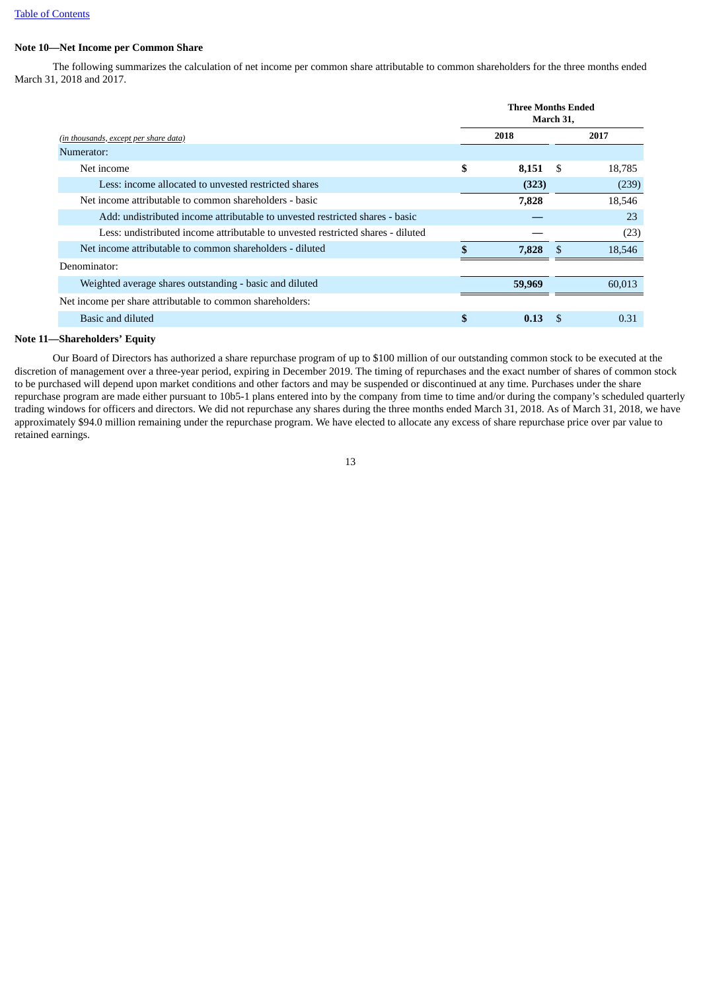#### **Note 10—Net Income per Common Share**

The following summarizes the calculation of net income per common share attributable to common shareholders for the three months ended March 31, 2018 and 2017.

|                                                                                 | <b>Three Months Ended</b><br>March 31, |    |        |  |  |  |  |
|---------------------------------------------------------------------------------|----------------------------------------|----|--------|--|--|--|--|
| <u>(in thousands, except per share data)</u>                                    | 2018                                   |    | 2017   |  |  |  |  |
| Numerator:                                                                      |                                        |    |        |  |  |  |  |
| Net income                                                                      | \$<br>$8,151$ \$                       |    | 18,785 |  |  |  |  |
| Less: income allocated to unvested restricted shares                            | (323)                                  |    | (239)  |  |  |  |  |
| Net income attributable to common shareholders - basic                          | 7,828                                  |    | 18,546 |  |  |  |  |
| Add: undistributed income attributable to unvested restricted shares - basic    |                                        |    | 23     |  |  |  |  |
| Less: undistributed income attributable to unvested restricted shares - diluted |                                        |    | (23)   |  |  |  |  |
| Net income attributable to common shareholders - diluted                        | 7,828                                  | .S | 18,546 |  |  |  |  |
| Denominator:                                                                    |                                        |    |        |  |  |  |  |
| Weighted average shares outstanding - basic and diluted                         | 59,969                                 |    | 60,013 |  |  |  |  |
| Net income per share attributable to common shareholders:                       |                                        |    |        |  |  |  |  |
| Basic and diluted                                                               | \$<br>0.13                             | £. | 0.31   |  |  |  |  |
|                                                                                 |                                        |    |        |  |  |  |  |

#### **Note 11—Shareholders' Equity**

Our Board of Directors has authorized a share repurchase program of up to \$100 million of our outstanding common stock to be executed at the discretion of management over a three-year period, expiring in December 2019. The timing of repurchases and the exact number of shares of common stock to be purchased will depend upon market conditions and other factors and may be suspended or discontinued at any time. Purchases under the share repurchase program are made either pursuant to 10b5-1 plans entered into by the company from time to time and/or during the company's scheduled quarterly trading windows for officers and directors. We did not repurchase any shares during the three months ended March 31, 2018. As of March 31, 2018, we have approximately \$94.0 million remaining under the repurchase program. We have elected to allocate any excess of share repurchase price over par value to retained earnings.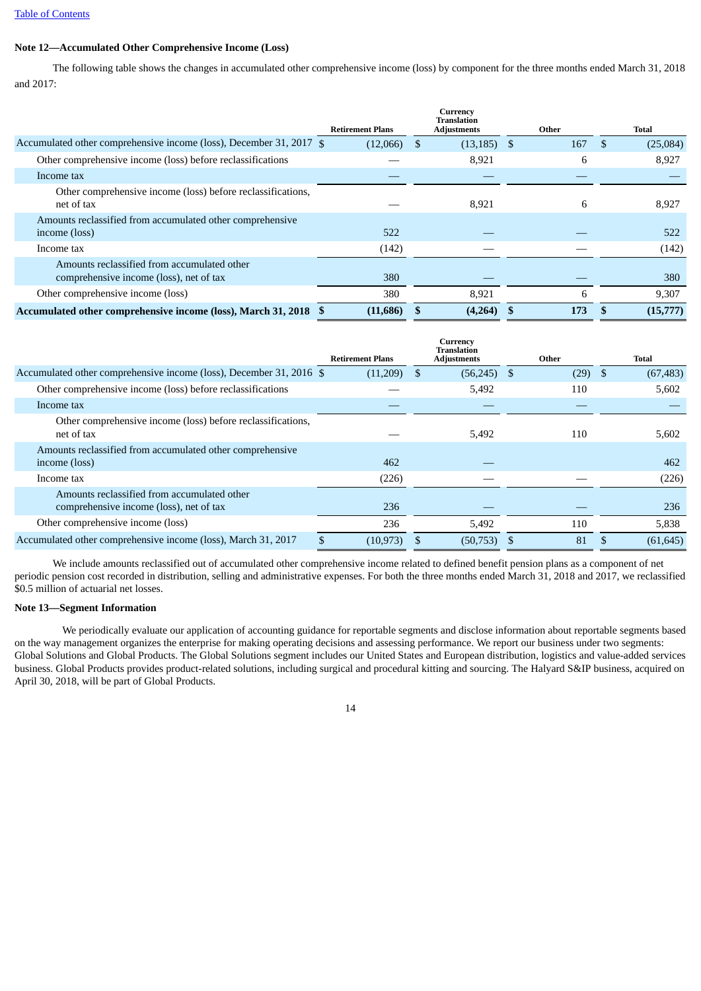### **Note 12—Accumulated Other Comprehensive Income (Loss)**

The following table shows the changes in accumulated other comprehensive income (loss) by component for the three months ended March 31, 2018 and 2017:

|                                                                                        |                         | Currency<br>Translation |             |       |           |
|----------------------------------------------------------------------------------------|-------------------------|-------------------------|-------------|-------|-----------|
|                                                                                        | <b>Retirement Plans</b> | <b>Adjustments</b>      | Other       | Total |           |
| Accumulated other comprehensive income (loss), December 31, 2017 \$                    | $(12,066)$ \$           | (13, 185)               | 167<br>- \$ |       | (25,084)  |
| Other comprehensive income (loss) before reclassifications                             |                         | 8,921                   | 6           |       | 8,927     |
| Income tax                                                                             |                         |                         |             |       |           |
| Other comprehensive income (loss) before reclassifications,<br>net of tax              |                         | 8,921                   | 6           |       | 8,927     |
| Amounts reclassified from accumulated other comprehensive<br>income (loss)             | 522                     |                         |             |       | 522       |
| Income tax                                                                             | (142)                   |                         |             |       | (142)     |
| Amounts reclassified from accumulated other<br>comprehensive income (loss), net of tax | 380                     |                         |             |       | 380       |
| Other comprehensive income (loss)                                                      | 380                     | 8.921                   | 6           |       | 9,307     |
| Accumulated other comprehensive income (loss), March 31, 2018 \$                       | (11,686)                | (4,264)                 | 173         |       | (15, 777) |

|                                                                                        |                         | Currency<br><b>Translation</b> |              |                   |
|----------------------------------------------------------------------------------------|-------------------------|--------------------------------|--------------|-------------------|
|                                                                                        | <b>Retirement Plans</b> | <b>Adjustments</b>             | Other        | Total             |
| Accumulated other comprehensive income (loss), December 31, 2016 \$                    | (11,209)                | (56, 245)                      | (29)<br>- \$ | (67, 483)<br>- \$ |
| Other comprehensive income (loss) before reclassifications                             |                         | 5,492                          | 110          | 5,602             |
| Income tax                                                                             |                         |                                |              |                   |
| Other comprehensive income (loss) before reclassifications,<br>net of tax              |                         | 5,492                          | 110          | 5,602             |
| Amounts reclassified from accumulated other comprehensive<br>income (loss)             | 462                     |                                |              | 462               |
| Income tax                                                                             | (226)                   |                                |              | (226)             |
| Amounts reclassified from accumulated other<br>comprehensive income (loss), net of tax | 236                     |                                |              | 236               |
| Other comprehensive income (loss)                                                      | 236                     | 5.492                          | 110          | 5,838             |
| Accumulated other comprehensive income (loss), March 31, 2017                          | (10, 973)<br>£.         | (50, 753)                      | 81<br>S      | (61, 645)         |

We include amounts reclassified out of accumulated other comprehensive income related to defined benefit pension plans as a component of net periodic pension cost recorded in distribution, selling and administrative expenses. For both the three months ended March 31, 2018 and 2017, we reclassified \$0.5 million of actuarial net losses.

#### **Note 13—Segment Information**

We periodically evaluate our application of accounting guidance for reportable segments and disclose information about reportable segments based on the way management organizes the enterprise for making operating decisions and assessing performance. We report our business under two segments: Global Solutions and Global Products. The Global Solutions segment includes our United States and European distribution, logistics and value-added services business. Global Products provides product-related solutions, including surgical and procedural kitting and sourcing. The Halyard S&IP business, acquired on April 30, 2018, will be part of Global Products.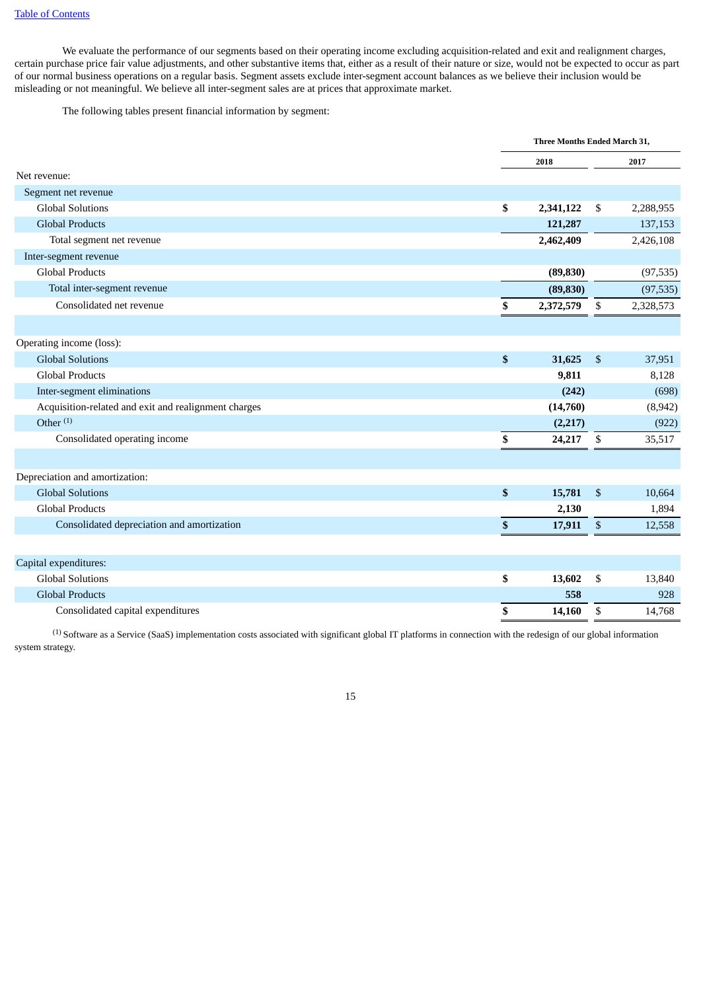We evaluate the performance of our segments based on their operating income excluding acquisition-related and exit and realignment charges, certain purchase price fair value adjustments, and other substantive items that, either as a result of their nature or size, would not be expected to occur as part of our normal business operations on a regular basis. Segment assets exclude inter-segment account balances as we believe their inclusion would be misleading or not meaningful. We believe all inter-segment sales are at prices that approximate market.

The following tables present financial information by segment:

|                                                      | <b>Three Months Ended March 31,</b> |              |           |  |
|------------------------------------------------------|-------------------------------------|--------------|-----------|--|
|                                                      | 2018                                |              | 2017      |  |
| Net revenue:                                         |                                     |              |           |  |
| Segment net revenue                                  |                                     |              |           |  |
| <b>Global Solutions</b>                              | \$<br>2,341,122                     | \$           | 2,288,955 |  |
| <b>Global Products</b>                               | 121,287                             |              | 137,153   |  |
| Total segment net revenue                            | 2,462,409                           |              | 2,426,108 |  |
| Inter-segment revenue                                |                                     |              |           |  |
| <b>Global Products</b>                               | (89, 830)                           |              | (97, 535) |  |
| Total inter-segment revenue                          | (89, 830)                           |              | (97, 535) |  |
| Consolidated net revenue                             | \$<br>2,372,579                     | \$           | 2,328,573 |  |
|                                                      |                                     |              |           |  |
| Operating income (loss):                             |                                     |              |           |  |
| <b>Global Solutions</b>                              | \$<br>31,625                        | $\mathbb{S}$ | 37,951    |  |
| <b>Global Products</b>                               | 9,811                               |              | 8,128     |  |
| Inter-segment eliminations                           | (242)                               |              | (698)     |  |
| Acquisition-related and exit and realignment charges | (14,760)                            |              | (8,942)   |  |
| Other $(1)$                                          | (2,217)                             |              | (922)     |  |
| Consolidated operating income                        | \$<br>24,217                        | \$           | 35,517    |  |
|                                                      |                                     |              |           |  |
| Depreciation and amortization:                       |                                     |              |           |  |
| <b>Global Solutions</b>                              | \$<br>15,781                        | \$           | 10,664    |  |
| <b>Global Products</b>                               | 2,130                               |              | 1,894     |  |
| Consolidated depreciation and amortization           | \$<br>17,911                        | $\$$         | 12,558    |  |
|                                                      |                                     |              |           |  |
|                                                      |                                     |              |           |  |
| Capital expenditures:                                |                                     |              |           |  |
| <b>Global Solutions</b>                              | \$<br>13,602                        | \$           | 13,840    |  |
| <b>Global Products</b>                               | 558                                 |              | 928       |  |
| Consolidated capital expenditures                    | \$<br>14,160                        | \$           | 14.768    |  |

(1) Software as a Service (SaaS) implementation costs associated with significant global IT platforms in connection with the redesign of our global information system strategy.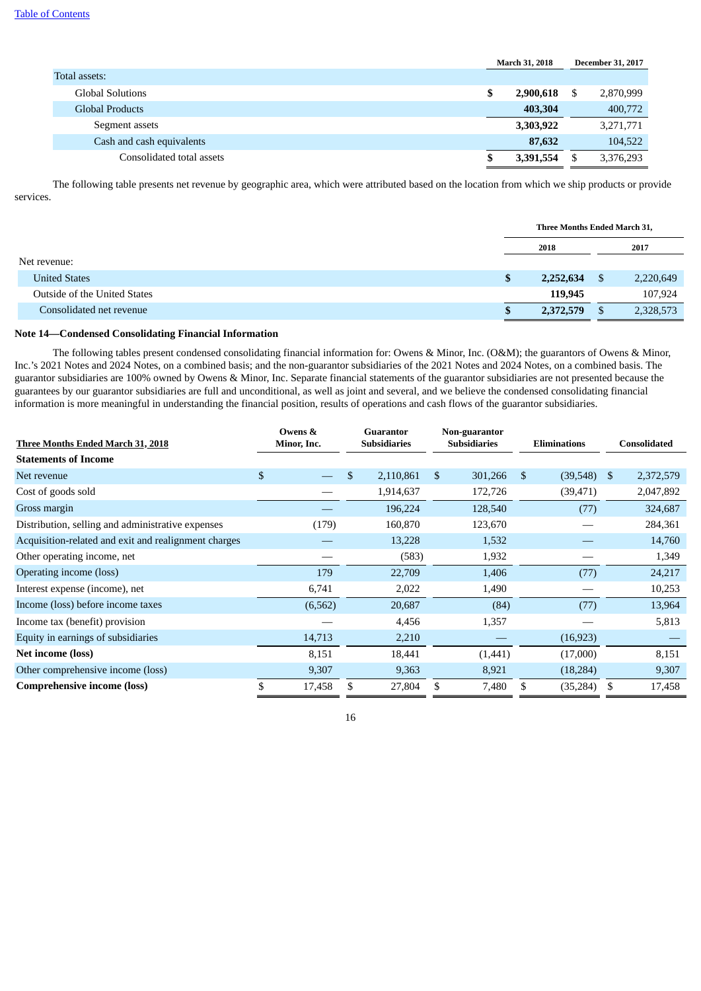|                           |   | <b>March 31, 2018</b> |   | <b>December 31, 2017</b> |  |
|---------------------------|---|-----------------------|---|--------------------------|--|
| Total assets:             |   |                       |   |                          |  |
| Global Solutions          | S | 2,900,618             | S | 2,870,999                |  |
| <b>Global Products</b>    |   | 403,304               |   | 400,772                  |  |
| Segment assets            |   | 3,303,922             |   | 3,271,771                |  |
| Cash and cash equivalents |   | 87,632                |   | 104,522                  |  |
| Consolidated total assets |   | 3,391,554             |   | 3,376,293                |  |

The following table presents net revenue by geographic area, which were attributed based on the location from which we ship products or provide services.

|                              | Three Months Ended March 31, |           |               |           |  |
|------------------------------|------------------------------|-----------|---------------|-----------|--|
|                              |                              | 2018      |               | 2017      |  |
| Net revenue:                 |                              |           |               |           |  |
| <b>United States</b>         | \$                           | 2,252,634 | <sup>\$</sup> | 2,220,649 |  |
| Outside of the United States |                              | 119,945   |               | 107,924   |  |
| Consolidated net revenue     |                              | 2,372,579 |               | 2,328,573 |  |

#### **Note 14—Condensed Consolidating Financial Information**

The following tables present condensed consolidating financial information for: Owens & Minor, Inc. (O&M); the guarantors of Owens & Minor, Inc.'s 2021 Notes and 2024 Notes, on a combined basis; and the non-guarantor subsidiaries of the 2021 Notes and 2024 Notes, on a combined basis. The guarantor subsidiaries are 100% owned by Owens & Minor, Inc. Separate financial statements of the guarantor subsidiaries are not presented because the guarantees by our guarantor subsidiaries are full and unconditional, as well as joint and several, and we believe the condensed consolidating financial information is more meaningful in understanding the financial position, results of operations and cash flows of the guarantor subsidiaries.

|                                                      | Owens &      | Guarantor           | Non-guarantor |                     |    |                     |    |              |
|------------------------------------------------------|--------------|---------------------|---------------|---------------------|----|---------------------|----|--------------|
| Three Months Ended March 31, 2018                    | Minor, Inc.  | <b>Subsidiaries</b> |               | <b>Subsidiaries</b> |    | <b>Eliminations</b> |    | Consolidated |
| <b>Statements of Income</b>                          |              |                     |               |                     |    |                     |    |              |
| Net revenue                                          | \$           | \$<br>2,110,861     | \$            | 301,266             | \$ | (39, 548)           | -S | 2,372,579    |
| Cost of goods sold                                   |              | 1,914,637           |               | 172,726             |    | (39, 471)           |    | 2,047,892    |
| Gross margin                                         |              | 196,224             |               | 128,540             |    | (77)                |    | 324,687      |
| Distribution, selling and administrative expenses    | (179)        | 160,870             |               | 123,670             |    |                     |    | 284,361      |
| Acquisition-related and exit and realignment charges |              | 13,228              |               | 1,532               |    |                     |    | 14,760       |
| Other operating income, net                          |              | (583)               |               | 1,932               |    |                     |    | 1,349        |
| Operating income (loss)                              | 179          | 22,709              |               | 1,406               |    | (77)                |    | 24,217       |
| Interest expense (income), net                       | 6,741        | 2,022               |               | 1,490               |    |                     |    | 10,253       |
| Income (loss) before income taxes                    | (6, 562)     | 20,687              |               | (84)                |    | (77)                |    | 13,964       |
| Income tax (benefit) provision                       |              | 4,456               |               | 1,357               |    |                     |    | 5,813        |
| Equity in earnings of subsidiaries                   | 14,713       | 2,210               |               |                     |    | (16, 923)           |    |              |
| Net income (loss)                                    | 8,151        | 18,441              |               | (1,441)             |    | (17,000)            |    | 8,151        |
| Other comprehensive income (loss)                    | 9,307        | 9,363               |               | 8,921               |    | (18, 284)           |    | 9,307        |
| <b>Comprehensive income (loss)</b>                   | \$<br>17,458 | \$<br>27,804        | \$            | 7,480               |    | (35, 284)           |    | 17,458       |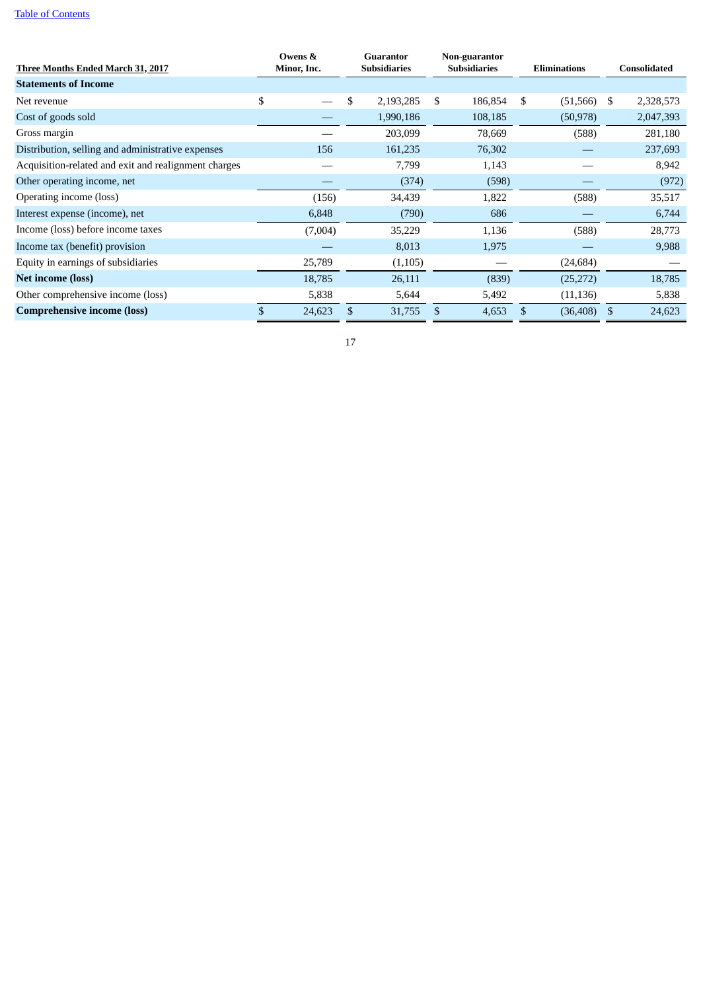|                                                      | Owens &      | Guarantor           | Non-guarantor       |                     |   |              |
|------------------------------------------------------|--------------|---------------------|---------------------|---------------------|---|--------------|
| <b>Three Months Ended March 31, 2017</b>             | Minor, Inc.  | <b>Subsidiaries</b> | <b>Subsidiaries</b> | <b>Eliminations</b> |   | Consolidated |
| <b>Statements of Income</b>                          |              |                     |                     |                     |   |              |
| Net revenue                                          | \$           | \$<br>2,193,285     | \$<br>186,854       | \$<br>(51, 566)     | S | 2,328,573    |
| Cost of goods sold                                   |              | 1,990,186           | 108,185             | (50, 978)           |   | 2,047,393    |
| Gross margin                                         |              | 203,099             | 78,669              | (588)               |   | 281,180      |
| Distribution, selling and administrative expenses    | 156          | 161,235             | 76,302              |                     |   | 237,693      |
| Acquisition-related and exit and realignment charges |              | 7,799               | 1,143               |                     |   | 8,942        |
| Other operating income, net                          |              | (374)               | (598)               |                     |   | (972)        |
| Operating income (loss)                              | (156)        | 34,439              | 1,822               | (588)               |   | 35,517       |
| Interest expense (income), net                       | 6,848        | (790)               | 686                 |                     |   | 6,744        |
| Income (loss) before income taxes                    | (7,004)      | 35,229              | 1,136               | (588)               |   | 28,773       |
| Income tax (benefit) provision                       |              | 8,013               | 1,975               |                     |   | 9,988        |
| Equity in earnings of subsidiaries                   | 25,789       | (1,105)             |                     | (24, 684)           |   |              |
| <b>Net income (loss)</b>                             | 18,785       | 26,111              | (839)               | (25, 272)           |   | 18,785       |
| Other comprehensive income (loss)                    | 5,838        | 5,644               | 5,492               | (11, 136)           |   | 5,838        |
| <b>Comprehensive income (loss)</b>                   | \$<br>24,623 | \$<br>31,755        | 4,653               | \$<br>(36, 408)     | S | 24,623       |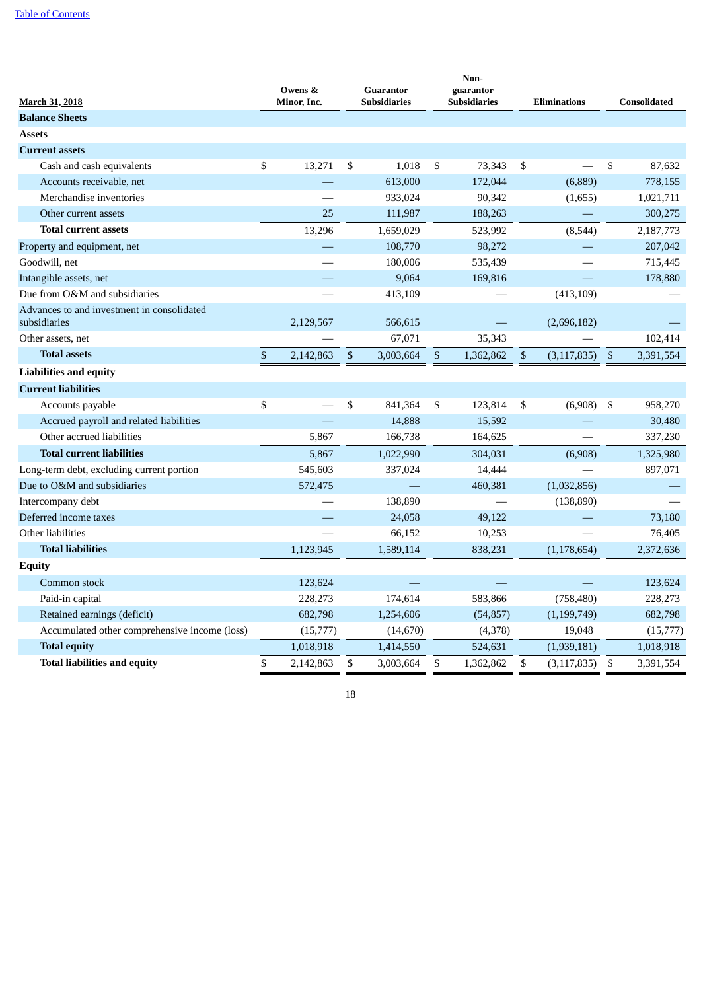| <u> March 31, 2018</u>                                     |              | Owens &<br>Minor, Inc. | <b>Guarantor</b><br><b>Subsidiaries</b> |      | Non-<br>guarantor<br>Subsidiaries |                           | <b>Eliminations</b> |                | Consolidated |
|------------------------------------------------------------|--------------|------------------------|-----------------------------------------|------|-----------------------------------|---------------------------|---------------------|----------------|--------------|
| <b>Balance Sheets</b>                                      |              |                        |                                         |      |                                   |                           |                     |                |              |
| <b>Assets</b>                                              |              |                        |                                         |      |                                   |                           |                     |                |              |
| <b>Current assets</b>                                      |              |                        |                                         |      |                                   |                           |                     |                |              |
| Cash and cash equivalents                                  | \$           | 13,271                 | \$<br>1,018                             | \$   | 73,343                            | \$                        |                     | \$             | 87,632       |
| Accounts receivable, net                                   |              |                        | 613,000                                 |      | 172,044                           |                           | (6,889)             |                | 778,155      |
| Merchandise inventories                                    |              |                        | 933,024                                 |      | 90,342                            |                           | (1,655)             |                | 1,021,711    |
| Other current assets                                       |              | 25                     | 111,987                                 |      | 188,263                           |                           |                     |                | 300,275      |
| <b>Total current assets</b>                                |              | 13,296                 | 1,659,029                               |      | 523,992                           |                           | (8, 544)            |                | 2,187,773    |
| Property and equipment, net                                |              |                        | 108,770                                 |      | 98,272                            |                           |                     |                | 207,042      |
| Goodwill, net                                              |              |                        | 180,006                                 |      | 535,439                           |                           |                     |                | 715,445      |
| Intangible assets, net                                     |              |                        | 9,064                                   |      | 169,816                           |                           |                     |                | 178,880      |
| Due from O&M and subsidiaries                              |              |                        | 413,109                                 |      |                                   |                           | (413, 109)          |                |              |
| Advances to and investment in consolidated<br>subsidiaries |              | 2,129,567              | 566,615                                 |      |                                   |                           | (2,696,182)         |                |              |
| Other assets, net                                          |              |                        | 67,071                                  |      | 35,343                            |                           |                     |                | 102,414      |
| <b>Total assets</b>                                        | $\mathbb{S}$ | 2,142,863              | \$<br>3,003,664                         | $\,$ | 1,362,862                         | $\boldsymbol{\mathsf{S}}$ | (3, 117, 835)       | $\mathfrak{s}$ | 3,391,554    |
| <b>Liabilities and equity</b>                              |              |                        |                                         |      |                                   |                           |                     |                |              |
| <b>Current liabilities</b>                                 |              |                        |                                         |      |                                   |                           |                     |                |              |
| Accounts payable                                           | \$           |                        | \$<br>841,364                           | \$   | 123,814                           | \$                        | (6,908)             | - \$           | 958,270      |
| Accrued payroll and related liabilities                    |              |                        | 14,888                                  |      | 15,592                            |                           |                     |                | 30,480       |
| Other accrued liabilities                                  |              | 5,867                  | 166,738                                 |      | 164,625                           |                           |                     |                | 337,230      |
| <b>Total current liabilities</b>                           |              | 5,867                  | 1,022,990                               |      | 304,031                           |                           | (6,908)             |                | 1,325,980    |
| Long-term debt, excluding current portion                  |              | 545,603                | 337,024                                 |      | 14,444                            |                           |                     |                | 897,071      |
| Due to O&M and subsidiaries                                |              | 572,475                |                                         |      | 460,381                           |                           | (1,032,856)         |                |              |
| Intercompany debt                                          |              |                        | 138,890                                 |      |                                   |                           | (138, 890)          |                |              |
| Deferred income taxes                                      |              |                        | 24,058                                  |      | 49,122                            |                           |                     |                | 73,180       |
| Other liabilities                                          |              |                        | 66,152                                  |      | 10,253                            |                           |                     |                | 76,405       |
| <b>Total liabilities</b>                                   |              | 1,123,945              | 1,589,114                               |      | 838,231                           |                           | (1, 178, 654)       |                | 2,372,636    |
| <b>Equity</b>                                              |              |                        |                                         |      |                                   |                           |                     |                |              |
| Common stock                                               |              | 123,624                |                                         |      |                                   |                           |                     |                | 123,624      |
| Paid-in capital                                            |              | 228,273                | 174,614                                 |      | 583,866                           |                           | (758, 480)          |                | 228,273      |
| Retained earnings (deficit)                                |              | 682,798                | 1,254,606                               |      | (54, 857)                         |                           | (1, 199, 749)       |                | 682,798      |
| Accumulated other comprehensive income (loss)              |              | (15,777)               | (14, 670)                               |      | (4,378)                           |                           | 19,048              |                | (15, 777)    |
| <b>Total equity</b>                                        |              | 1,018,918              | 1,414,550                               |      | 524,631                           |                           | (1,939,181)         |                | 1,018,918    |
| <b>Total liabilities and equity</b>                        | \$           | 2,142,863              | \$<br>3,003,664                         | \$   | 1,362,862                         | \$                        | (3, 117, 835)       | \$             | 3,391,554    |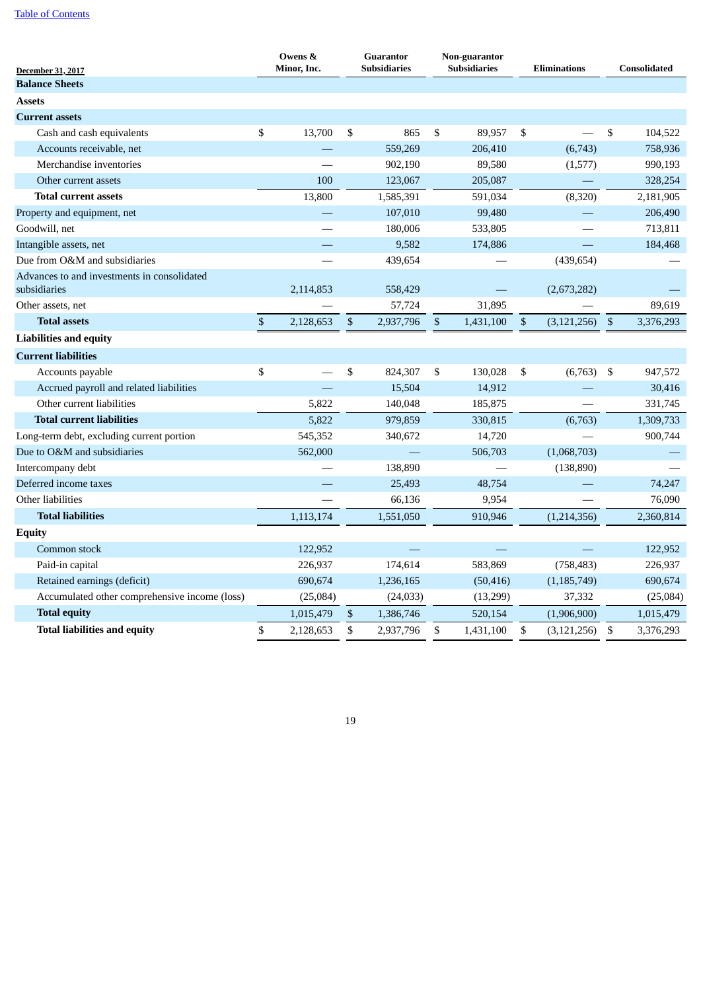| <b>December 31, 2017</b>                                    | Owens &<br>Minor, Inc. |              | <b>Guarantor</b><br><b>Subsidiaries</b> | Non-guarantor<br><b>Subsidiaries</b> |                           | <b>Eliminations</b> | <b>Consolidated</b> |
|-------------------------------------------------------------|------------------------|--------------|-----------------------------------------|--------------------------------------|---------------------------|---------------------|---------------------|
| <b>Balance Sheets</b>                                       |                        |              |                                         |                                      |                           |                     |                     |
| <b>Assets</b>                                               |                        |              |                                         |                                      |                           |                     |                     |
| <b>Current assets</b>                                       |                        |              |                                         |                                      |                           |                     |                     |
| Cash and cash equivalents                                   | \$<br>13,700           | \$           | 865                                     | \$<br>89,957                         | \$                        |                     | \$<br>104,522       |
| Accounts receivable, net                                    |                        |              | 559,269                                 | 206,410                              |                           | (6,743)             | 758,936             |
| Merchandise inventories                                     |                        |              | 902,190                                 | 89,580                               |                           | (1,577)             | 990,193             |
| Other current assets                                        | 100                    |              | 123,067                                 | 205,087                              |                           |                     | 328,254             |
| <b>Total current assets</b>                                 | 13,800                 |              | 1,585,391                               | 591,034                              |                           | (8,320)             | 2,181,905           |
| Property and equipment, net                                 |                        |              | 107,010                                 | 99,480                               |                           |                     | 206,490             |
| Goodwill, net                                               |                        |              | 180,006                                 | 533,805                              |                           |                     | 713,811             |
| Intangible assets, net                                      |                        |              | 9,582                                   | 174,886                              |                           |                     | 184,468             |
| Due from O&M and subsidiaries                               |                        |              | 439,654                                 |                                      |                           | (439, 654)          |                     |
| Advances to and investments in consolidated<br>subsidiaries | 2,114,853              |              | 558,429                                 |                                      |                           | (2,673,282)         |                     |
| Other assets, net                                           |                        |              | 57,724                                  | 31,895                               |                           |                     | 89,619              |
| <b>Total assets</b>                                         | \$<br>2,128,653        | $\mathbb{S}$ | 2,937,796                               | \$<br>1,431,100                      | $\boldsymbol{\mathsf{S}}$ | (3, 121, 256)       | \$<br>3,376,293     |
| <b>Liabilities and equity</b>                               |                        |              |                                         |                                      |                           |                     |                     |
| <b>Current liabilities</b>                                  |                        |              |                                         |                                      |                           |                     |                     |
| Accounts payable                                            | \$                     | \$           | 824,307                                 | \$<br>130,028                        | \$                        | (6,763)             | \$<br>947,572       |
| Accrued payroll and related liabilities                     |                        |              | 15,504                                  | 14,912                               |                           |                     | 30,416              |
| Other current liabilities                                   | 5,822                  |              | 140,048                                 | 185,875                              |                           |                     | 331,745             |
| <b>Total current liabilities</b>                            | 5,822                  |              | 979,859                                 | 330,815                              |                           | (6,763)             | 1,309,733           |
| Long-term debt, excluding current portion                   | 545,352                |              | 340,672                                 | 14,720                               |                           |                     | 900,744             |
| Due to O&M and subsidiaries                                 | 562,000                |              |                                         | 506,703                              |                           | (1,068,703)         |                     |
| Intercompany debt                                           |                        |              | 138,890                                 |                                      |                           | (138, 890)          |                     |
| Deferred income taxes                                       |                        |              | 25,493                                  | 48,754                               |                           |                     | 74,247              |
| Other liabilities                                           |                        |              | 66,136                                  | 9,954                                |                           |                     | 76,090              |
| <b>Total liabilities</b>                                    | 1,113,174              |              | 1,551,050                               | 910,946                              |                           | (1,214,356)         | 2,360,814           |
| <b>Equity</b>                                               |                        |              |                                         |                                      |                           |                     |                     |
| Common stock                                                | 122,952                |              |                                         |                                      |                           |                     | 122,952             |
| Paid-in capital                                             | 226,937                |              | 174,614                                 | 583,869                              |                           | (758, 483)          | 226,937             |
| Retained earnings (deficit)                                 | 690,674                |              | 1,236,165                               | (50, 416)                            |                           | (1, 185, 749)       | 690,674             |
| Accumulated other comprehensive income (loss)               | (25,084)               |              | (24, 033)                               | (13,299)                             |                           | 37,332              | (25,084)            |
| <b>Total equity</b>                                         | 1,015,479              | $\mathbb{S}$ | 1,386,746                               | 520,154                              |                           | (1,906,900)         | 1,015,479           |
| <b>Total liabilities and equity</b>                         | \$<br>2,128,653        | \$           | 2,937,796                               | \$<br>1,431,100                      | \$                        | (3, 121, 256)       | \$<br>3,376,293     |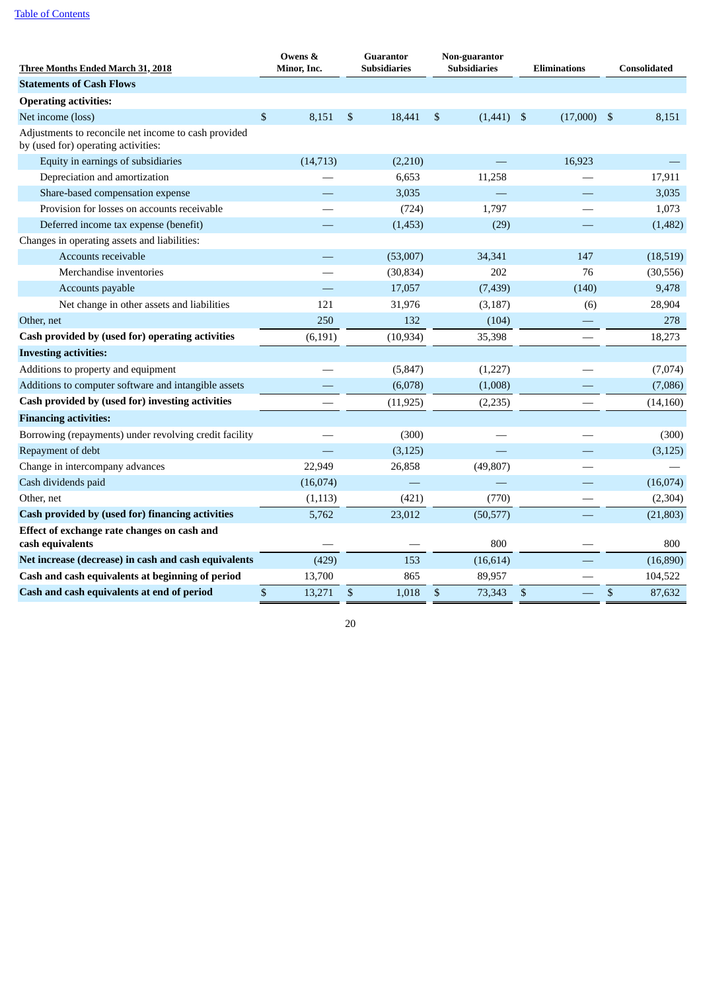| <b>Three Months Ended March 31, 2018</b>                                                    | Owens &<br>Minor, Inc. | <b>Guarantor</b><br><b>Subsidiaries</b> |           | Non-guarantor<br><b>Subsidiaries</b> |              | <b>Eliminations</b> | <b>Consolidated</b> |              |
|---------------------------------------------------------------------------------------------|------------------------|-----------------------------------------|-----------|--------------------------------------|--------------|---------------------|---------------------|--------------|
| <b>Statements of Cash Flows</b>                                                             |                        |                                         |           |                                      |              |                     |                     |              |
| <b>Operating activities:</b>                                                                |                        |                                         |           |                                      |              |                     |                     |              |
| Net income (loss)                                                                           | \$<br>8,151            | \$                                      | 18,441    | \$                                   | $(1,441)$ \$ |                     | $(17,000)$ \$       | 8,151        |
| Adjustments to reconcile net income to cash provided<br>by (used for) operating activities: |                        |                                         |           |                                      |              |                     |                     |              |
| Equity in earnings of subsidiaries                                                          | (14, 713)              |                                         | (2,210)   |                                      |              |                     | 16,923              |              |
| Depreciation and amortization                                                               |                        |                                         | 6,653     |                                      | 11,258       |                     |                     | 17,911       |
| Share-based compensation expense                                                            |                        |                                         | 3,035     |                                      |              |                     |                     | 3,035        |
| Provision for losses on accounts receivable                                                 |                        |                                         | (724)     |                                      | 1,797        |                     |                     | 1,073        |
| Deferred income tax expense (benefit)                                                       |                        |                                         | (1, 453)  |                                      | (29)         |                     |                     | (1,482)      |
| Changes in operating assets and liabilities:                                                |                        |                                         |           |                                      |              |                     |                     |              |
| Accounts receivable                                                                         |                        |                                         | (53,007)  |                                      | 34,341       |                     | 147                 | (18, 519)    |
| Merchandise inventories                                                                     |                        |                                         | (30, 834) |                                      | 202          |                     | 76                  | (30, 556)    |
| Accounts payable                                                                            |                        |                                         | 17,057    |                                      | (7, 439)     |                     | (140)               | 9,478        |
| Net change in other assets and liabilities                                                  | 121                    |                                         | 31,976    |                                      | (3, 187)     |                     | (6)                 | 28,904       |
| Other, net                                                                                  | 250                    |                                         | 132       |                                      | (104)        |                     |                     | 278          |
| Cash provided by (used for) operating activities                                            | (6, 191)               |                                         | (10, 934) |                                      | 35,398       |                     |                     | 18,273       |
| <b>Investing activities:</b>                                                                |                        |                                         |           |                                      |              |                     |                     |              |
| Additions to property and equipment                                                         |                        |                                         | (5, 847)  |                                      | (1,227)      |                     |                     | (7,074)      |
| Additions to computer software and intangible assets                                        |                        |                                         | (6,078)   |                                      | (1,008)      |                     |                     | (7,086)      |
| Cash provided by (used for) investing activities                                            |                        |                                         | (11, 925) |                                      | (2,235)      |                     |                     | (14, 160)    |
| <b>Financing activities:</b>                                                                |                        |                                         |           |                                      |              |                     |                     |              |
| Borrowing (repayments) under revolving credit facility                                      |                        |                                         | (300)     |                                      |              |                     |                     | (300)        |
| Repayment of debt                                                                           |                        |                                         | (3, 125)  |                                      |              |                     |                     | (3, 125)     |
| Change in intercompany advances                                                             | 22,949                 |                                         | 26,858    |                                      | (49, 807)    |                     |                     |              |
| Cash dividends paid                                                                         | (16,074)               |                                         |           |                                      |              |                     |                     | (16,074)     |
| Other, net                                                                                  | (1, 113)               |                                         | (421)     |                                      | (770)        |                     |                     | (2, 304)     |
| Cash provided by (used for) financing activities                                            | 5,762                  |                                         | 23,012    |                                      | (50, 577)    |                     |                     | (21, 803)    |
| Effect of exchange rate changes on cash and<br>cash equivalents                             |                        |                                         |           |                                      | 800          |                     |                     | 800          |
| Net increase (decrease) in cash and cash equivalents                                        | (429)                  |                                         | 153       |                                      | (16, 614)    |                     |                     | (16, 890)    |
| Cash and cash equivalents at beginning of period                                            | 13,700                 |                                         | 865       |                                      | 89,957       |                     |                     | 104,522      |
| Cash and cash equivalents at end of period                                                  | \$<br>13,271           | \$                                      | 1,018     | $\mathbb{S}$                         | 73,343       | $\sqrt{3}$          |                     | \$<br>87,632 |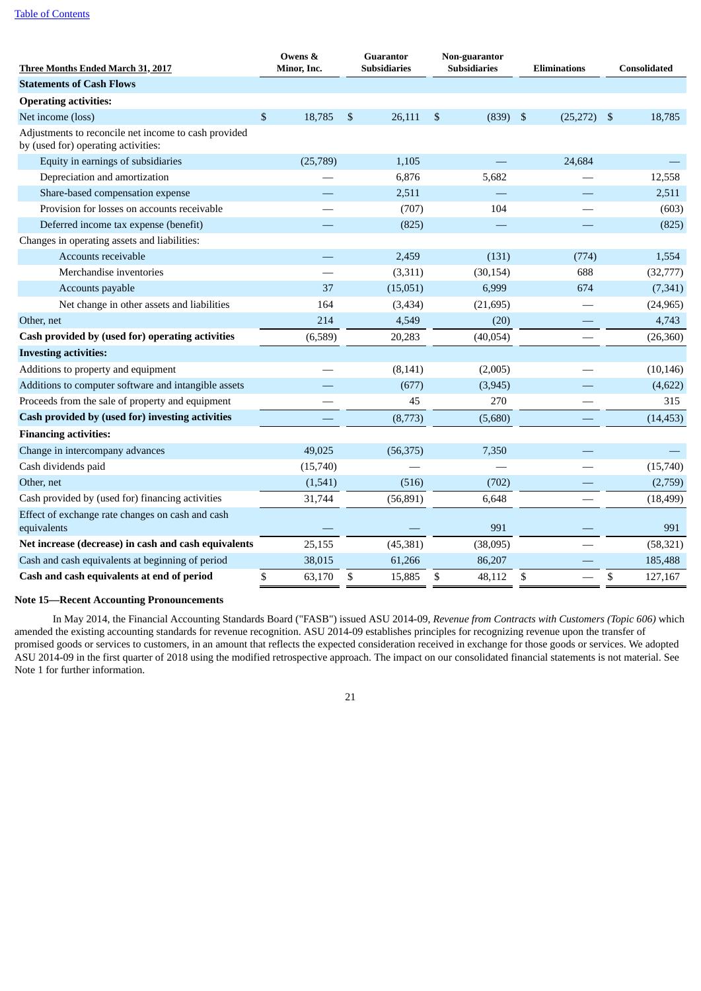| <b>Three Months Ended March 31, 2017</b>                                                    | Owens &<br>Minor, Inc. | <b>Guarantor</b><br><b>Subsidiaries</b> | Non-guarantor<br><b>Subsidiaries</b> | <b>Eliminations</b>       |           | <b>Consolidated</b> |
|---------------------------------------------------------------------------------------------|------------------------|-----------------------------------------|--------------------------------------|---------------------------|-----------|---------------------|
| <b>Statements of Cash Flows</b>                                                             |                        |                                         |                                      |                           |           |                     |
| <b>Operating activities:</b>                                                                |                        |                                         |                                      |                           |           |                     |
| Net income (loss)                                                                           | \$<br>18,785           | \$<br>26,111                            | \$<br>(839)                          | $\boldsymbol{\mathsf{S}}$ | (25, 272) | \$<br>18,785        |
| Adjustments to reconcile net income to cash provided<br>by (used for) operating activities: |                        |                                         |                                      |                           |           |                     |
| Equity in earnings of subsidiaries                                                          | (25,789)               | 1,105                                   |                                      |                           | 24,684    |                     |
| Depreciation and amortization                                                               |                        | 6,876                                   | 5,682                                |                           |           | 12,558              |
| Share-based compensation expense                                                            |                        | 2,511                                   |                                      |                           |           | 2,511               |
| Provision for losses on accounts receivable                                                 |                        | (707)                                   | 104                                  |                           |           | (603)               |
| Deferred income tax expense (benefit)                                                       |                        | (825)                                   |                                      |                           |           | (825)               |
| Changes in operating assets and liabilities:                                                |                        |                                         |                                      |                           |           |                     |
| Accounts receivable                                                                         |                        | 2,459                                   | (131)                                |                           | (774)     | 1,554               |
| Merchandise inventories                                                                     |                        | (3,311)                                 | (30, 154)                            |                           | 688       | (32, 777)           |
| Accounts payable                                                                            | 37                     | (15,051)                                | 6,999                                |                           | 674       | (7, 341)            |
| Net change in other assets and liabilities                                                  | 164                    | (3, 434)                                | (21, 695)                            |                           |           | (24, 965)           |
| Other, net                                                                                  | 214                    | 4,549                                   | (20)                                 |                           |           | 4,743               |
| Cash provided by (used for) operating activities                                            | (6,589)                | 20,283                                  | (40, 054)                            |                           |           | (26, 360)           |
| <b>Investing activities:</b>                                                                |                        |                                         |                                      |                           |           |                     |
| Additions to property and equipment                                                         |                        | (8, 141)                                | (2,005)                              |                           |           | (10, 146)           |
| Additions to computer software and intangible assets                                        |                        | (677)                                   | (3, 945)                             |                           |           | (4,622)             |
| Proceeds from the sale of property and equipment                                            |                        | 45                                      | 270                                  |                           |           | 315                 |
| Cash provided by (used for) investing activities                                            |                        | (8,773)                                 | (5,680)                              |                           |           | (14, 453)           |
| <b>Financing activities:</b>                                                                |                        |                                         |                                      |                           |           |                     |
| Change in intercompany advances                                                             | 49,025                 | (56, 375)                               | 7,350                                |                           |           |                     |
| Cash dividends paid                                                                         | (15,740)               |                                         |                                      |                           |           | (15,740)            |
| Other, net                                                                                  | (1,541)                | (516)                                   | (702)                                |                           |           | (2,759)             |
| Cash provided by (used for) financing activities                                            | 31,744                 | (56, 891)                               | 6,648                                |                           |           | (18, 499)           |
| Effect of exchange rate changes on cash and cash<br>equivalents                             |                        |                                         | 991                                  |                           |           | 991                 |
| Net increase (decrease) in cash and cash equivalents                                        | 25,155                 | (45, 381)                               | (38,095)                             |                           |           | (58, 321)           |
| Cash and cash equivalents at beginning of period                                            | 38,015                 | 61,266                                  | 86,207                               |                           |           | 185,488             |
| Cash and cash equivalents at end of period                                                  | \$<br>63,170           | \$<br>15,885                            | \$<br>48,112                         | \$                        |           | \$<br>127,167       |

#### **Note 15—Recent Accounting Pronouncements**

In May 2014, the Financial Accounting Standards Board ("FASB") issued ASU 2014-09, *Revenue from Contracts with Customers (Topic 606)* which amended the existing accounting standards for revenue recognition. ASU 2014-09 establishes principles for recognizing revenue upon the transfer of promised goods or services to customers, in an amount that reflects the expected consideration received in exchange for those goods or services. We adopted ASU 2014-09 in the first quarter of 2018 using the modified retrospective approach. The impact on our consolidated financial statements is not material. See Note 1 for further information.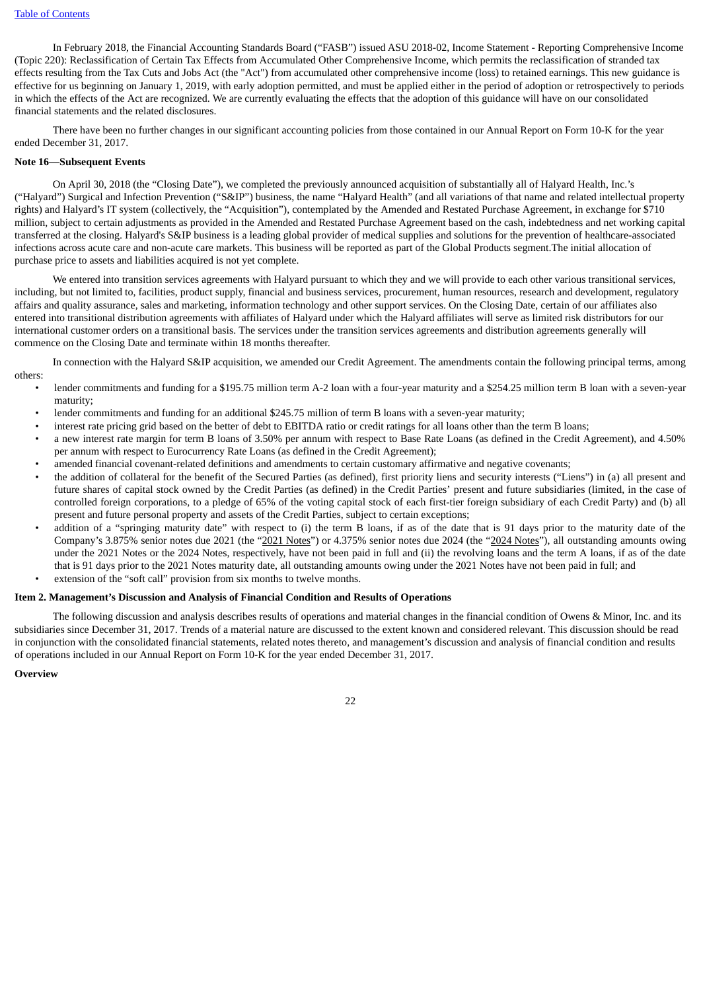In February 2018, the Financial Accounting Standards Board ("FASB") issued ASU 2018-02, Income Statement - Reporting Comprehensive Income (Topic 220): Reclassification of Certain Tax Effects from Accumulated Other Comprehensive Income, which permits the reclassification of stranded tax effects resulting from the Tax Cuts and Jobs Act (the "Act") from accumulated other comprehensive income (loss) to retained earnings. This new guidance is effective for us beginning on January 1, 2019, with early adoption permitted, and must be applied either in the period of adoption or retrospectively to periods in which the effects of the Act are recognized. We are currently evaluating the effects that the adoption of this guidance will have on our consolidated financial statements and the related disclosures.

There have been no further changes in our significant accounting policies from those contained in our Annual Report on Form 10-K for the year ended December 31, 2017.

#### **Note 16—Subsequent Events**

On April 30, 2018 (the "Closing Date"), we completed the previously announced acquisition of substantially all of Halyard Health, Inc.'s ("Halyard") Surgical and Infection Prevention ("S&IP") business, the name "Halyard Health" (and all variations of that name and related intellectual property rights) and Halyard's IT system (collectively, the "Acquisition"), contemplated by the Amended and Restated Purchase Agreement, in exchange for \$710 million, subject to certain adjustments as provided in the Amended and Restated Purchase Agreement based on the cash, indebtedness and net working capital transferred at the closing. Halyard's S&IP business is a leading global provider of medical supplies and solutions for the prevention of healthcare-associated infections across acute care and non-acute care markets. This business will be reported as part of the Global Products segment.The initial allocation of purchase price to assets and liabilities acquired is not yet complete.

We entered into transition services agreements with Halyard pursuant to which they and we will provide to each other various transitional services, including, but not limited to, facilities, product supply, financial and business services, procurement, human resources, research and development, regulatory affairs and quality assurance, sales and marketing, information technology and other support services. On the Closing Date, certain of our affiliates also entered into transitional distribution agreements with affiliates of Halyard under which the Halyard affiliates will serve as limited risk distributors for our international customer orders on a transitional basis. The services under the transition services agreements and distribution agreements generally will commence on the Closing Date and terminate within 18 months thereafter.

In connection with the Halyard S&IP acquisition, we amended our Credit Agreement. The amendments contain the following principal terms, among others:

- lender commitments and funding for a \$195.75 million term A-2 loan with a four-year maturity and a \$254.25 million term B loan with a seven-year maturity;
	- lender commitments and funding for an additional \$245.75 million of term B loans with a seven-year maturity;
	- interest rate pricing grid based on the better of debt to EBITDA ratio or credit ratings for all loans other than the term B loans;
	- a new interest rate margin for term B loans of 3.50% per annum with respect to Base Rate Loans (as defined in the Credit Agreement), and 4.50% per annum with respect to Eurocurrency Rate Loans (as defined in the Credit Agreement);
	- amended financial covenant-related definitions and amendments to certain customary affirmative and negative covenants;
	- the addition of collateral for the benefit of the Secured Parties (as defined), first priority liens and security interests ("Liens") in (a) all present and future shares of capital stock owned by the Credit Parties (as defined) in the Credit Parties' present and future subsidiaries (limited, in the case of controlled foreign corporations, to a pledge of 65% of the voting capital stock of each first-tier foreign subsidiary of each Credit Party) and (b) all present and future personal property and assets of the Credit Parties, subject to certain exceptions;
- addition of a "springing maturity date" with respect to (i) the term B loans, if as of the date that is 91 days prior to the maturity date of the Company's 3.875% senior notes due 2021 (the "2021 Notes") or 4.375% senior notes due 2024 (the "2024 Notes"), all outstanding amounts owing under the 2021 Notes or the 2024 Notes, respectively, have not been paid in full and (ii) the revolving loans and the term A loans, if as of the date that is 91 days prior to the 2021 Notes maturity date, all outstanding amounts owing under the 2021 Notes have not been paid in full; and extension of the "soft call" provision from six months to twelve months.
- 

## <span id="page-21-0"></span>**Item 2. Management's Discussion and Analysis of Financial Condition and Results of Operations**

The following discussion and analysis describes results of operations and material changes in the financial condition of Owens & Minor, Inc. and its subsidiaries since December 31, 2017. Trends of a material nature are discussed to the extent known and considered relevant. This discussion should be read in conjunction with the consolidated financial statements, related notes thereto, and management's discussion and analysis of financial condition and results of operations included in our Annual Report on Form 10-K for the year ended December 31, 2017.

#### **Overview**

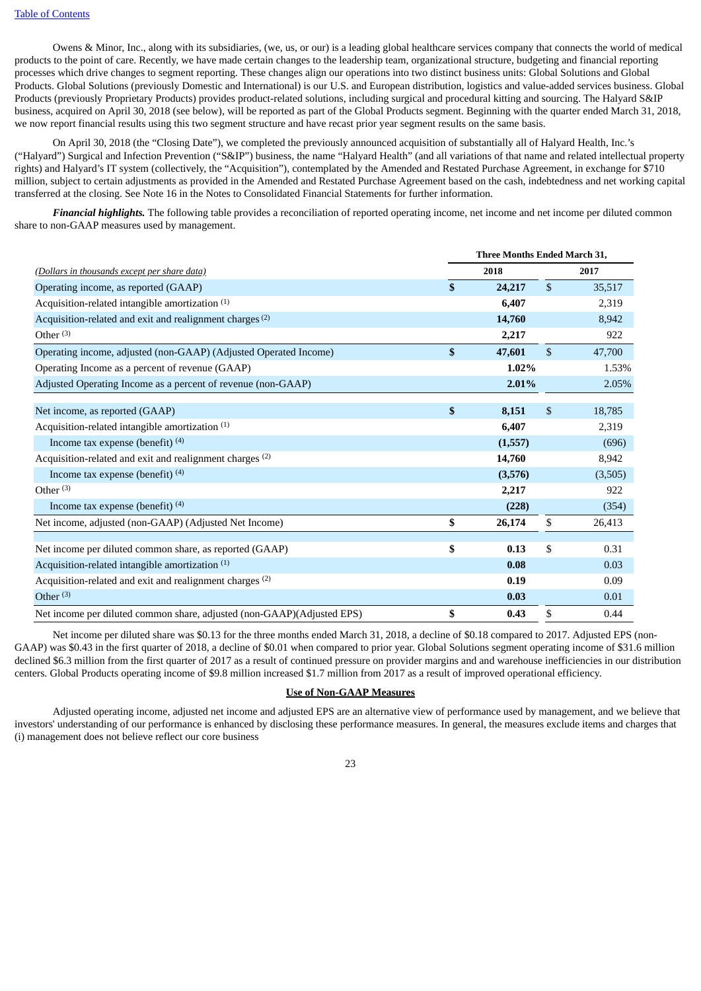Owens & Minor, Inc., along with its subsidiaries, (we, us, or our) is a leading global healthcare services company that connects the world of medical products to the point of care. Recently, we have made certain changes to the leadership team, organizational structure, budgeting and financial reporting processes which drive changes to segment reporting. These changes align our operations into two distinct business units: Global Solutions and Global Products. Global Solutions (previously Domestic and International) is our U.S. and European distribution, logistics and value-added services business. Global Products (previously Proprietary Products) provides product-related solutions, including surgical and procedural kitting and sourcing. The Halyard S&IP business, acquired on April 30, 2018 (see below), will be reported as part of the Global Products segment. Beginning with the quarter ended March 31, 2018, we now report financial results using this two segment structure and have recast prior year segment results on the same basis.

On April 30, 2018 (the "Closing Date"), we completed the previously announced acquisition of substantially all of Halyard Health, Inc.'s ("Halyard") Surgical and Infection Prevention ("S&IP") business, the name "Halyard Health" (and all variations of that name and related intellectual property rights) and Halyard's IT system (collectively, the "Acquisition"), contemplated by the Amended and Restated Purchase Agreement, in exchange for \$710 million, subject to certain adjustments as provided in the Amended and Restated Purchase Agreement based on the cash, indebtedness and net working capital transferred at the closing. See Note 16 in the Notes to Consolidated Financial Statements for further information.

*Financial highlights.* The following table provides a reconciliation of reported operating income, net income and net income per diluted common share to non-GAAP measures used by management.

|                                                                        | Three Months Ended March 31, |              |         |
|------------------------------------------------------------------------|------------------------------|--------------|---------|
| (Dollars in thousands except per share data)                           | 2018                         |              | 2017    |
| Operating income, as reported (GAAP)                                   | \$<br>24,217                 | $\mathbb{S}$ | 35,517  |
| Acquisition-related intangible amortization (1)                        | 6,407                        |              | 2,319   |
| Acquisition-related and exit and realignment charges <sup>(2)</sup>    | 14,760                       |              | 8,942   |
| Other $(3)$                                                            | 2,217                        |              | 922     |
| Operating income, adjusted (non-GAAP) (Adjusted Operated Income)       | \$<br>47,601                 | $\mathbb{S}$ | 47,700  |
| Operating Income as a percent of revenue (GAAP)                        | 1.02%                        |              | 1.53%   |
| Adjusted Operating Income as a percent of revenue (non-GAAP)           | 2.01%                        |              | 2.05%   |
| Net income, as reported (GAAP)                                         | \$<br>8,151                  | \$           | 18,785  |
| Acquisition-related intangible amortization (1)                        | 6,407                        |              | 2,319   |
| Income tax expense (benefit) $(4)$                                     | (1,557)                      |              | (696)   |
| Acquisition-related and exit and realignment charges <sup>(2)</sup>    | 14,760                       |              | 8,942   |
| Income tax expense (benefit) (4)                                       | (3,576)                      |              | (3,505) |
| Other $(3)$                                                            | 2,217                        |              | 922     |
| Income tax expense (benefit) $(4)$                                     | (228)                        |              | (354)   |
| Net income, adjusted (non-GAAP) (Adjusted Net Income)                  | \$<br>26,174                 | \$           | 26,413  |
|                                                                        |                              |              |         |
| Net income per diluted common share, as reported (GAAP)                | \$<br>0.13                   | \$           | 0.31    |
| Acquisition-related intangible amortization <sup>(1)</sup>             | 0.08                         |              | 0.03    |
| Acquisition-related and exit and realignment charges <sup>(2)</sup>    | 0.19                         |              | 0.09    |
| Other $(3)$                                                            | 0.03                         |              | 0.01    |
| Net income per diluted common share, adjusted (non-GAAP)(Adjusted EPS) | \$<br>0.43                   | \$           | 0.44    |

Net income per diluted share was \$0.13 for the three months ended March 31, 2018, a decline of \$0.18 compared to 2017. Adjusted EPS (non-GAAP) was \$0.43 in the first quarter of 2018, a decline of \$0.01 when compared to prior year. Global Solutions segment operating income of \$31.6 million declined \$6.3 million from the first quarter of 2017 as a result of continued pressure on provider margins and and warehouse inefficiencies in our distribution centers. Global Products operating income of \$9.8 million increased \$1.7 million from 2017 as a result of improved operational efficiency.

#### **Use of Non-GAAP Measures**

Adjusted operating income, adjusted net income and adjusted EPS are an alternative view of performance used by management, and we believe that investors' understanding of our performance is enhanced by disclosing these performance measures. In general, the measures exclude items and charges that (i) management does not believe reflect our core business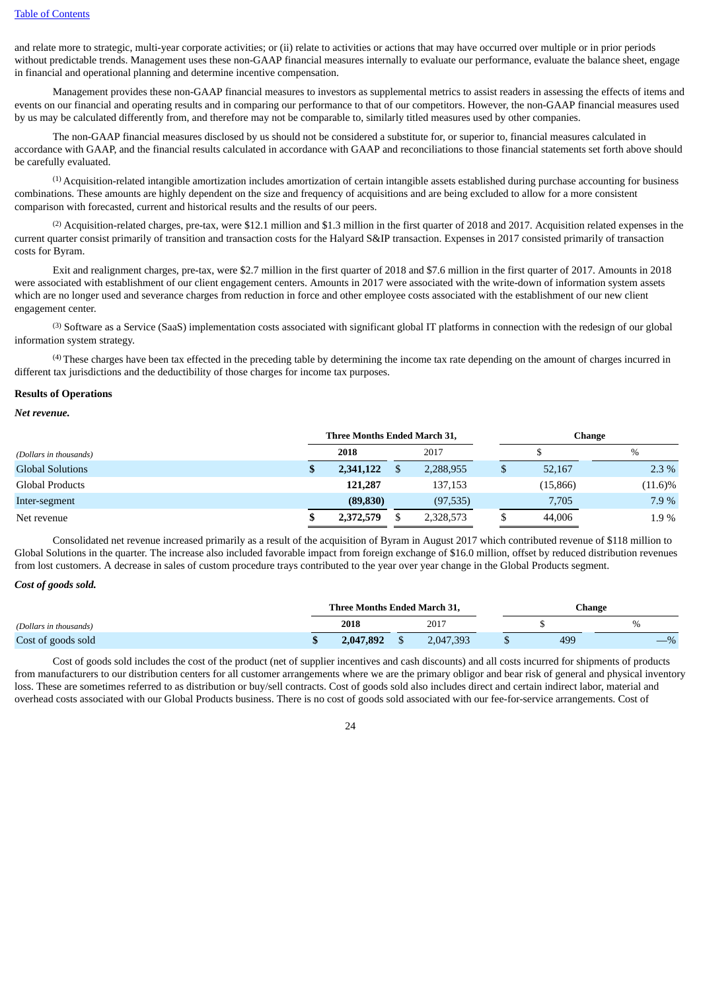and relate more to strategic, multi-year corporate activities; or (ii) relate to activities or actions that may have occurred over multiple or in prior periods without predictable trends. Management uses these non-GAAP financial measures internally to evaluate our performance, evaluate the balance sheet, engage in financial and operational planning and determine incentive compensation.

Management provides these non-GAAP financial measures to investors as supplemental metrics to assist readers in assessing the effects of items and events on our financial and operating results and in comparing our performance to that of our competitors. However, the non-GAAP financial measures used by us may be calculated differently from, and therefore may not be comparable to, similarly titled measures used by other companies.

The non-GAAP financial measures disclosed by us should not be considered a substitute for, or superior to, financial measures calculated in accordance with GAAP, and the financial results calculated in accordance with GAAP and reconciliations to those financial statements set forth above should be carefully evaluated.

 $<sup>(1)</sup>$  Acquisition-related intangible amortization includes amortization of certain intangible assets established during purchase accounting for business</sup> combinations. These amounts are highly dependent on the size and frequency of acquisitions and are being excluded to allow for a more consistent comparison with forecasted, current and historical results and the results of our peers.

(2) Acquisition-related charges, pre-tax, were \$12.1 million and \$1.3 million in the first quarter of 2018 and 2017. Acquisition related expenses in the current quarter consist primarily of transition and transaction costs for the Halyard S&IP transaction. Expenses in 2017 consisted primarily of transaction costs for Byram.

Exit and realignment charges, pre-tax, were \$2.7 million in the first quarter of 2018 and \$7.6 million in the first quarter of 2017. Amounts in 2018 were associated with establishment of our client engagement centers. Amounts in 2017 were associated with the write-down of information system assets which are no longer used and severance charges from reduction in force and other employee costs associated with the establishment of our new client engagement center.

(3) Software as a Service (SaaS) implementation costs associated with significant global IT platforms in connection with the redesign of our global information system strategy.

(4) These charges have been tax effected in the preceding table by determining the income tax rate depending on the amount of charges incurred in different tax jurisdictions and the deductibility of those charges for income tax purposes.

#### **Results of Operations**

#### *Net revenue.*

|                         |  | Three Months Ended March 31, |      |           | Change    |            |  |  |
|-------------------------|--|------------------------------|------|-----------|-----------|------------|--|--|
| (Dollars in thousands)  |  | 2018                         | 2017 |           |           | $\%$       |  |  |
| <b>Global Solutions</b> |  | 2,341,122                    |      | 2,288,955 | 52,167    | $2.3\%$    |  |  |
| Global Products         |  | 121,287                      |      | 137,153   | (15, 866) | $(11.6)\%$ |  |  |
| Inter-segment           |  | (89, 830)                    |      | (97,535)  | 7,705     | 7.9 %      |  |  |
| Net revenue             |  | 2,372,579                    |      | 2,328,573 | 44,006    | 1.9%       |  |  |

Consolidated net revenue increased primarily as a result of the acquisition of Byram in August 2017 which contributed revenue of \$118 million to Global Solutions in the quarter. The increase also included favorable impact from foreign exchange of \$16.0 million, offset by reduced distribution revenues from lost customers. A decrease in sales of custom procedure trays contributed to the year over year change in the Global Products segment.

#### *Cost of goods sold.*

|                        | Three Months Ended March 31, |           |  |           |  | <b>Change</b> |     |      |       |
|------------------------|------------------------------|-----------|--|-----------|--|---------------|-----|------|-------|
| (Dollars in thousands) |                              | 2018      |  | 2017      |  |               |     | $\%$ |       |
| Cost of goods sold     |                              | 2,047,892 |  | 2,047,393 |  |               | 499 |      | $-$ % |

Cost of goods sold includes the cost of the product (net of supplier incentives and cash discounts) and all costs incurred for shipments of products from manufacturers to our distribution centers for all customer arrangements where we are the primary obligor and bear risk of general and physical inventory loss. These are sometimes referred to as distribution or buy/sell contracts. Cost of goods sold also includes direct and certain indirect labor, material and overhead costs associated with our Global Products business. There is no cost of goods sold associated with our fee-for-service arrangements. Cost of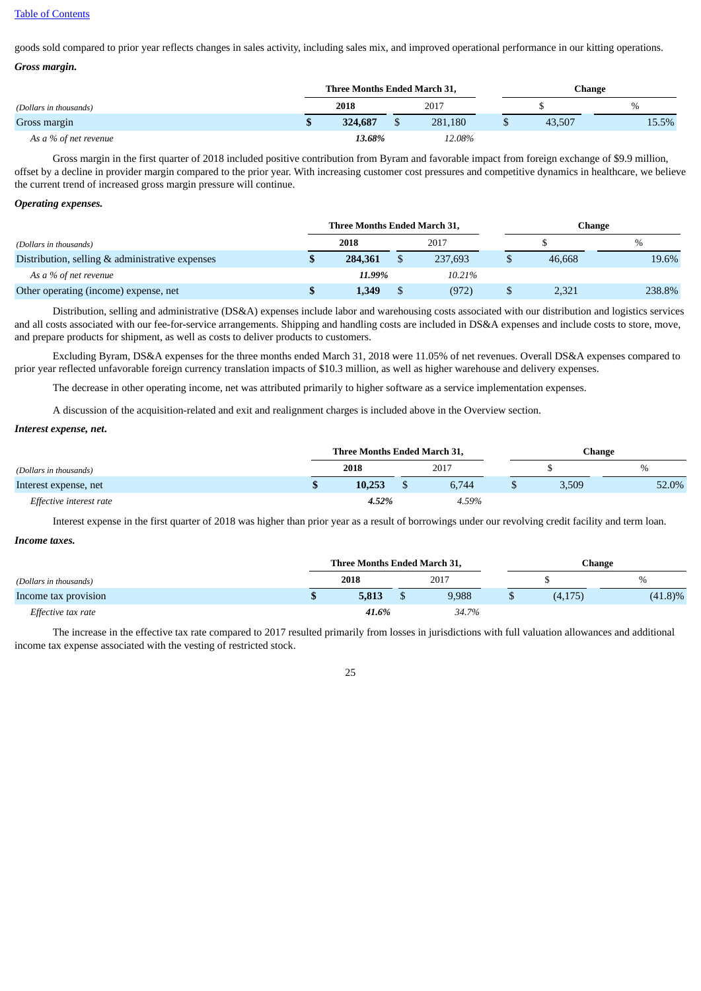goods sold compared to prior year reflects changes in sales activity, including sales mix, and improved operational performance in our kitting operations.

#### *Gross margin.*

|                        |  |         | Three Months Ended March 31. |         | Change |        |       |  |
|------------------------|--|---------|------------------------------|---------|--------|--------|-------|--|
| (Dollars in thousands) |  |         | 2018                         | 2017    |        |        | $\%$  |  |
| Gross margin           |  | 324,687 |                              | 281.180 |        | 43,507 | 15.5% |  |
| As a % of net revenue  |  |         | 13.68%                       | 12.08%  |        |        |       |  |

Gross margin in the first quarter of 2018 included positive contribution from Byram and favorable impact from foreign exchange of \$9.9 million, offset by a decline in provider margin compared to the prior year. With increasing customer cost pressures and competitive dynamics in healthcare, we believe the current trend of increased gross margin pressure will continue.

#### *Operating expenses.*

|                                                 | <b>Three Months Ended March 31.</b> |         | Change |        |  |  |
|-------------------------------------------------|-------------------------------------|---------|--------|--------|--|--|
| (Dollars in thousands)                          | 2018                                | 2017    |        | $\%$   |  |  |
| Distribution, selling & administrative expenses | 284,361                             | 237.693 | 46.668 | 19.6%  |  |  |
| As a % of net revenue                           | 11.99%                              | 10.21%  |        |        |  |  |
| Other operating (income) expense, net           | 1,349                               | (972)   | 2,321  | 238.8% |  |  |

Distribution, selling and administrative (DS&A) expenses include labor and warehousing costs associated with our distribution and logistics services and all costs associated with our fee-for-service arrangements. Shipping and handling costs are included in DS&A expenses and include costs to store, move, and prepare products for shipment, as well as costs to deliver products to customers.

Excluding Byram, DS&A expenses for the three months ended March 31, 2018 were 11.05% of net revenues. Overall DS&A expenses compared to prior year reflected unfavorable foreign currency translation impacts of \$10.3 million, as well as higher warehouse and delivery expenses.

The decrease in other operating income, net was attributed primarily to higher software as a service implementation expenses.

A discussion of the acquisition-related and exit and realignment charges is included above in the Overview section.

#### *Interest expense, net***.**

|                         |  | Three Months Ended March 31, |  | Change |  |       |       |  |
|-------------------------|--|------------------------------|--|--------|--|-------|-------|--|
| (Dollars in thousands)  |  | 2018                         |  | 2017   |  |       |       |  |
| Interest expense, net   |  | 10,253                       |  | 6.744  |  | 3,509 | 52.0% |  |
| Effective interest rate |  | 4.52%                        |  | 4.59%  |  |       |       |  |

Interest expense in the first quarter of 2018 was higher than prior year as a result of borrowings under our revolving credit facility and term loan.

#### *Income taxes.*

|                        | <b>Three Months Ended March 31.</b> |  |       | Change |          |            |  |
|------------------------|-------------------------------------|--|-------|--------|----------|------------|--|
| (Dollars in thousands) | 2018                                |  | 2017  |        |          | $\%$       |  |
| Income tax provision   | 5.813                               |  | 9,988 |        | (4, 175) | $(41.8)\%$ |  |
| Effective tax rate     | 41.6%                               |  | 34.7% |        |          |            |  |

The increase in the effective tax rate compared to 2017 resulted primarily from losses in jurisdictions with full valuation allowances and additional income tax expense associated with the vesting of restricted stock.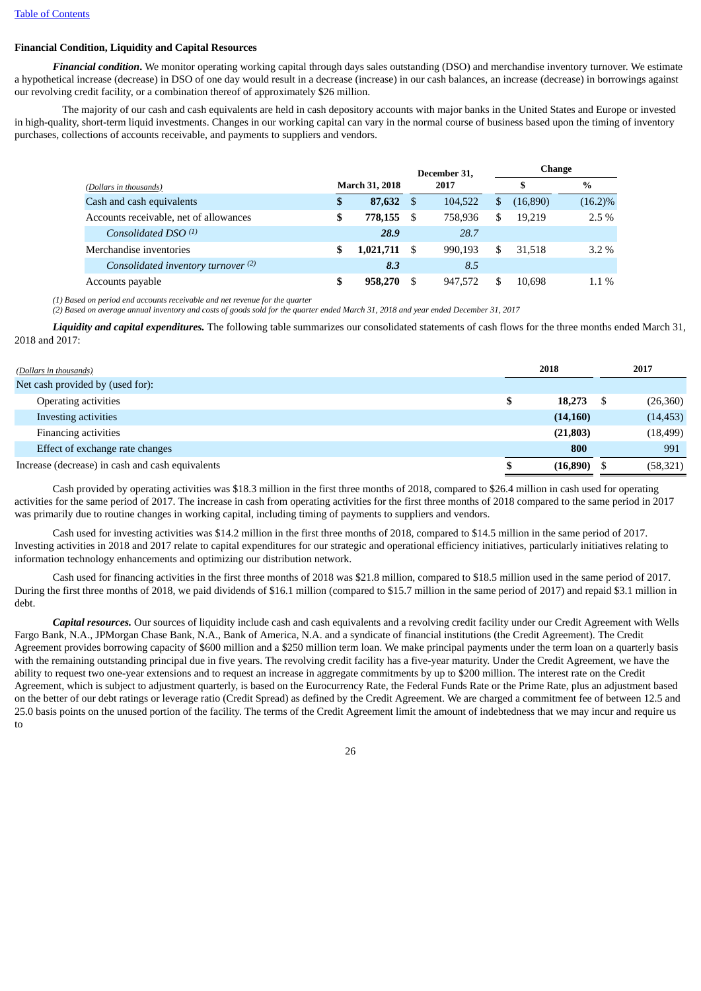## **Financial Condition, Liquidity and Capital Resources**

*Financial condition***.** We monitor operating working capital through days sales outstanding (DSO) and merchandise inventory turnover. We estimate a hypothetical increase (decrease) in DSO of one day would result in a decrease (increase) in our cash balances, an increase (decrease) in borrowings against our revolving credit facility, or a combination thereof of approximately \$26 million.

The majority of our cash and cash equivalents are held in cash depository accounts with major banks in the United States and Europe or invested in high-quality, short-term liquid investments. Changes in our working capital can vary in the normal course of business based upon the timing of inventory purchases, collections of accounts receivable, and payments to suppliers and vendors.

|                                                |    |                       | December 31. |         | <b>Change</b> |           |            |  |
|------------------------------------------------|----|-----------------------|--------------|---------|---------------|-----------|------------|--|
| (Dollars in thousands)                         |    | <b>March 31, 2018</b> |              | 2017    |               | S         | $\%$       |  |
| Cash and cash equivalents                      | S. | 87,632                | -S           | 104,522 | \$.           | (16, 890) | $(16.2)\%$ |  |
| Accounts receivable, net of allowances         | \$ | 778.155               | -S           | 758.936 | \$            | 19.219    | $2.5\%$    |  |
| Consolidated DSO $(1)$                         |    | 28.9                  |              | 28.7    |               |           |            |  |
| Merchandise inventories                        | S  | $1,021,711$ \$        |              | 990.193 | S.            | 31.518    | $3.2\%$    |  |
| Consolidated inventory turnover <sup>(2)</sup> |    | 8.3                   |              | 8.5     |               |           |            |  |
| Accounts payable                               |    | 958,270               | S            | 947.572 |               | 10.698    | 1.1 %      |  |

*(1) Based on period end accounts receivable and net revenue for the quarter*

(2) Based on average annual inventory and costs of goods sold for the quarter ended March 31, 2018 and year ended December 31, 2017

*Liquidity and capital expenditures.* The following table summarizes our consolidated statements of cash flows for the three months ended March 31, 2018 and 2017:

| (Dollars in thousands)                           |   | 2018      |      | 2017      |
|--------------------------------------------------|---|-----------|------|-----------|
| Net cash provided by (used for):                 |   |           |      |           |
| <b>Operating activities</b>                      | Œ | 18,273    | - \$ | (26, 360) |
| Investing activities                             |   | (14, 160) |      | (14, 453) |
| <b>Financing activities</b>                      |   | (21, 803) |      | (18, 499) |
| Effect of exchange rate changes                  |   | 800       |      | 991       |
| Increase (decrease) in cash and cash equivalents |   | (16, 890) |      | (58, 321) |

Cash provided by operating activities was \$18.3 million in the first three months of 2018, compared to \$26.4 million in cash used for operating activities for the same period of 2017. The increase in cash from operating activities for the first three months of 2018 compared to the same period in 2017 was primarily due to routine changes in working capital, including timing of payments to suppliers and vendors.

Cash used for investing activities was \$14.2 million in the first three months of 2018, compared to \$14.5 million in the same period of 2017. Investing activities in 2018 and 2017 relate to capital expenditures for our strategic and operational efficiency initiatives, particularly initiatives relating to information technology enhancements and optimizing our distribution network.

Cash used for financing activities in the first three months of 2018 was \$21.8 million, compared to \$18.5 million used in the same period of 2017. During the first three months of 2018, we paid dividends of \$16.1 million (compared to \$15.7 million in the same period of 2017) and repaid \$3.1 million in debt.

*Capital resources.* Our sources of liquidity include cash and cash equivalents and a revolving credit facility under our Credit Agreement with Wells Fargo Bank, N.A., JPMorgan Chase Bank, N.A., Bank of America, N.A. and a syndicate of financial institutions (the Credit Agreement). The Credit Agreement provides borrowing capacity of \$600 million and a \$250 million term loan. We make principal payments under the term loan on a quarterly basis with the remaining outstanding principal due in five years. The revolving credit facility has a five-year maturity. Under the Credit Agreement, we have the ability to request two one-year extensions and to request an increase in aggregate commitments by up to \$200 million. The interest rate on the Credit Agreement, which is subject to adjustment quarterly, is based on the Eurocurrency Rate, the Federal Funds Rate or the Prime Rate, plus an adjustment based on the better of our debt ratings or leverage ratio (Credit Spread) as defined by the Credit Agreement. We are charged a commitment fee of between 12.5 and 25.0 basis points on the unused portion of the facility. The terms of the Credit Agreement limit the amount of indebtedness that we may incur and require us to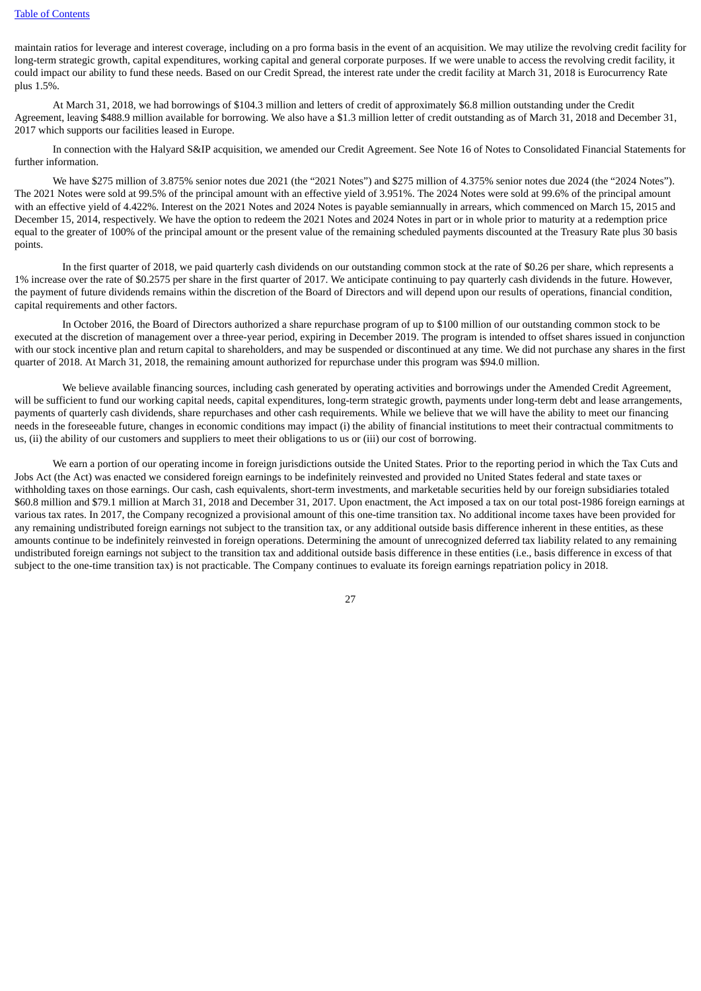maintain ratios for leverage and interest coverage, including on a pro forma basis in the event of an acquisition. We may utilize the revolving credit facility for long-term strategic growth, capital expenditures, working capital and general corporate purposes. If we were unable to access the revolving credit facility, it could impact our ability to fund these needs. Based on our Credit Spread, the interest rate under the credit facility at March 31, 2018 is Eurocurrency Rate plus 1.5%.

At March 31, 2018, we had borrowings of \$104.3 million and letters of credit of approximately \$6.8 million outstanding under the Credit Agreement, leaving \$488.9 million available for borrowing. We also have a \$1.3 million letter of credit outstanding as of March 31, 2018 and December 31, 2017 which supports our facilities leased in Europe.

In connection with the Halyard S&IP acquisition, we amended our Credit Agreement. See Note 16 of Notes to Consolidated Financial Statements for further information.

We have \$275 million of 3.875% senior notes due 2021 (the "2021 Notes") and \$275 million of 4.375% senior notes due 2024 (the "2024 Notes"). The 2021 Notes were sold at 99.5% of the principal amount with an effective yield of 3.951%. The 2024 Notes were sold at 99.6% of the principal amount with an effective yield of 4.422%. Interest on the 2021 Notes and 2024 Notes is payable semiannually in arrears, which commenced on March 15, 2015 and December 15, 2014, respectively. We have the option to redeem the 2021 Notes and 2024 Notes in part or in whole prior to maturity at a redemption price equal to the greater of 100% of the principal amount or the present value of the remaining scheduled payments discounted at the Treasury Rate plus 30 basis points.

In the first quarter of 2018, we paid quarterly cash dividends on our outstanding common stock at the rate of \$0.26 per share, which represents a 1% increase over the rate of \$0.2575 per share in the first quarter of 2017. We anticipate continuing to pay quarterly cash dividends in the future. However, the payment of future dividends remains within the discretion of the Board of Directors and will depend upon our results of operations, financial condition, capital requirements and other factors.

In October 2016, the Board of Directors authorized a share repurchase program of up to \$100 million of our outstanding common stock to be executed at the discretion of management over a three-year period, expiring in December 2019. The program is intended to offset shares issued in conjunction with our stock incentive plan and return capital to shareholders, and may be suspended or discontinued at any time. We did not purchase any shares in the first quarter of 2018. At March 31, 2018, the remaining amount authorized for repurchase under this program was \$94.0 million.

We believe available financing sources, including cash generated by operating activities and borrowings under the Amended Credit Agreement, will be sufficient to fund our working capital needs, capital expenditures, long-term strategic growth, payments under long-term debt and lease arrangements, payments of quarterly cash dividends, share repurchases and other cash requirements. While we believe that we will have the ability to meet our financing needs in the foreseeable future, changes in economic conditions may impact (i) the ability of financial institutions to meet their contractual commitments to us, (ii) the ability of our customers and suppliers to meet their obligations to us or (iii) our cost of borrowing.

We earn a portion of our operating income in foreign jurisdictions outside the United States. Prior to the reporting period in which the Tax Cuts and Jobs Act (the Act) was enacted we considered foreign earnings to be indefinitely reinvested and provided no United States federal and state taxes or withholding taxes on those earnings. Our cash, cash equivalents, short-term investments, and marketable securities held by our foreign subsidiaries totaled \$60.8 million and \$79.1 million at March 31, 2018 and December 31, 2017. Upon enactment, the Act imposed a tax on our total post-1986 foreign earnings at various tax rates. In 2017, the Company recognized a provisional amount of this one-time transition tax. No additional income taxes have been provided for any remaining undistributed foreign earnings not subject to the transition tax, or any additional outside basis difference inherent in these entities, as these amounts continue to be indefinitely reinvested in foreign operations. Determining the amount of unrecognized deferred tax liability related to any remaining undistributed foreign earnings not subject to the transition tax and additional outside basis difference in these entities (i.e., basis difference in excess of that subject to the one-time transition tax) is not practicable. The Company continues to evaluate its foreign earnings repatriation policy in 2018.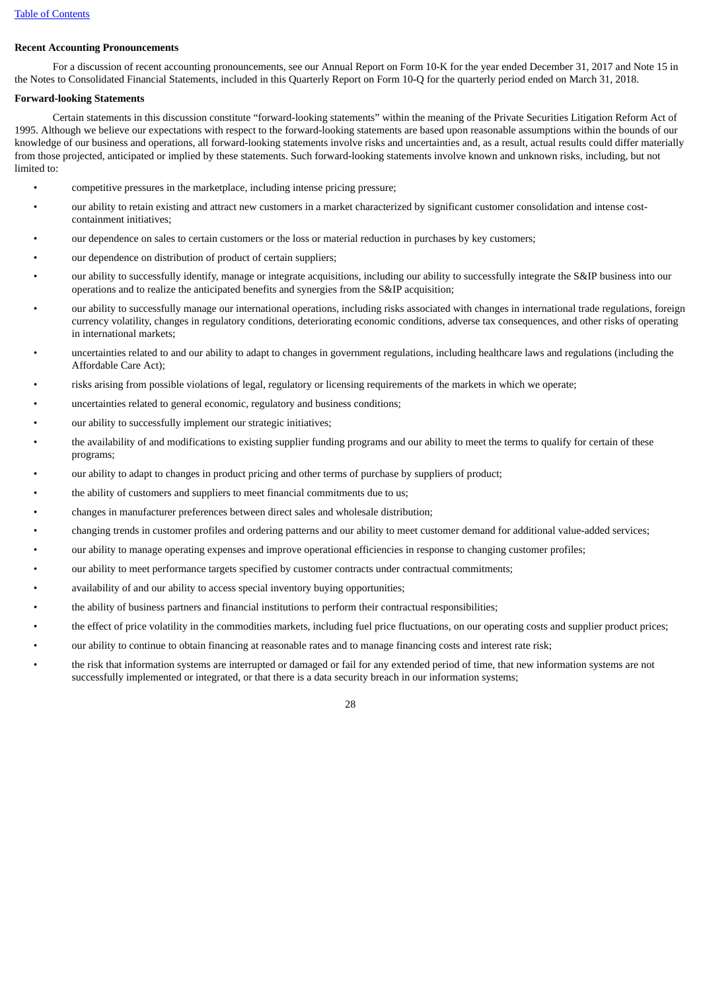## **Recent Accounting Pronouncements**

For a discussion of recent accounting pronouncements, see our Annual Report on Form 10-K for the year ended December 31, 2017 and Note 15 in the Notes to Consolidated Financial Statements, included in this Quarterly Report on Form 10-Q for the quarterly period ended on March 31, 2018.

## **Forward-looking Statements**

Certain statements in this discussion constitute "forward-looking statements" within the meaning of the Private Securities Litigation Reform Act of 1995. Although we believe our expectations with respect to the forward-looking statements are based upon reasonable assumptions within the bounds of our knowledge of our business and operations, all forward-looking statements involve risks and uncertainties and, as a result, actual results could differ materially from those projected, anticipated or implied by these statements. Such forward-looking statements involve known and unknown risks, including, but not limited to:

- competitive pressures in the marketplace, including intense pricing pressure;
- our ability to retain existing and attract new customers in a market characterized by significant customer consolidation and intense costcontainment initiatives;
- our dependence on sales to certain customers or the loss or material reduction in purchases by key customers;
- our dependence on distribution of product of certain suppliers;
- our ability to successfully identify, manage or integrate acquisitions, including our ability to successfully integrate the S&IP business into our operations and to realize the anticipated benefits and synergies from the S&IP acquisition;
- our ability to successfully manage our international operations, including risks associated with changes in international trade regulations, foreign currency volatility, changes in regulatory conditions, deteriorating economic conditions, adverse tax consequences, and other risks of operating in international markets;
- uncertainties related to and our ability to adapt to changes in government regulations, including healthcare laws and regulations (including the Affordable Care Act);
- risks arising from possible violations of legal, regulatory or licensing requirements of the markets in which we operate;
- uncertainties related to general economic, regulatory and business conditions;
- our ability to successfully implement our strategic initiatives;
- the availability of and modifications to existing supplier funding programs and our ability to meet the terms to qualify for certain of these programs;
- our ability to adapt to changes in product pricing and other terms of purchase by suppliers of product;
- the ability of customers and suppliers to meet financial commitments due to us;
- changes in manufacturer preferences between direct sales and wholesale distribution;
- changing trends in customer profiles and ordering patterns and our ability to meet customer demand for additional value-added services;
- our ability to manage operating expenses and improve operational efficiencies in response to changing customer profiles;
- our ability to meet performance targets specified by customer contracts under contractual commitments;
- availability of and our ability to access special inventory buying opportunities;
- the ability of business partners and financial institutions to perform their contractual responsibilities;
- the effect of price volatility in the commodities markets, including fuel price fluctuations, on our operating costs and supplier product prices;
- our ability to continue to obtain financing at reasonable rates and to manage financing costs and interest rate risk;
- the risk that information systems are interrupted or damaged or fail for any extended period of time, that new information systems are not successfully implemented or integrated, or that there is a data security breach in our information systems;

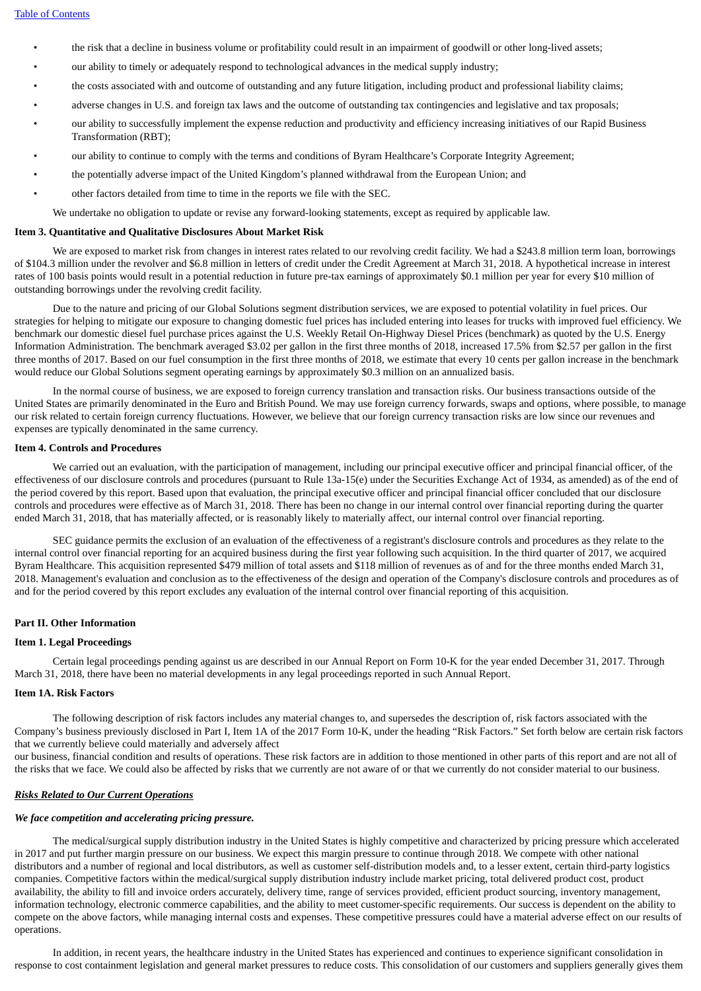- the risk that a decline in business volume or profitability could result in an impairment of goodwill or other long-lived assets;
- our ability to timely or adequately respond to technological advances in the medical supply industry;
- the costs associated with and outcome of outstanding and any future litigation, including product and professional liability claims;
- adverse changes in U.S. and foreign tax laws and the outcome of outstanding tax contingencies and legislative and tax proposals;
- our ability to successfully implement the expense reduction and productivity and efficiency increasing initiatives of our Rapid Business Transformation (RBT);
- our ability to continue to comply with the terms and conditions of Byram Healthcare's Corporate Integrity Agreement;
- the potentially adverse impact of the United Kingdom's planned withdrawal from the European Union; and
- other factors detailed from time to time in the reports we file with the SEC.

We undertake no obligation to update or revise any forward-looking statements, except as required by applicable law.

#### <span id="page-28-0"></span>**Item 3. Quantitative and Qualitative Disclosures About Market Risk**

We are exposed to market risk from changes in interest rates related to our revolving credit facility. We had a \$243.8 million term loan, borrowings of \$104.3 million under the revolver and \$6.8 million in letters of credit under the Credit Agreement at March 31, 2018. A hypothetical increase in interest rates of 100 basis points would result in a potential reduction in future pre-tax earnings of approximately \$0.1 million per year for every \$10 million of outstanding borrowings under the revolving credit facility.

Due to the nature and pricing of our Global Solutions segment distribution services, we are exposed to potential volatility in fuel prices. Our strategies for helping to mitigate our exposure to changing domestic fuel prices has included entering into leases for trucks with improved fuel efficiency. We benchmark our domestic diesel fuel purchase prices against the U.S. Weekly Retail On-Highway Diesel Prices (benchmark) as quoted by the U.S. Energy Information Administration. The benchmark averaged \$3.02 per gallon in the first three months of 2018, increased 17.5% from \$2.57 per gallon in the first three months of 2017. Based on our fuel consumption in the first three months of 2018, we estimate that every 10 cents per gallon increase in the benchmark would reduce our Global Solutions segment operating earnings by approximately \$0.3 million on an annualized basis.

In the normal course of business, we are exposed to foreign currency translation and transaction risks. Our business transactions outside of the United States are primarily denominated in the Euro and British Pound. We may use foreign currency forwards, swaps and options, where possible, to manage our risk related to certain foreign currency fluctuations. However, we believe that our foreign currency transaction risks are low since our revenues and expenses are typically denominated in the same currency.

#### <span id="page-28-1"></span>**Item 4. Controls and Procedures**

We carried out an evaluation, with the participation of management, including our principal executive officer and principal financial officer, of the effectiveness of our disclosure controls and procedures (pursuant to Rule 13a-15(e) under the Securities Exchange Act of 1934, as amended) as of the end of the period covered by this report. Based upon that evaluation, the principal executive officer and principal financial officer concluded that our disclosure controls and procedures were effective as of March 31, 2018. There has been no change in our internal control over financial reporting during the quarter ended March 31, 2018, that has materially affected, or is reasonably likely to materially affect, our internal control over financial reporting.

SEC guidance permits the exclusion of an evaluation of the effectiveness of a registrant's disclosure controls and procedures as they relate to the internal control over financial reporting for an acquired business during the first year following such acquisition. In the third quarter of 2017, we acquired Byram Healthcare. This acquisition represented \$479 million of total assets and \$118 million of revenues as of and for the three months ended March 31, 2018. Management's evaluation and conclusion as to the effectiveness of the design and operation of the Company's disclosure controls and procedures as of and for the period covered by this report excludes any evaluation of the internal control over financial reporting of this acquisition.

#### <span id="page-28-2"></span>**Part II. Other Information**

#### <span id="page-28-3"></span>**Item 1. Legal Proceedings**

Certain legal proceedings pending against us are described in our Annual Report on Form 10-K for the year ended December 31, 2017. Through March 31, 2018, there have been no material developments in any legal proceedings reported in such Annual Report.

#### <span id="page-28-4"></span>**Item 1A. Risk Factors**

The following description of risk factors includes any material changes to, and supersedes the description of, risk factors associated with the Company's business previously disclosed in Part I, Item 1A of the 2017 Form 10-K, under the heading "Risk Factors." Set forth below are certain risk factors that we currently believe could materially and adversely affect

our business, financial condition and results of operations. These risk factors are in addition to those mentioned in other parts of this report and are not all of the risks that we face. We could also be affected by risks that we currently are not aware of or that we currently do not consider material to our business.

#### *Risks Related to Our Current Operations*

#### *We face competition and accelerating pricing pressure.*

The medical/surgical supply distribution industry in the United States is highly competitive and characterized by pricing pressure which accelerated in 2017 and put further margin pressure on our business. We expect this margin pressure to continue through 2018. We compete with other national distributors and a number of regional and local distributors, as well as customer self-distribution models and, to a lesser extent, certain third-party logistics companies. Competitive factors within the medical/surgical supply distribution industry include market pricing, total delivered product cost, product availability, the ability to fill and invoice orders accurately, delivery time, range of services provided, efficient product sourcing, inventory management, information technology, electronic commerce capabilities, and the ability to meet customer-specific requirements. Our success is dependent on the ability to compete on the above factors, while managing internal costs and expenses. These competitive pressures could have a material adverse effect on our results of operations.

In addition, in recent years, the healthcare industry in the United States has experienced and continues to experience significant consolidation in response to cost containment legislation and general market pressures to reduce costs. This consolidation of our customers and suppliers generally gives them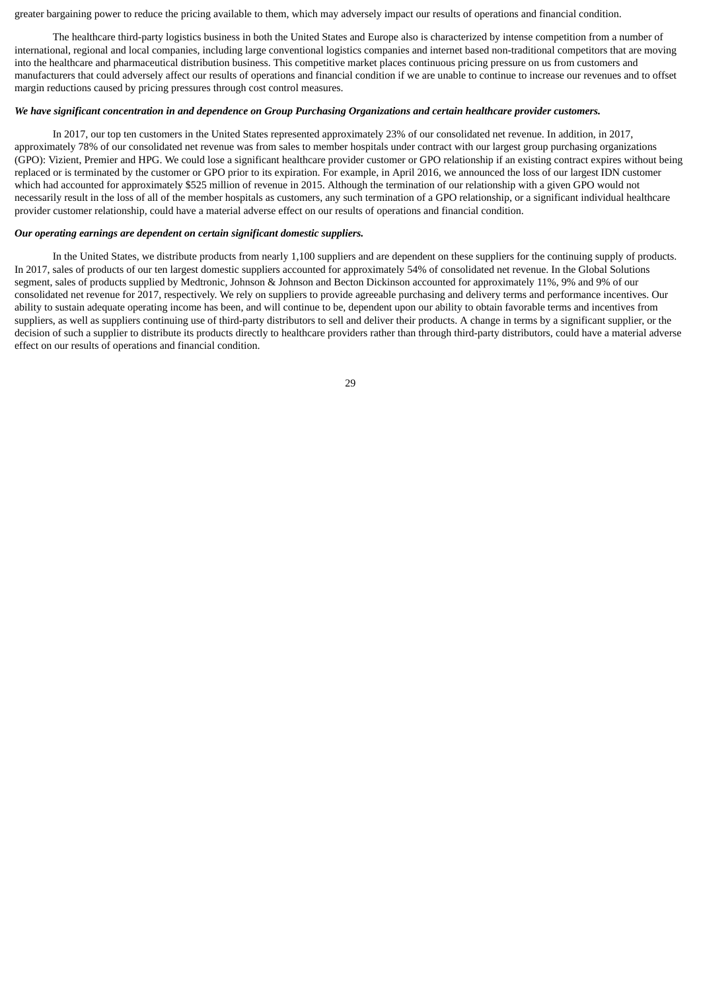#### greater bargaining power to reduce the pricing available to them, which may adversely impact our results of operations and financial condition.

The healthcare third-party logistics business in both the United States and Europe also is characterized by intense competition from a number of international, regional and local companies, including large conventional logistics companies and internet based non-traditional competitors that are moving into the healthcare and pharmaceutical distribution business. This competitive market places continuous pricing pressure on us from customers and manufacturers that could adversely affect our results of operations and financial condition if we are unable to continue to increase our revenues and to offset margin reductions caused by pricing pressures through cost control measures.

#### We have significant concentration in and dependence on Group Purchasing Organizations and certain healthcare provider customers.

In 2017, our top ten customers in the United States represented approximately 23% of our consolidated net revenue. In addition, in 2017, approximately 78% of our consolidated net revenue was from sales to member hospitals under contract with our largest group purchasing organizations (GPO): Vizient, Premier and HPG. We could lose a significant healthcare provider customer or GPO relationship if an existing contract expires without being replaced or is terminated by the customer or GPO prior to its expiration. For example, in April 2016, we announced the loss of our largest IDN customer which had accounted for approximately \$525 million of revenue in 2015. Although the termination of our relationship with a given GPO would not necessarily result in the loss of all of the member hospitals as customers, any such termination of a GPO relationship, or a significant individual healthcare provider customer relationship, could have a material adverse effect on our results of operations and financial condition.

#### *Our operating earnings are dependent on certain significant domestic suppliers.*

In the United States, we distribute products from nearly 1,100 suppliers and are dependent on these suppliers for the continuing supply of products. In 2017, sales of products of our ten largest domestic suppliers accounted for approximately 54% of consolidated net revenue. In the Global Solutions segment, sales of products supplied by Medtronic, Johnson & Johnson and Becton Dickinson accounted for approximately 11%, 9% and 9% of our consolidated net revenue for 2017, respectively. We rely on suppliers to provide agreeable purchasing and delivery terms and performance incentives. Our ability to sustain adequate operating income has been, and will continue to be, dependent upon our ability to obtain favorable terms and incentives from suppliers, as well as suppliers continuing use of third-party distributors to sell and deliver their products. A change in terms by a significant supplier, or the decision of such a supplier to distribute its products directly to healthcare providers rather than through third-party distributors, could have a material adverse effect on our results of operations and financial condition.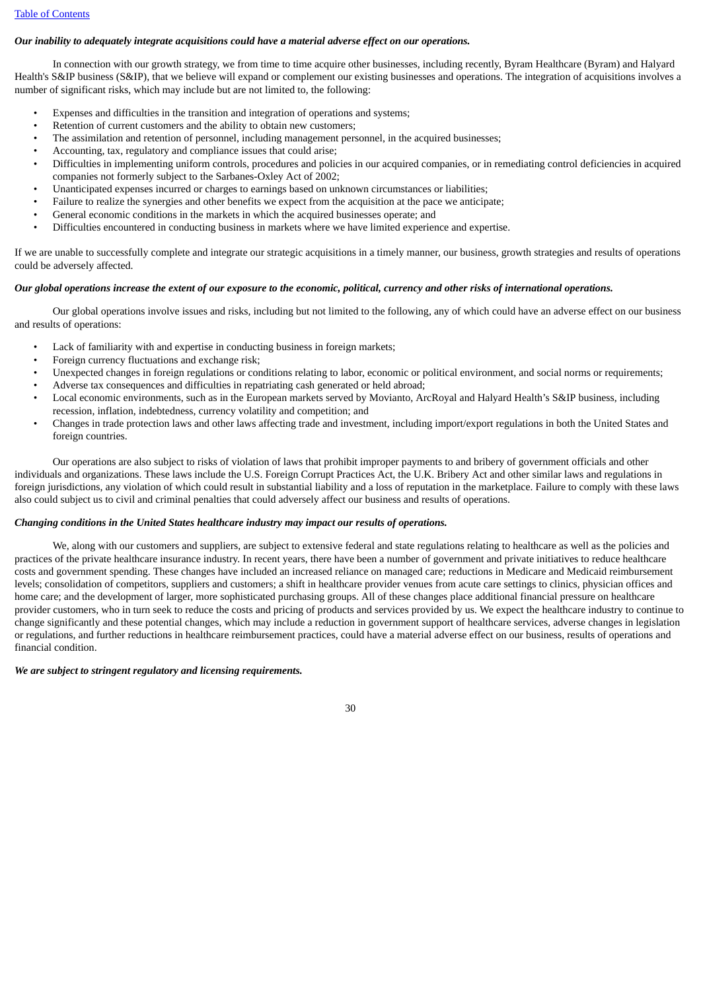#### *Our inability to adequately integrate acquisitions could have a material adverse effect on our operations.*

In connection with our growth strategy, we from time to time acquire other businesses, including recently, Byram Healthcare (Byram) and Halyard Health's S&IP business (S&IP), that we believe will expand or complement our existing businesses and operations. The integration of acquisitions involves a number of significant risks, which may include but are not limited to, the following:

- Expenses and difficulties in the transition and integration of operations and systems;
- Retention of current customers and the ability to obtain new customers;
- The assimilation and retention of personnel, including management personnel, in the acquired businesses;
- Accounting, tax, regulatory and compliance issues that could arise;
- Difficulties in implementing uniform controls, procedures and policies in our acquired companies, or in remediating control deficiencies in acquired companies not formerly subject to the Sarbanes-Oxley Act of 2002;
- Unanticipated expenses incurred or charges to earnings based on unknown circumstances or liabilities;
- Failure to realize the synergies and other benefits we expect from the acquisition at the pace we anticipate;
- General economic conditions in the markets in which the acquired businesses operate; and
- Difficulties encountered in conducting business in markets where we have limited experience and expertise.

If we are unable to successfully complete and integrate our strategic acquisitions in a timely manner, our business, growth strategies and results of operations could be adversely affected.

#### Our global operations increase the extent of our exposure to the economic, political, currency and other risks of international operations.

Our global operations involve issues and risks, including but not limited to the following, any of which could have an adverse effect on our business and results of operations:

- Lack of familiarity with and expertise in conducting business in foreign markets;
- Foreign currency fluctuations and exchange risk;
- Unexpected changes in foreign regulations or conditions relating to labor, economic or political environment, and social norms or requirements;
- Adverse tax consequences and difficulties in repatriating cash generated or held abroad;
- Local economic environments, such as in the European markets served by Movianto, ArcRoyal and Halyard Health's S&IP business, including recession, inflation, indebtedness, currency volatility and competition; and
- Changes in trade protection laws and other laws affecting trade and investment, including import/export regulations in both the United States and foreign countries.

Our operations are also subject to risks of violation of laws that prohibit improper payments to and bribery of government officials and other individuals and organizations. These laws include the U.S. Foreign Corrupt Practices Act, the U.K. Bribery Act and other similar laws and regulations in foreign jurisdictions, any violation of which could result in substantial liability and a loss of reputation in the marketplace. Failure to comply with these laws also could subject us to civil and criminal penalties that could adversely affect our business and results of operations.

#### *Changing conditions in the United States healthcare industry may impact our results of operations.*

We, along with our customers and suppliers, are subject to extensive federal and state regulations relating to healthcare as well as the policies and practices of the private healthcare insurance industry. In recent years, there have been a number of government and private initiatives to reduce healthcare costs and government spending. These changes have included an increased reliance on managed care; reductions in Medicare and Medicaid reimbursement levels; consolidation of competitors, suppliers and customers; a shift in healthcare provider venues from acute care settings to clinics, physician offices and home care; and the development of larger, more sophisticated purchasing groups. All of these changes place additional financial pressure on healthcare provider customers, who in turn seek to reduce the costs and pricing of products and services provided by us. We expect the healthcare industry to continue to change significantly and these potential changes, which may include a reduction in government support of healthcare services, adverse changes in legislation or regulations, and further reductions in healthcare reimbursement practices, could have a material adverse effect on our business, results of operations and financial condition.

#### *We are subject to stringent regulatory and licensing requirements.*

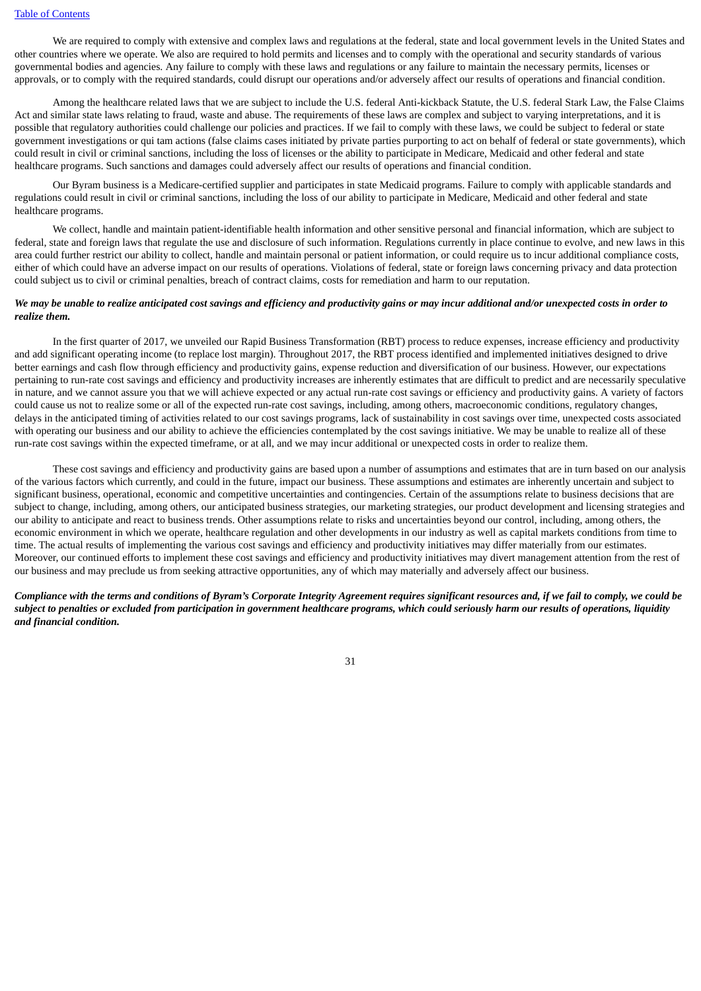We are required to comply with extensive and complex laws and regulations at the federal, state and local government levels in the United States and other countries where we operate. We also are required to hold permits and licenses and to comply with the operational and security standards of various governmental bodies and agencies. Any failure to comply with these laws and regulations or any failure to maintain the necessary permits, licenses or approvals, or to comply with the required standards, could disrupt our operations and/or adversely affect our results of operations and financial condition.

Among the healthcare related laws that we are subject to include the U.S. federal Anti-kickback Statute, the U.S. federal Stark Law, the False Claims Act and similar state laws relating to fraud, waste and abuse. The requirements of these laws are complex and subject to varying interpretations, and it is possible that regulatory authorities could challenge our policies and practices. If we fail to comply with these laws, we could be subject to federal or state government investigations or qui tam actions (false claims cases initiated by private parties purporting to act on behalf of federal or state governments), which could result in civil or criminal sanctions, including the loss of licenses or the ability to participate in Medicare, Medicaid and other federal and state healthcare programs. Such sanctions and damages could adversely affect our results of operations and financial condition.

Our Byram business is a Medicare-certified supplier and participates in state Medicaid programs. Failure to comply with applicable standards and regulations could result in civil or criminal sanctions, including the loss of our ability to participate in Medicare, Medicaid and other federal and state healthcare programs.

We collect, handle and maintain patient-identifiable health information and other sensitive personal and financial information, which are subject to federal, state and foreign laws that regulate the use and disclosure of such information. Regulations currently in place continue to evolve, and new laws in this area could further restrict our ability to collect, handle and maintain personal or patient information, or could require us to incur additional compliance costs, either of which could have an adverse impact on our results of operations. Violations of federal, state or foreign laws concerning privacy and data protection could subject us to civil or criminal penalties, breach of contract claims, costs for remediation and harm to our reputation.

#### We may be unable to realize anticipated cost savings and efficiency and productivity gains or may incur additional and/or unexpected costs in order to *realize them.*

In the first quarter of 2017, we unveiled our Rapid Business Transformation (RBT) process to reduce expenses, increase efficiency and productivity and add significant operating income (to replace lost margin). Throughout 2017, the RBT process identified and implemented initiatives designed to drive better earnings and cash flow through efficiency and productivity gains, expense reduction and diversification of our business. However, our expectations pertaining to run-rate cost savings and efficiency and productivity increases are inherently estimates that are difficult to predict and are necessarily speculative in nature, and we cannot assure you that we will achieve expected or any actual run-rate cost savings or efficiency and productivity gains. A variety of factors could cause us not to realize some or all of the expected run-rate cost savings, including, among others, macroeconomic conditions, regulatory changes, delays in the anticipated timing of activities related to our cost savings programs, lack of sustainability in cost savings over time, unexpected costs associated with operating our business and our ability to achieve the efficiencies contemplated by the cost savings initiative. We may be unable to realize all of these run-rate cost savings within the expected timeframe, or at all, and we may incur additional or unexpected costs in order to realize them.

These cost savings and efficiency and productivity gains are based upon a number of assumptions and estimates that are in turn based on our analysis of the various factors which currently, and could in the future, impact our business. These assumptions and estimates are inherently uncertain and subject to significant business, operational, economic and competitive uncertainties and contingencies. Certain of the assumptions relate to business decisions that are subject to change, including, among others, our anticipated business strategies, our marketing strategies, our product development and licensing strategies and our ability to anticipate and react to business trends. Other assumptions relate to risks and uncertainties beyond our control, including, among others, the economic environment in which we operate, healthcare regulation and other developments in our industry as well as capital markets conditions from time to time. The actual results of implementing the various cost savings and efficiency and productivity initiatives may differ materially from our estimates. Moreover, our continued efforts to implement these cost savings and efficiency and productivity initiatives may divert management attention from the rest of our business and may preclude us from seeking attractive opportunities, any of which may materially and adversely affect our business.

Compliance with the terms and conditions of Byram's Corporate Integrity Agreement requires significant resources and, if we fail to comply, we could be subject to penalties or excluded from participation in government healthcare programs, which could seriously harm our results of operations, liquidity *and financial condition.*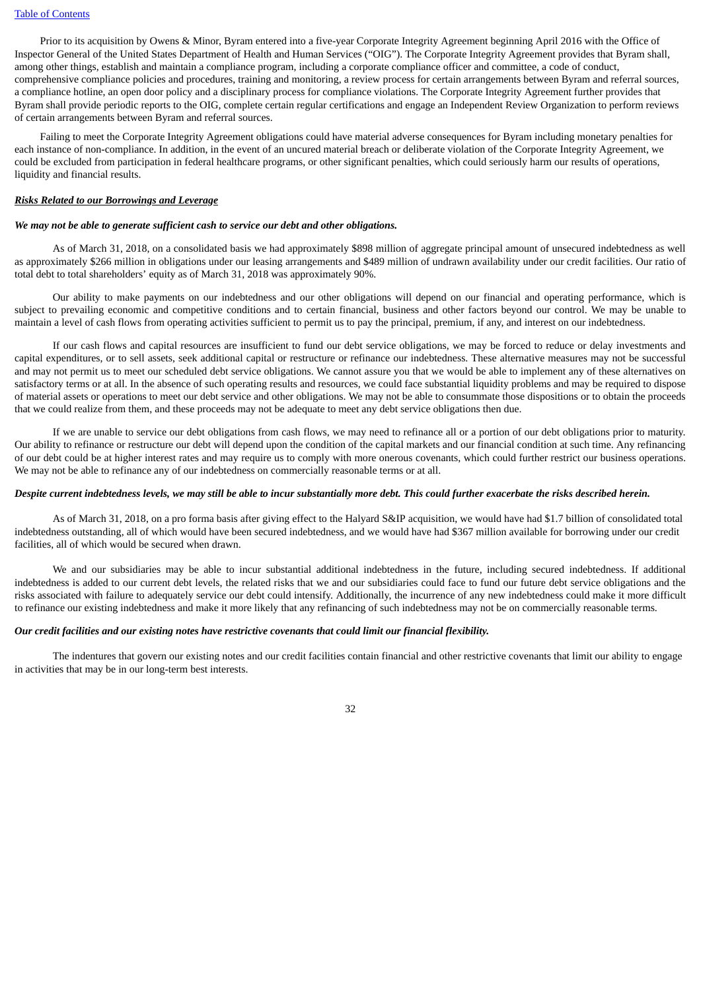Prior to its acquisition by Owens & Minor, Byram entered into a five-year Corporate Integrity Agreement beginning April 2016 with the Office of Inspector General of the United States Department of Health and Human Services ("OIG"). The Corporate Integrity Agreement provides that Byram shall, among other things, establish and maintain a compliance program, including a corporate compliance officer and committee, a code of conduct, comprehensive compliance policies and procedures, training and monitoring, a review process for certain arrangements between Byram and referral sources, a compliance hotline, an open door policy and a disciplinary process for compliance violations. The Corporate Integrity Agreement further provides that Byram shall provide periodic reports to the OIG, complete certain regular certifications and engage an Independent Review Organization to perform reviews of certain arrangements between Byram and referral sources.

Failing to meet the Corporate Integrity Agreement obligations could have material adverse consequences for Byram including monetary penalties for each instance of non-compliance. In addition, in the event of an uncured material breach or deliberate violation of the Corporate Integrity Agreement, we could be excluded from participation in federal healthcare programs, or other significant penalties, which could seriously harm our results of operations, liquidity and financial results.

#### *Risks Related to our Borrowings and Leverage*

#### *We may not be able to generate sufficient cash to service our debt and other obligations.*

As of March 31, 2018, on a consolidated basis we had approximately \$898 million of aggregate principal amount of unsecured indebtedness as well as approximately \$266 million in obligations under our leasing arrangements and \$489 million of undrawn availability under our credit facilities. Our ratio of total debt to total shareholders' equity as of March 31, 2018 was approximately 90%.

Our ability to make payments on our indebtedness and our other obligations will depend on our financial and operating performance, which is subject to prevailing economic and competitive conditions and to certain financial, business and other factors beyond our control. We may be unable to maintain a level of cash flows from operating activities sufficient to permit us to pay the principal, premium, if any, and interest on our indebtedness.

If our cash flows and capital resources are insufficient to fund our debt service obligations, we may be forced to reduce or delay investments and capital expenditures, or to sell assets, seek additional capital or restructure or refinance our indebtedness. These alternative measures may not be successful and may not permit us to meet our scheduled debt service obligations. We cannot assure you that we would be able to implement any of these alternatives on satisfactory terms or at all. In the absence of such operating results and resources, we could face substantial liquidity problems and may be required to dispose of material assets or operations to meet our debt service and other obligations. We may not be able to consummate those dispositions or to obtain the proceeds that we could realize from them, and these proceeds may not be adequate to meet any debt service obligations then due.

If we are unable to service our debt obligations from cash flows, we may need to refinance all or a portion of our debt obligations prior to maturity. Our ability to refinance or restructure our debt will depend upon the condition of the capital markets and our financial condition at such time. Any refinancing of our debt could be at higher interest rates and may require us to comply with more onerous covenants, which could further restrict our business operations. We may not be able to refinance any of our indebtedness on commercially reasonable terms or at all.

#### Despite current indebtedness levels, we may still be able to incur substantially more debt. This could further exacerbate the risks described herein.

As of March 31, 2018, on a pro forma basis after giving effect to the Halyard S&IP acquisition, we would have had \$1.7 billion of consolidated total indebtedness outstanding, all of which would have been secured indebtedness, and we would have had \$367 million available for borrowing under our credit facilities, all of which would be secured when drawn.

We and our subsidiaries may be able to incur substantial additional indebtedness in the future, including secured indebtedness. If additional indebtedness is added to our current debt levels, the related risks that we and our subsidiaries could face to fund our future debt service obligations and the risks associated with failure to adequately service our debt could intensify. Additionally, the incurrence of any new indebtedness could make it more difficult to refinance our existing indebtedness and make it more likely that any refinancing of such indebtedness may not be on commercially reasonable terms.

#### Our credit facilities and our existing notes have restrictive covenants that could limit our financial flexibility.

The indentures that govern our existing notes and our credit facilities contain financial and other restrictive covenants that limit our ability to engage in activities that may be in our long-term best interests.

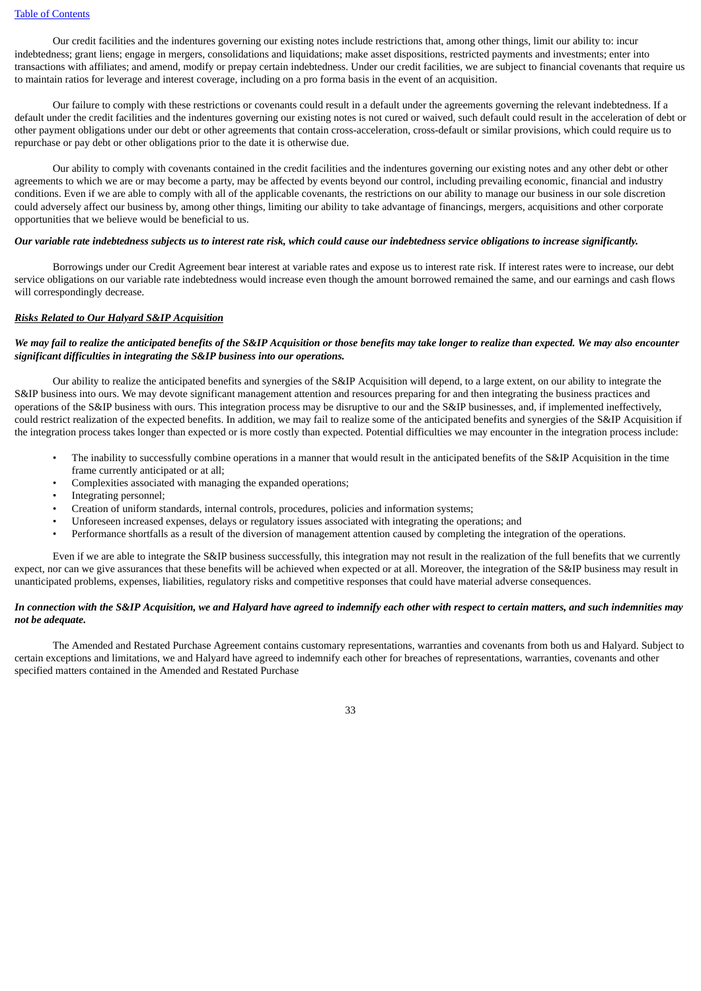Our credit facilities and the indentures governing our existing notes include restrictions that, among other things, limit our ability to: incur indebtedness; grant liens; engage in mergers, consolidations and liquidations; make asset dispositions, restricted payments and investments; enter into transactions with affiliates; and amend, modify or prepay certain indebtedness. Under our credit facilities, we are subject to financial covenants that require us to maintain ratios for leverage and interest coverage, including on a pro forma basis in the event of an acquisition.

Our failure to comply with these restrictions or covenants could result in a default under the agreements governing the relevant indebtedness. If a default under the credit facilities and the indentures governing our existing notes is not cured or waived, such default could result in the acceleration of debt or other payment obligations under our debt or other agreements that contain cross-acceleration, cross-default or similar provisions, which could require us to repurchase or pay debt or other obligations prior to the date it is otherwise due.

Our ability to comply with covenants contained in the credit facilities and the indentures governing our existing notes and any other debt or other agreements to which we are or may become a party, may be affected by events beyond our control, including prevailing economic, financial and industry conditions. Even if we are able to comply with all of the applicable covenants, the restrictions on our ability to manage our business in our sole discretion could adversely affect our business by, among other things, limiting our ability to take advantage of financings, mergers, acquisitions and other corporate opportunities that we believe would be beneficial to us.

#### Our variable rate indebtedness subjects us to interest rate risk, which could cause our indebtedness service obligations to increase significantly.

Borrowings under our Credit Agreement bear interest at variable rates and expose us to interest rate risk. If interest rates were to increase, our debt service obligations on our variable rate indebtedness would increase even though the amount borrowed remained the same, and our earnings and cash flows will correspondingly decrease.

#### *Risks Related to Our Halyard S&IP Acquisition*

#### We may fail to realize the anticipated benefits of the S&IP Acquisition or those benefits may take longer to realize than expected. We may also encounter *significant difficulties in integrating the S&IP business into our operations.*

Our ability to realize the anticipated benefits and synergies of the S&IP Acquisition will depend, to a large extent, on our ability to integrate the S&IP business into ours. We may devote significant management attention and resources preparing for and then integrating the business practices and operations of the S&IP business with ours. This integration process may be disruptive to our and the S&IP businesses, and, if implemented ineffectively, could restrict realization of the expected benefits. In addition, we may fail to realize some of the anticipated benefits and synergies of the S&IP Acquisition if the integration process takes longer than expected or is more costly than expected. Potential difficulties we may encounter in the integration process include:

- The inability to successfully combine operations in a manner that would result in the anticipated benefits of the S&IP Acquisition in the time frame currently anticipated or at all;
- Complexities associated with managing the expanded operations;
- Integrating personnel;
- Creation of uniform standards, internal controls, procedures, policies and information systems;
- Unforeseen increased expenses, delays or regulatory issues associated with integrating the operations; and
- Performance shortfalls as a result of the diversion of management attention caused by completing the integration of the operations.

Even if we are able to integrate the S&IP business successfully, this integration may not result in the realization of the full benefits that we currently expect, nor can we give assurances that these benefits will be achieved when expected or at all. Moreover, the integration of the S&IP business may result in unanticipated problems, expenses, liabilities, regulatory risks and competitive responses that could have material adverse consequences.

#### In connection with the S&IP Acquisition, we and Halyard have agreed to indemnify each other with respect to certain matters, and such indemnities may *not be adequate.*

The Amended and Restated Purchase Agreement contains customary representations, warranties and covenants from both us and Halyard. Subject to certain exceptions and limitations, we and Halyard have agreed to indemnify each other for breaches of representations, warranties, covenants and other specified matters contained in the Amended and Restated Purchase

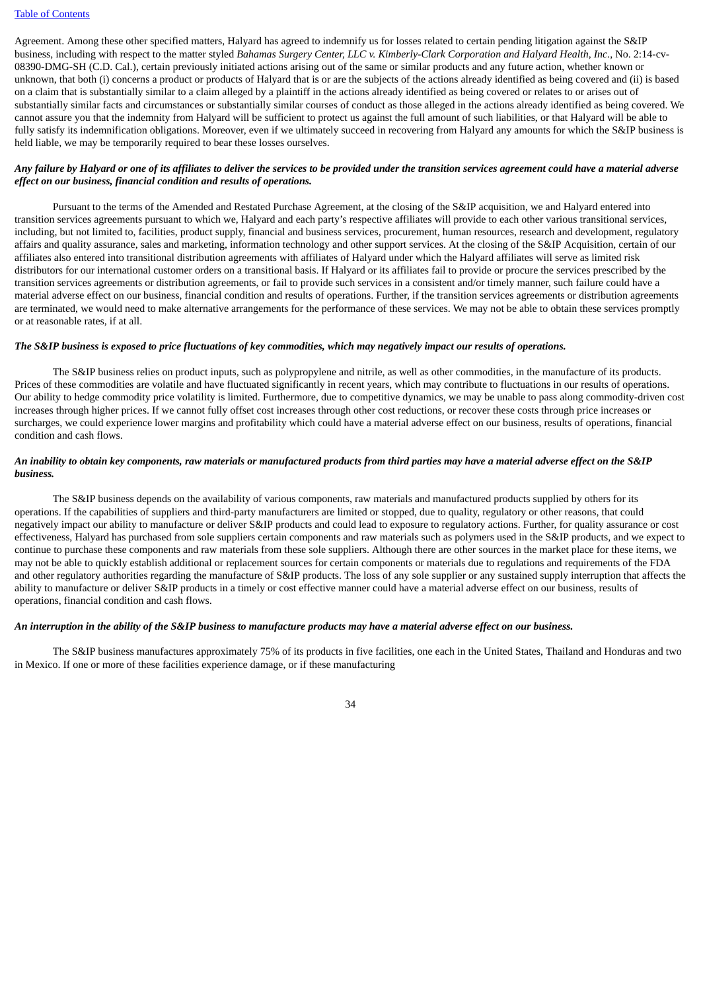Agreement. Among these other specified matters, Halyard has agreed to indemnify us for losses related to certain pending litigation against the S&IP business, including with respect to the matter styled Bahamas Surgery Center, LLC v. Kimberly-Clark Corporation and Halyard Health, Inc., No. 2:14-cv-08390-DMG-SH (C.D. Cal.), certain previously initiated actions arising out of the same or similar products and any future action, whether known or unknown, that both (i) concerns a product or products of Halyard that is or are the subjects of the actions already identified as being covered and (ii) is based on a claim that is substantially similar to a claim alleged by a plaintiff in the actions already identified as being covered or relates to or arises out of substantially similar facts and circumstances or substantially similar courses of conduct as those alleged in the actions already identified as being covered. We cannot assure you that the indemnity from Halyard will be sufficient to protect us against the full amount of such liabilities, or that Halyard will be able to fully satisfy its indemnification obligations. Moreover, even if we ultimately succeed in recovering from Halyard any amounts for which the S&IP business is held liable, we may be temporarily required to bear these losses ourselves.

#### Any failure by Halyard or one of its affiliates to deliver the services to be provided under the transition services agreement could have a material adverse *effect on our business, financial condition and results of operations.*

Pursuant to the terms of the Amended and Restated Purchase Agreement, at the closing of the S&IP acquisition, we and Halyard entered into transition services agreements pursuant to which we, Halyard and each party's respective affiliates will provide to each other various transitional services, including, but not limited to, facilities, product supply, financial and business services, procurement, human resources, research and development, regulatory affairs and quality assurance, sales and marketing, information technology and other support services. At the closing of the S&IP Acquisition, certain of our affiliates also entered into transitional distribution agreements with affiliates of Halyard under which the Halyard affiliates will serve as limited risk distributors for our international customer orders on a transitional basis. If Halyard or its affiliates fail to provide or procure the services prescribed by the transition services agreements or distribution agreements, or fail to provide such services in a consistent and/or timely manner, such failure could have a material adverse effect on our business, financial condition and results of operations. Further, if the transition services agreements or distribution agreements are terminated, we would need to make alternative arrangements for the performance of these services. We may not be able to obtain these services promptly or at reasonable rates, if at all.

#### The S&IP business is exposed to price fluctuations of key commodities, which may negatively impact our results of operations.

The S&IP business relies on product inputs, such as polypropylene and nitrile, as well as other commodities, in the manufacture of its products. Prices of these commodities are volatile and have fluctuated significantly in recent years, which may contribute to fluctuations in our results of operations. Our ability to hedge commodity price volatility is limited. Furthermore, due to competitive dynamics, we may be unable to pass along commodity-driven cost increases through higher prices. If we cannot fully offset cost increases through other cost reductions, or recover these costs through price increases or surcharges, we could experience lower margins and profitability which could have a material adverse effect on our business, results of operations, financial condition and cash flows.

#### An inability to obtain key components, raw materials or manufactured products from third parties may have a material adverse effect on the S&IP *business.*

The S&IP business depends on the availability of various components, raw materials and manufactured products supplied by others for its operations. If the capabilities of suppliers and third-party manufacturers are limited or stopped, due to quality, regulatory or other reasons, that could negatively impact our ability to manufacture or deliver S&IP products and could lead to exposure to regulatory actions. Further, for quality assurance or cost effectiveness, Halyard has purchased from sole suppliers certain components and raw materials such as polymers used in the S&IP products, and we expect to continue to purchase these components and raw materials from these sole suppliers. Although there are other sources in the market place for these items, we may not be able to quickly establish additional or replacement sources for certain components or materials due to regulations and requirements of the FDA and other regulatory authorities regarding the manufacture of S&IP products. The loss of any sole supplier or any sustained supply interruption that affects the ability to manufacture or deliver S&IP products in a timely or cost effective manner could have a material adverse effect on our business, results of operations, financial condition and cash flows.

#### An interruption in the ability of the S&IP business to manufacture products may have a material adverse effect on our business.

The S&IP business manufactures approximately 75% of its products in five facilities, one each in the United States, Thailand and Honduras and two in Mexico. If one or more of these facilities experience damage, or if these manufacturing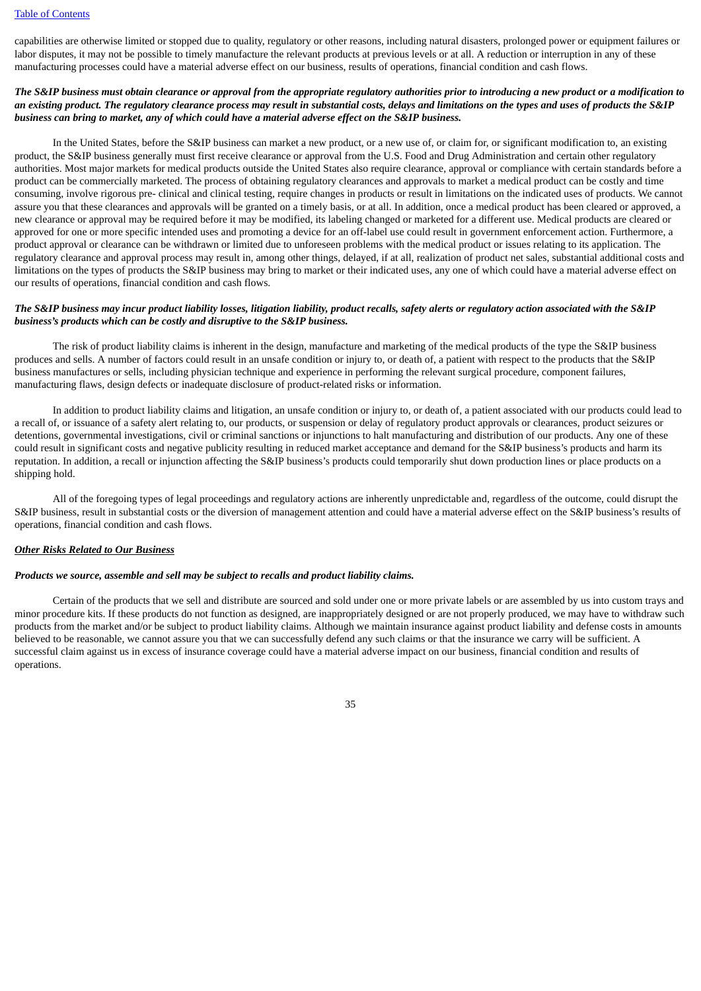capabilities are otherwise limited or stopped due to quality, regulatory or other reasons, including natural disasters, prolonged power or equipment failures or labor disputes, it may not be possible to timely manufacture the relevant products at previous levels or at all. A reduction or interruption in any of these manufacturing processes could have a material adverse effect on our business, results of operations, financial condition and cash flows.

#### The S&IP business must obtain clearance or approval from the appropriate regulatory authorities prior to introducing a new product or a modification to an existing product. The regulatory clearance process may result in substantial costs, delays and limitations on the types and uses of products the S&IP business can bring to market, any of which could have a material adverse effect on the S&IP business.

In the United States, before the S&IP business can market a new product, or a new use of, or claim for, or significant modification to, an existing product, the S&IP business generally must first receive clearance or approval from the U.S. Food and Drug Administration and certain other regulatory authorities. Most major markets for medical products outside the United States also require clearance, approval or compliance with certain standards before a product can be commercially marketed. The process of obtaining regulatory clearances and approvals to market a medical product can be costly and time consuming, involve rigorous pre- clinical and clinical testing, require changes in products or result in limitations on the indicated uses of products. We cannot assure you that these clearances and approvals will be granted on a timely basis, or at all. In addition, once a medical product has been cleared or approved, a new clearance or approval may be required before it may be modified, its labeling changed or marketed for a different use. Medical products are cleared or approved for one or more specific intended uses and promoting a device for an off-label use could result in government enforcement action. Furthermore, a product approval or clearance can be withdrawn or limited due to unforeseen problems with the medical product or issues relating to its application. The regulatory clearance and approval process may result in, among other things, delayed, if at all, realization of product net sales, substantial additional costs and limitations on the types of products the S&IP business may bring to market or their indicated uses, any one of which could have a material adverse effect on our results of operations, financial condition and cash flows.

#### The S&IP business may incur product liability losses, litigation liability, product recalls, safety alerts or regulatory action associated with the S&IP *business's products which can be costly and disruptive to the S&IP business.*

The risk of product liability claims is inherent in the design, manufacture and marketing of the medical products of the type the S&IP business produces and sells. A number of factors could result in an unsafe condition or injury to, or death of, a patient with respect to the products that the S&IP business manufactures or sells, including physician technique and experience in performing the relevant surgical procedure, component failures, manufacturing flaws, design defects or inadequate disclosure of product-related risks or information.

In addition to product liability claims and litigation, an unsafe condition or injury to, or death of, a patient associated with our products could lead to a recall of, or issuance of a safety alert relating to, our products, or suspension or delay of regulatory product approvals or clearances, product seizures or detentions, governmental investigations, civil or criminal sanctions or injunctions to halt manufacturing and distribution of our products. Any one of these could result in significant costs and negative publicity resulting in reduced market acceptance and demand for the S&IP business's products and harm its reputation. In addition, a recall or injunction affecting the S&IP business's products could temporarily shut down production lines or place products on a shipping hold.

All of the foregoing types of legal proceedings and regulatory actions are inherently unpredictable and, regardless of the outcome, could disrupt the S&IP business, result in substantial costs or the diversion of management attention and could have a material adverse effect on the S&IP business's results of operations, financial condition and cash flows.

#### *Other Risks Related to Our Business*

#### *Products we source, assemble and sell may be subject to recalls and product liability claims.*

Certain of the products that we sell and distribute are sourced and sold under one or more private labels or are assembled by us into custom trays and minor procedure kits. If these products do not function as designed, are inappropriately designed or are not properly produced, we may have to withdraw such products from the market and/or be subject to product liability claims. Although we maintain insurance against product liability and defense costs in amounts believed to be reasonable, we cannot assure you that we can successfully defend any such claims or that the insurance we carry will be sufficient. A successful claim against us in excess of insurance coverage could have a material adverse impact on our business, financial condition and results of operations.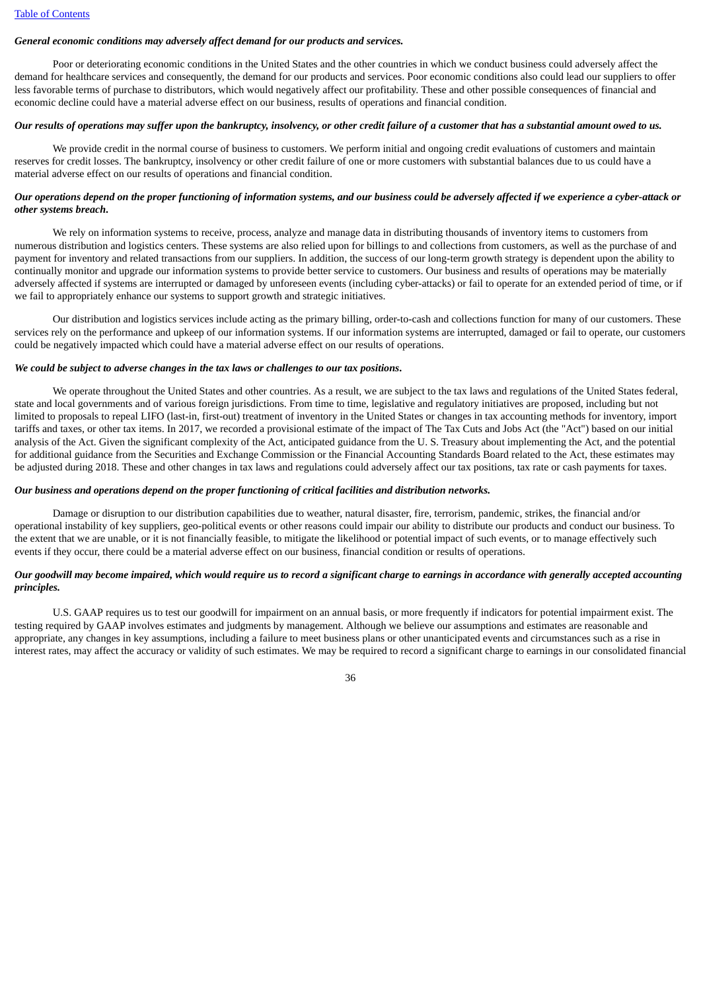## *General economic conditions may adversely affect demand for our products and services.*

Poor or deteriorating economic conditions in the United States and the other countries in which we conduct business could adversely affect the demand for healthcare services and consequently, the demand for our products and services. Poor economic conditions also could lead our suppliers to offer less favorable terms of purchase to distributors, which would negatively affect our profitability. These and other possible consequences of financial and economic decline could have a material adverse effect on our business, results of operations and financial condition.

#### Our results of operations may suffer upon the bankruptcy, insolvency, or other credit failure of a customer that has a substantial amount owed to us.

We provide credit in the normal course of business to customers. We perform initial and ongoing credit evaluations of customers and maintain reserves for credit losses. The bankruptcy, insolvency or other credit failure of one or more customers with substantial balances due to us could have a material adverse effect on our results of operations and financial condition.

#### Our operations depend on the proper functioning of information systems, and our business could be adversely affected if we experience a cyber-attack or *other systems breach***.**

We rely on information systems to receive, process, analyze and manage data in distributing thousands of inventory items to customers from numerous distribution and logistics centers. These systems are also relied upon for billings to and collections from customers, as well as the purchase of and payment for inventory and related transactions from our suppliers. In addition, the success of our long-term growth strategy is dependent upon the ability to continually monitor and upgrade our information systems to provide better service to customers. Our business and results of operations may be materially adversely affected if systems are interrupted or damaged by unforeseen events (including cyber-attacks) or fail to operate for an extended period of time, or if we fail to appropriately enhance our systems to support growth and strategic initiatives.

Our distribution and logistics services include acting as the primary billing, order-to-cash and collections function for many of our customers. These services rely on the performance and upkeep of our information systems. If our information systems are interrupted, damaged or fail to operate, our customers could be negatively impacted which could have a material adverse effect on our results of operations.

#### *We could be subject to adverse changes in the tax laws or challenges to our tax positions***.**

We operate throughout the United States and other countries. As a result, we are subject to the tax laws and regulations of the United States federal, state and local governments and of various foreign jurisdictions. From time to time, legislative and regulatory initiatives are proposed, including but not limited to proposals to repeal LIFO (last-in, first-out) treatment of inventory in the United States or changes in tax accounting methods for inventory, import tariffs and taxes, or other tax items. In 2017, we recorded a provisional estimate of the impact of The Tax Cuts and Jobs Act (the "Act") based on our initial analysis of the Act. Given the significant complexity of the Act, anticipated guidance from the U. S. Treasury about implementing the Act, and the potential for additional guidance from the Securities and Exchange Commission or the Financial Accounting Standards Board related to the Act, these estimates may be adjusted during 2018. These and other changes in tax laws and regulations could adversely affect our tax positions, tax rate or cash payments for taxes.

#### *Our business and operations depend on the proper functioning of critical facilities and distribution networks.*

Damage or disruption to our distribution capabilities due to weather, natural disaster, fire, terrorism, pandemic, strikes, the financial and/or operational instability of key suppliers, geo-political events or other reasons could impair our ability to distribute our products and conduct our business. To the extent that we are unable, or it is not financially feasible, to mitigate the likelihood or potential impact of such events, or to manage effectively such events if they occur, there could be a material adverse effect on our business, financial condition or results of operations.

#### Our goodwill may become impaired, which would require us to record a significant charge to earnings in accordance with generally accepted accounting *principles.*

U.S. GAAP requires us to test our goodwill for impairment on an annual basis, or more frequently if indicators for potential impairment exist. The testing required by GAAP involves estimates and judgments by management. Although we believe our assumptions and estimates are reasonable and appropriate, any changes in key assumptions, including a failure to meet business plans or other unanticipated events and circumstances such as a rise in interest rates, may affect the accuracy or validity of such estimates. We may be required to record a significant charge to earnings in our consolidated financial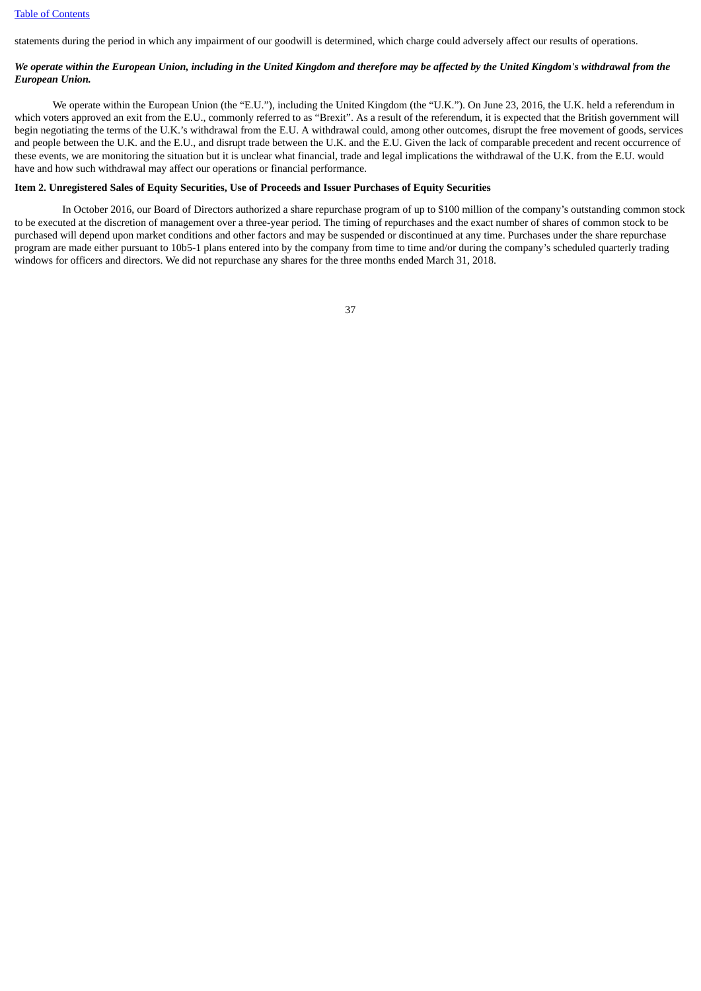statements during the period in which any impairment of our goodwill is determined, which charge could adversely affect our results of operations.

#### We operate within the European Union, including in the United Kingdom and therefore may be affected by the United Kingdom's withdrawal from the *European Union.*

We operate within the European Union (the "E.U."), including the United Kingdom (the "U.K."). On June 23, 2016, the U.K. held a referendum in which voters approved an exit from the E.U., commonly referred to as "Brexit". As a result of the referendum, it is expected that the British government will begin negotiating the terms of the U.K.'s withdrawal from the E.U. A withdrawal could, among other outcomes, disrupt the free movement of goods, services and people between the U.K. and the E.U., and disrupt trade between the U.K. and the E.U. Given the lack of comparable precedent and recent occurrence of these events, we are monitoring the situation but it is unclear what financial, trade and legal implications the withdrawal of the U.K. from the E.U. would have and how such withdrawal may affect our operations or financial performance.

#### <span id="page-37-0"></span>**Item 2. Unregistered Sales of Equity Securities, Use of Proceeds and Issuer Purchases of Equity Securities**

In October 2016, our Board of Directors authorized a share repurchase program of up to \$100 million of the company's outstanding common stock to be executed at the discretion of management over a three-year period. The timing of repurchases and the exact number of shares of common stock to be purchased will depend upon market conditions and other factors and may be suspended or discontinued at any time. Purchases under the share repurchase program are made either pursuant to 10b5-1 plans entered into by the company from time to time and/or during the company's scheduled quarterly trading windows for officers and directors. We did not repurchase any shares for the three months ended March 31, 2018.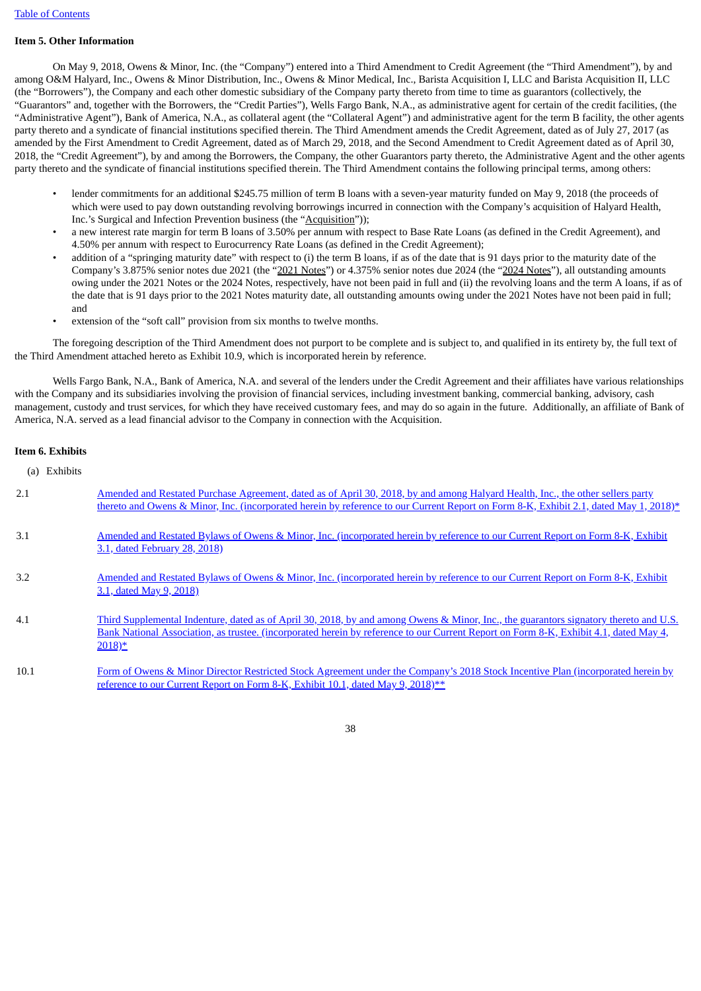#### <span id="page-38-0"></span>**Item 5. Other Information**

On May 9, 2018, Owens & Minor, Inc. (the "Company") entered into a Third Amendment to Credit Agreement (the "Third Amendment"), by and among O&M Halyard, Inc., Owens & Minor Distribution, Inc., Owens & Minor Medical, Inc., Barista Acquisition I, LLC and Barista Acquisition II, LLC (the "Borrowers"), the Company and each other domestic subsidiary of the Company party thereto from time to time as guarantors (collectively, the "Guarantors" and, together with the Borrowers, the "Credit Parties"), Wells Fargo Bank, N.A., as administrative agent for certain of the credit facilities, (the "Administrative Agent"), Bank of America, N.A., as collateral agent (the "Collateral Agent") and administrative agent for the term B facility, the other agents party thereto and a syndicate of financial institutions specified therein. The Third Amendment amends the Credit Agreement, dated as of July 27, 2017 (as amended by the First Amendment to Credit Agreement, dated as of March 29, 2018, and the Second Amendment to Credit Agreement dated as of April 30, 2018, the "Credit Agreement"), by and among the Borrowers, the Company, the other Guarantors party thereto, the Administrative Agent and the other agents party thereto and the syndicate of financial institutions specified therein. The Third Amendment contains the following principal terms, among others:

- lender commitments for an additional \$245.75 million of term B loans with a seven-year maturity funded on May 9, 2018 (the proceeds of which were used to pay down outstanding revolving borrowings incurred in connection with the Company's acquisition of Halyard Health, Inc.'s Surgical and Infection Prevention business (the "Acquisition"));
- a new interest rate margin for term B loans of 3.50% per annum with respect to Base Rate Loans (as defined in the Credit Agreement), and 4.50% per annum with respect to Eurocurrency Rate Loans (as defined in the Credit Agreement);
- addition of a "springing maturity date" with respect to (i) the term B loans, if as of the date that is 91 days prior to the maturity date of the Company's 3.875% senior notes due 2021 (the "2021 Notes") or 4.375% senior notes due 2024 (the "2024 Notes"), all outstanding amounts owing under the 2021 Notes or the 2024 Notes, respectively, have not been paid in full and (ii) the revolving loans and the term A loans, if as of the date that is 91 days prior to the 2021 Notes maturity date, all outstanding amounts owing under the 2021 Notes have not been paid in full; and
- extension of the "soft call" provision from six months to twelve months.

The foregoing description of the Third Amendment does not purport to be complete and is subject to, and qualified in its entirety by, the full text of the Third Amendment attached hereto as Exhibit 10.9, which is incorporated herein by reference.

Wells Fargo Bank, N.A., Bank of America, N.A. and several of the lenders under the Credit Agreement and their affiliates have various relationships with the Company and its subsidiaries involving the provision of financial services, including investment banking, commercial banking, advisory, cash management, custody and trust services, for which they have received customary fees, and may do so again in the future. Additionally, an affiliate of Bank of America, N.A. served as a lead financial advisor to the Company in connection with the Acquisition.

#### <span id="page-38-1"></span>**Item 6. Exhibits**

(a) Exhibits

| 2.1  | Amended and Restated Purchase Agreement, dated as of April 30, 2018, by and among Halyard Health, Inc., the other sellers party<br>thereto and Owens & Minor, Inc. (incorporated herein by reference to our Current Report on Form 8-K, Exhibit 2.1, dated May 1, 2018)*                              |
|------|-------------------------------------------------------------------------------------------------------------------------------------------------------------------------------------------------------------------------------------------------------------------------------------------------------|
| 3.1  | Amended and Restated Bylaws of Owens & Minor, Inc. (incorporated herein by reference to our Current Report on Form 8-K, Exhibit<br>3.1, dated February 28, 2018)                                                                                                                                      |
| 3.2  | Amended and Restated Bylaws of Owens & Minor, Inc. (incorporated herein by reference to our Current Report on Form 8-K, Exhibit<br>3.1, dated May 9, 2018)                                                                                                                                            |
| 4.1  | Third Supplemental Indenture, dated as of April 30, 2018, by and among Owens & Minor, Inc., the guarantors signatory thereto and U.S.<br>Bank National Association, as trustee. (incorporated herein by reference to our Current Report on Form 8-K, Exhibit 4.1, dated May 4,<br>$2018$ <sup>*</sup> |
| 10.1 | Form of Owens & Minor Director Restricted Stock Agreement under the Company's 2018 Stock Incentive Plan (incorporated herein by<br>reference to our Current Report on Form 8-K, Exhibit 10.1, dated May 9, 2018)**                                                                                    |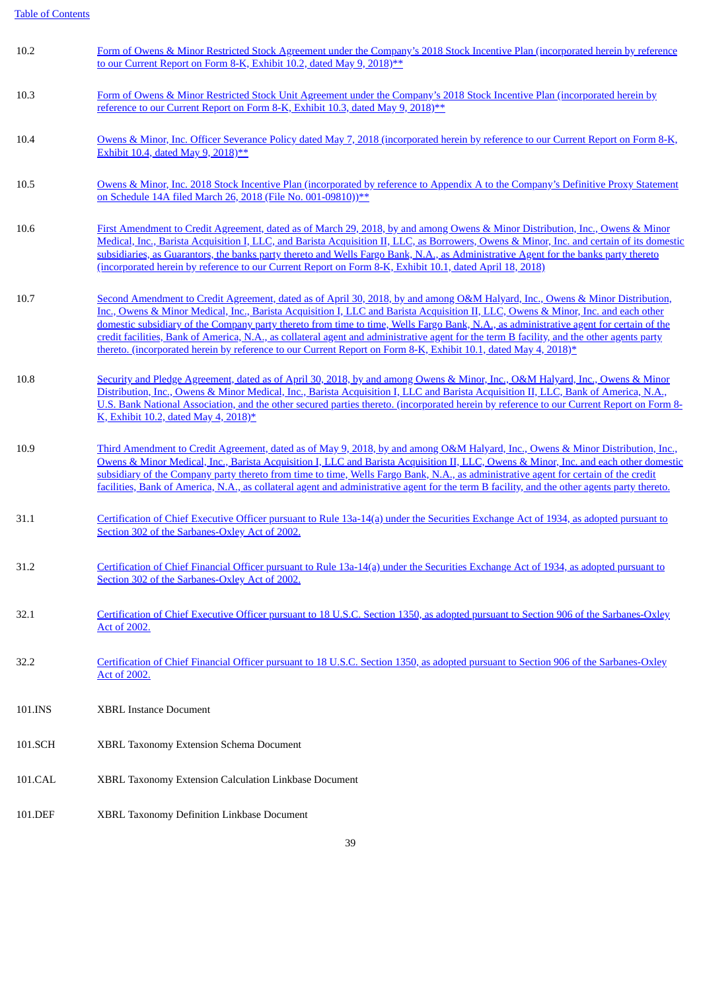| 10.2    | Form of Owens & Minor Restricted Stock Agreement under the Company's 2018 Stock Incentive Plan (incorporated herein by reference<br>to our Current Report on Form 8-K, Exhibit 10.2, dated May 9, 2018)**                                                                                                                                                                                                                                                                                                                                                                                                                                                                     |
|---------|-------------------------------------------------------------------------------------------------------------------------------------------------------------------------------------------------------------------------------------------------------------------------------------------------------------------------------------------------------------------------------------------------------------------------------------------------------------------------------------------------------------------------------------------------------------------------------------------------------------------------------------------------------------------------------|
| 10.3    | Form of Owens & Minor Restricted Stock Unit Agreement under the Company's 2018 Stock Incentive Plan (incorporated herein by<br>reference to our Current Report on Form 8-K, Exhibit 10.3, dated May 9, 2018)**                                                                                                                                                                                                                                                                                                                                                                                                                                                                |
| 10.4    | Owens & Minor, Inc. Officer Severance Policy dated May 7, 2018 (incorporated herein by reference to our Current Report on Form 8-K,<br>Exhibit 10.4, dated May 9, 2018)**                                                                                                                                                                                                                                                                                                                                                                                                                                                                                                     |
| 10.5    | Owens & Minor, Inc. 2018 Stock Incentive Plan (incorporated by reference to Appendix A to the Company's Definitive Proxy Statement<br>on Schedule 14A filed March 26, 2018 (File No. 001-09810))**                                                                                                                                                                                                                                                                                                                                                                                                                                                                            |
| 10.6    | First Amendment to Credit Agreement, dated as of March 29, 2018, by and among Owens & Minor Distribution, Inc., Owens & Minor<br>Medical, Inc., Barista Acquisition I, LLC, and Barista Acquisition II, LLC, as Borrowers, Owens & Minor, Inc. and certain of its domestic<br>subsidiaries, as Guarantors, the banks party thereto and Wells Fargo Bank, N.A., as Administrative Agent for the banks party thereto<br>(incorporated herein by reference to our Current Report on Form 8-K, Exhibit 10.1, dated April 18, 2018)                                                                                                                                                |
| 10.7    | Second Amendment to Credit Agreement, dated as of April 30, 2018, by and among O&M Halyard, Inc., Owens & Minor Distribution,<br>Inc., Owens & Minor Medical, Inc., Barista Acquisition I, LLC and Barista Acquisition II, LLC, Owens & Minor, Inc. and each other<br>domestic subsidiary of the Company party thereto from time to time, Wells Fargo Bank, N.A., as administrative agent for certain of the<br>credit facilities, Bank of America, N.A., as collateral agent and administrative agent for the term B facility, and the other agents party<br>thereto. (incorporated herein by reference to our Current Report on Form 8-K, Exhibit 10.1, dated May 4, 2018)* |
| 10.8    | Security and Pledge Agreement, dated as of April 30, 2018, by and among Owens & Minor, Inc., O&M Halyard, Inc., Owens & Minor<br>Distribution, Inc., Owens & Minor Medical, Inc., Barista Acquisition I, LLC and Barista Acquisition II, LLC, Bank of America, N.A.,<br>U.S. Bank National Association, and the other secured parties thereto. (incorporated herein by reference to our Current Report on Form 8-<br>K, Exhibit 10.2, dated May 4, 2018)*                                                                                                                                                                                                                     |
| 10.9    | Third Amendment to Credit Agreement, dated as of May 9, 2018, by and among O&M Halyard, Inc., Owens & Minor Distribution, Inc.,<br>Owens & Minor Medical, Inc., Barista Acquisition I, LLC and Barista Acquisition II, LLC, Owens & Minor, Inc. and each other domestic<br>subsidiary of the Company party thereto from time to time, Wells Fargo Bank, N.A., as administrative agent for certain of the credit<br>facilities, Bank of America, N.A., as collateral agent and administrative agent for the term B facility, and the other agents party thereto.                                                                                                               |
| 31.1    | Certification of Chief Executive Officer pursuant to Rule 13a-14(a) under the Securities Exchange Act of 1934, as adopted pursuant to<br>Section 302 of the Sarbanes-Oxley Act of 2002.                                                                                                                                                                                                                                                                                                                                                                                                                                                                                       |
| 31.2    | Certification of Chief Financial Officer pursuant to Rule 13a-14(a) under the Securities Exchange Act of 1934, as adopted pursuant to<br>Section 302 of the Sarbanes-Oxley Act of 2002.                                                                                                                                                                                                                                                                                                                                                                                                                                                                                       |
| 32.1    | Certification of Chief Executive Officer pursuant to 18 U.S.C. Section 1350, as adopted pursuant to Section 906 of the Sarbanes-Oxley<br>Act of 2002.                                                                                                                                                                                                                                                                                                                                                                                                                                                                                                                         |
| 32.2    | Certification of Chief Financial Officer pursuant to 18 U.S.C. Section 1350, as adopted pursuant to Section 906 of the Sarbanes-Oxley<br><b>Act of 2002.</b>                                                                                                                                                                                                                                                                                                                                                                                                                                                                                                                  |
| 101.INS | <b>XBRL Instance Document</b>                                                                                                                                                                                                                                                                                                                                                                                                                                                                                                                                                                                                                                                 |
| 101.SCH | XBRL Taxonomy Extension Schema Document                                                                                                                                                                                                                                                                                                                                                                                                                                                                                                                                                                                                                                       |
| 101.CAL | XBRL Taxonomy Extension Calculation Linkbase Document                                                                                                                                                                                                                                                                                                                                                                                                                                                                                                                                                                                                                         |
| 101.DEF | XBRL Taxonomy Definition Linkbase Document                                                                                                                                                                                                                                                                                                                                                                                                                                                                                                                                                                                                                                    |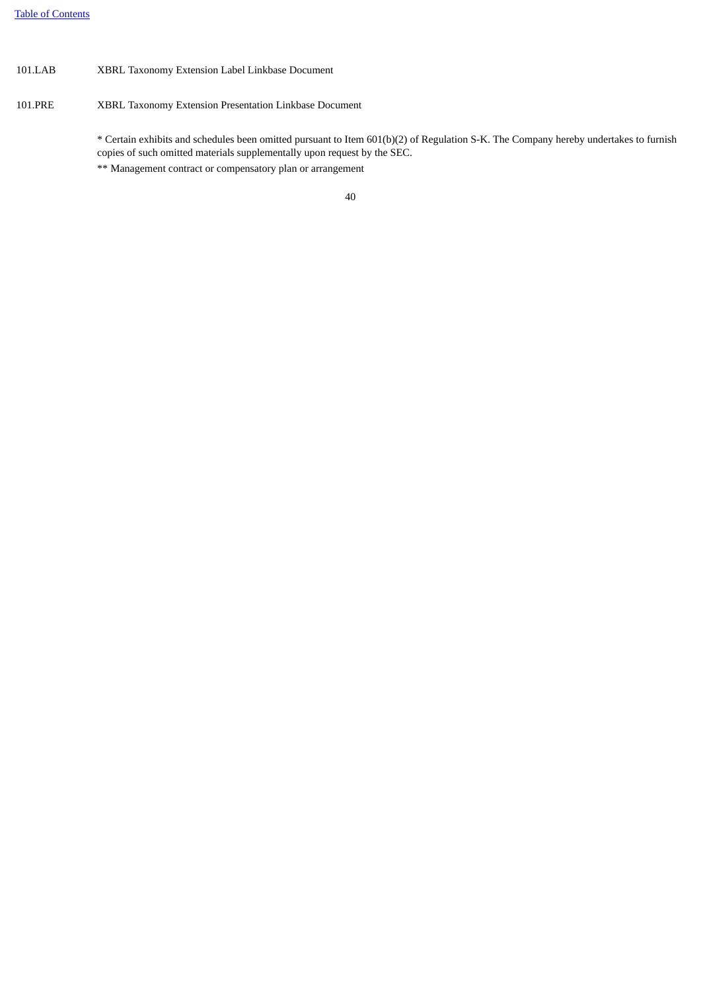## 101.LAB XBRL Taxonomy Extension Label Linkbase Document

### 101.PRE XBRL Taxonomy Extension Presentation Linkbase Document

\* Certain exhibits and schedules been omitted pursuant to Item 601(b)(2) of Regulation S-K. The Company hereby undertakes to furnish copies of such omitted materials supplementally upon request by the SEC.

\*\* Management contract or compensatory plan or arrangement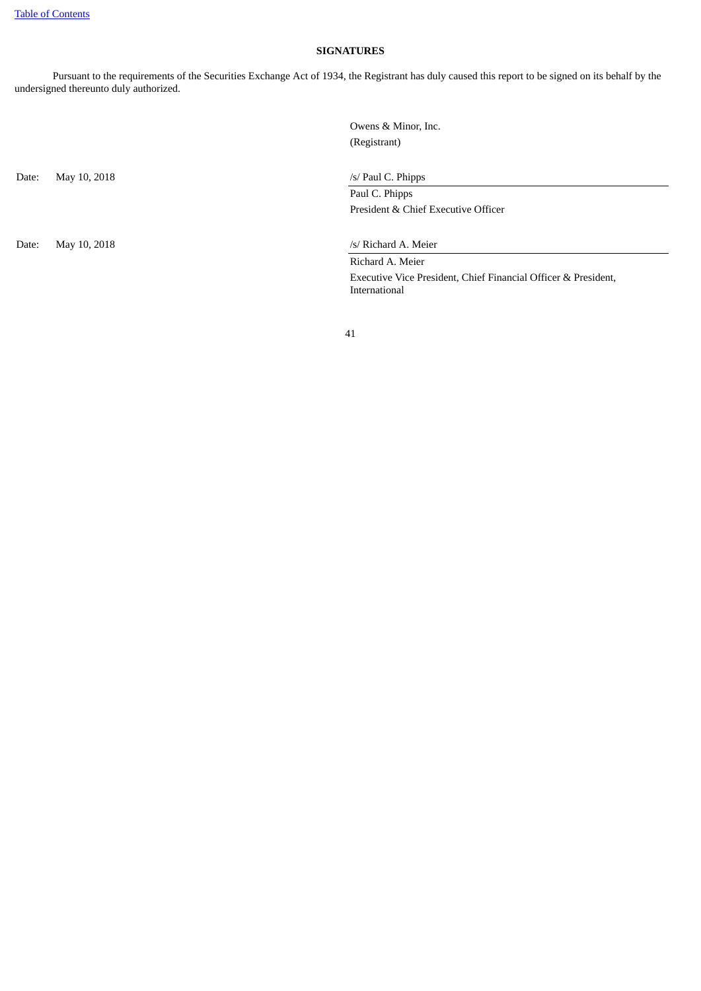## **SIGNATURES**

<span id="page-41-0"></span>Pursuant to the requirements of the Securities Exchange Act of 1934, the Registrant has duly caused this report to be signed on its behalf by the undersigned thereunto duly authorized.

Date: May 10, 2018 /s/ Paul C. Phipps

Date: May 10, 2018 /s/ Richard A. Meier

Owens & Minor, Inc. (Registrant)

Paul C. Phipps President & Chief Executive Officer

Richard A. Meier

Executive Vice President, Chief Financial Officer & President, International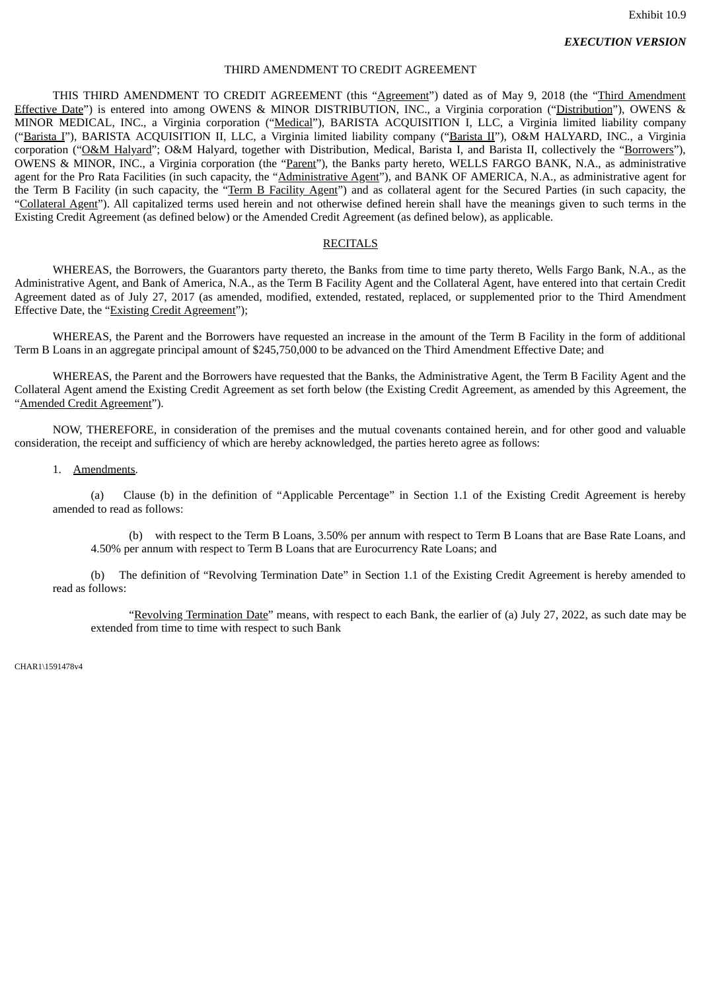#### *EXECUTION VERSION*

#### THIRD AMENDMENT TO CREDIT AGREEMENT

<span id="page-42-0"></span>THIS THIRD AMENDMENT TO CREDIT AGREEMENT (this "Agreement") dated as of May 9, 2018 (the "Third Amendment Effective Date") is entered into among OWENS & MINOR DISTRIBUTION, INC., a Virginia corporation ("Distribution"), OWENS & MINOR MEDICAL, INC., a Virginia corporation ("Medical"), BARISTA ACQUISITION I, LLC, a Virginia limited liability company ("Barista I"), BARISTA ACQUISITION II, LLC, a Virginia limited liability company ("Barista II"), O&M HALYARD, INC., a Virginia corporation ("O&M Halyard"; O&M Halyard, together with Distribution, Medical, Barista I, and Barista II, collectively the "Borrowers"), OWENS & MINOR, INC., a Virginia corporation (the "Parent"), the Banks party hereto, WELLS FARGO BANK, N.A., as administrative agent for the Pro Rata Facilities (in such capacity, the "Administrative Agent"), and BANK OF AMERICA, N.A., as administrative agent for the Term B Facility (in such capacity, the "Term B Facility Agent") and as collateral agent for the Secured Parties (in such capacity, the "Collateral Agent"). All capitalized terms used herein and not otherwise defined herein shall have the meanings given to such terms in the Existing Credit Agreement (as defined below) or the Amended Credit Agreement (as defined below), as applicable.

### **RECITALS**

WHEREAS, the Borrowers, the Guarantors party thereto, the Banks from time to time party thereto, Wells Fargo Bank, N.A., as the Administrative Agent, and Bank of America, N.A., as the Term B Facility Agent and the Collateral Agent, have entered into that certain Credit Agreement dated as of July 27, 2017 (as amended, modified, extended, restated, replaced, or supplemented prior to the Third Amendment Effective Date, the "Existing Credit Agreement");

WHEREAS, the Parent and the Borrowers have requested an increase in the amount of the Term B Facility in the form of additional Term B Loans in an aggregate principal amount of \$245,750,000 to be advanced on the Third Amendment Effective Date; and

WHEREAS, the Parent and the Borrowers have requested that the Banks, the Administrative Agent, the Term B Facility Agent and the Collateral Agent amend the Existing Credit Agreement as set forth below (the Existing Credit Agreement, as amended by this Agreement, the "Amended Credit Agreement").

NOW, THEREFORE, in consideration of the premises and the mutual covenants contained herein, and for other good and valuable consideration, the receipt and sufficiency of which are hereby acknowledged, the parties hereto agree as follows:

#### 1. Amendments.

(a) Clause (b) in the definition of "Applicable Percentage" in Section 1.1 of the Existing Credit Agreement is hereby amended to read as follows:

(b) with respect to the Term B Loans, 3.50% per annum with respect to Term B Loans that are Base Rate Loans, and 4.50% per annum with respect to Term B Loans that are Eurocurrency Rate Loans; and

(b) The definition of "Revolving Termination Date" in Section 1.1 of the Existing Credit Agreement is hereby amended to read as follows:

"Revolving Termination Date" means, with respect to each Bank, the earlier of (a) July 27, 2022, as such date may be extended from time to time with respect to such Bank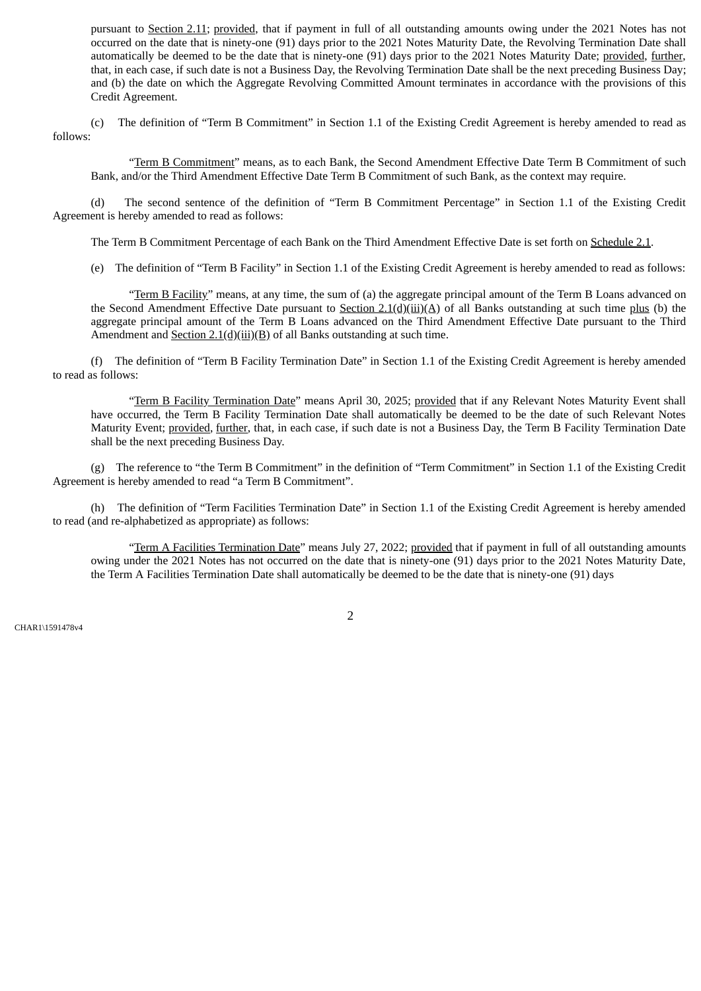pursuant to Section 2.11; provided, that if payment in full of all outstanding amounts owing under the 2021 Notes has not occurred on the date that is ninety-one (91) days prior to the 2021 Notes Maturity Date, the Revolving Termination Date shall automatically be deemed to be the date that is ninety-one (91) days prior to the 2021 Notes Maturity Date; provided, further, that, in each case, if such date is not a Business Day, the Revolving Termination Date shall be the next preceding Business Day; and (b) the date on which the Aggregate Revolving Committed Amount terminates in accordance with the provisions of this Credit Agreement.

(c) The definition of "Term B Commitment" in Section 1.1 of the Existing Credit Agreement is hereby amended to read as follows:

"Term B Commitment" means, as to each Bank, the Second Amendment Effective Date Term B Commitment of such Bank, and/or the Third Amendment Effective Date Term B Commitment of such Bank, as the context may require.

(d) The second sentence of the definition of "Term B Commitment Percentage" in Section 1.1 of the Existing Credit Agreement is hereby amended to read as follows:

The Term B Commitment Percentage of each Bank on the Third Amendment Effective Date is set forth on Schedule 2.1.

(e) The definition of "Term B Facility" in Section 1.1 of the Existing Credit Agreement is hereby amended to read as follows:

"Term B Facility" means, at any time, the sum of (a) the aggregate principal amount of the Term B Loans advanced on the Second Amendment Effective Date pursuant to Section 2.1(d)(iii)(A) of all Banks outstanding at such time plus (b) the aggregate principal amount of the Term B Loans advanced on the Third Amendment Effective Date pursuant to the Third Amendment and  $Section 2.1(d)(iii)(B)$  of all Banks outstanding at such time.

(f) The definition of "Term B Facility Termination Date" in Section 1.1 of the Existing Credit Agreement is hereby amended to read as follows:

"Term B Facility Termination Date" means April 30, 2025; provided that if any Relevant Notes Maturity Event shall have occurred, the Term B Facility Termination Date shall automatically be deemed to be the date of such Relevant Notes Maturity Event; provided, further, that, in each case, if such date is not a Business Day, the Term B Facility Termination Date shall be the next preceding Business Day.

(g) The reference to "the Term B Commitment" in the definition of "Term Commitment" in Section 1.1 of the Existing Credit Agreement is hereby amended to read "a Term B Commitment".

(h) The definition of "Term Facilities Termination Date" in Section 1.1 of the Existing Credit Agreement is hereby amended to read (and re-alphabetized as appropriate) as follows:

"Term A Facilities Termination Date" means July 27, 2022; provided that if payment in full of all outstanding amounts owing under the 2021 Notes has not occurred on the date that is ninety-one (91) days prior to the 2021 Notes Maturity Date, the Term A Facilities Termination Date shall automatically be deemed to be the date that is ninety-one (91) days

CHAR1\1591478v4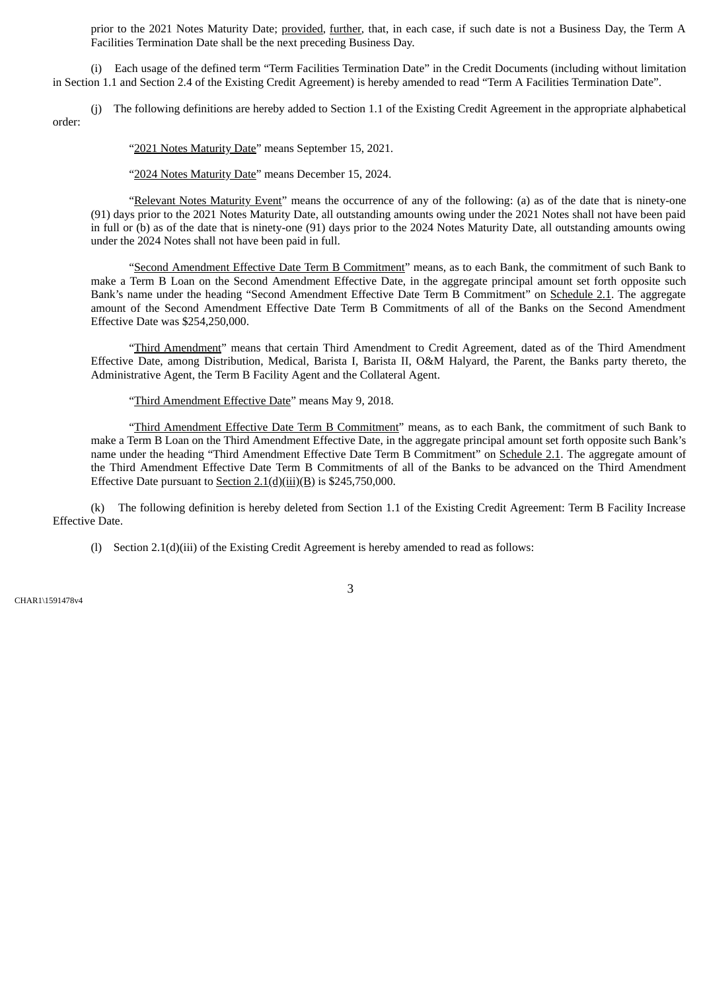prior to the 2021 Notes Maturity Date; provided, further, that, in each case, if such date is not a Business Day, the Term A Facilities Termination Date shall be the next preceding Business Day.

(i) Each usage of the defined term "Term Facilities Termination Date" in the Credit Documents (including without limitation in Section 1.1 and Section 2.4 of the Existing Credit Agreement) is hereby amended to read "Term A Facilities Termination Date".

(j) The following definitions are hereby added to Section 1.1 of the Existing Credit Agreement in the appropriate alphabetical order:

"2021 Notes Maturity Date" means September 15, 2021.

"2024 Notes Maturity Date" means December 15, 2024.

"Relevant Notes Maturity Event" means the occurrence of any of the following: (a) as of the date that is ninety-one (91) days prior to the 2021 Notes Maturity Date, all outstanding amounts owing under the 2021 Notes shall not have been paid in full or (b) as of the date that is ninety-one (91) days prior to the 2024 Notes Maturity Date, all outstanding amounts owing under the 2024 Notes shall not have been paid in full.

"Second Amendment Effective Date Term B Commitment" means, as to each Bank, the commitment of such Bank to make a Term B Loan on the Second Amendment Effective Date, in the aggregate principal amount set forth opposite such Bank's name under the heading "Second Amendment Effective Date Term B Commitment" on Schedule 2.1. The aggregate amount of the Second Amendment Effective Date Term B Commitments of all of the Banks on the Second Amendment Effective Date was \$254,250,000.

"Third Amendment" means that certain Third Amendment to Credit Agreement, dated as of the Third Amendment Effective Date, among Distribution, Medical, Barista I, Barista II, O&M Halyard, the Parent, the Banks party thereto, the Administrative Agent, the Term B Facility Agent and the Collateral Agent.

"Third Amendment Effective Date" means May 9, 2018.

"Third Amendment Effective Date Term B Commitment" means, as to each Bank, the commitment of such Bank to make a Term B Loan on the Third Amendment Effective Date, in the aggregate principal amount set forth opposite such Bank's name under the heading "Third Amendment Effective Date Term B Commitment" on Schedule 2.1. The aggregate amount of the Third Amendment Effective Date Term B Commitments of all of the Banks to be advanced on the Third Amendment Effective Date pursuant to Section  $2.1(d)(iii)(B)$  is \$245,750,000.

(k) The following definition is hereby deleted from Section 1.1 of the Existing Credit Agreement: Term B Facility Increase Effective Date.

(l) Section 2.1(d)(iii) of the Existing Credit Agreement is hereby amended to read as follows:

CHAR1\1591478v4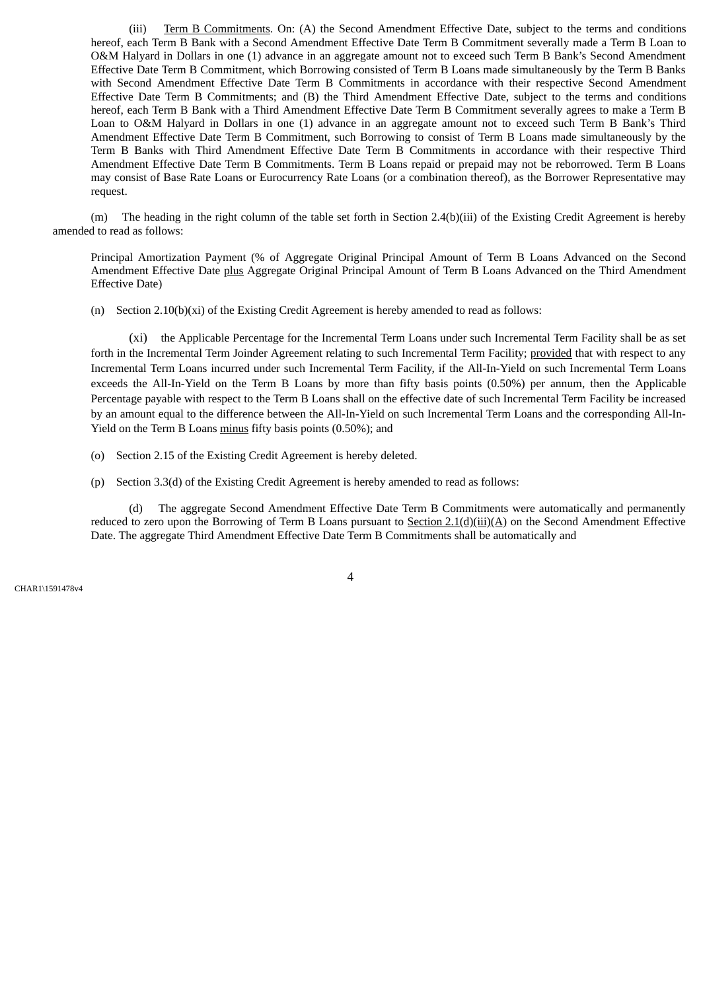(iii) Term B Commitments. On: (A) the Second Amendment Effective Date, subject to the terms and conditions hereof, each Term B Bank with a Second Amendment Effective Date Term B Commitment severally made a Term B Loan to O&M Halyard in Dollars in one (1) advance in an aggregate amount not to exceed such Term B Bank's Second Amendment Effective Date Term B Commitment, which Borrowing consisted of Term B Loans made simultaneously by the Term B Banks with Second Amendment Effective Date Term B Commitments in accordance with their respective Second Amendment Effective Date Term B Commitments; and (B) the Third Amendment Effective Date, subject to the terms and conditions hereof, each Term B Bank with a Third Amendment Effective Date Term B Commitment severally agrees to make a Term B Loan to O&M Halyard in Dollars in one (1) advance in an aggregate amount not to exceed such Term B Bank's Third Amendment Effective Date Term B Commitment, such Borrowing to consist of Term B Loans made simultaneously by the Term B Banks with Third Amendment Effective Date Term B Commitments in accordance with their respective Third Amendment Effective Date Term B Commitments. Term B Loans repaid or prepaid may not be reborrowed. Term B Loans may consist of Base Rate Loans or Eurocurrency Rate Loans (or a combination thereof), as the Borrower Representative may request.

(m) The heading in the right column of the table set forth in Section 2.4(b)(iii) of the Existing Credit Agreement is hereby amended to read as follows:

Principal Amortization Payment (% of Aggregate Original Principal Amount of Term B Loans Advanced on the Second Amendment Effective Date plus Aggregate Original Principal Amount of Term B Loans Advanced on the Third Amendment Effective Date)

(n) Section 2.10(b) $(xi)$  of the Existing Credit Agreement is hereby amended to read as follows:

(xi) the Applicable Percentage for the Incremental Term Loans under such Incremental Term Facility shall be as set forth in the Incremental Term Joinder Agreement relating to such Incremental Term Facility; provided that with respect to any Incremental Term Loans incurred under such Incremental Term Facility, if the All-In-Yield on such Incremental Term Loans exceeds the All-In-Yield on the Term B Loans by more than fifty basis points (0.50%) per annum, then the Applicable Percentage payable with respect to the Term B Loans shall on the effective date of such Incremental Term Facility be increased by an amount equal to the difference between the All-In-Yield on such Incremental Term Loans and the corresponding All-In-Yield on the Term B Loans minus fifty basis points (0.50%); and

- (o) Section 2.15 of the Existing Credit Agreement is hereby deleted.
- (p) Section 3.3(d) of the Existing Credit Agreement is hereby amended to read as follows:

(d) The aggregate Second Amendment Effective Date Term B Commitments were automatically and permanently reduced to zero upon the Borrowing of Term B Loans pursuant to  $Section 2.1(d)(iii)(A)$  on the Second Amendment Effective</u> Date. The aggregate Third Amendment Effective Date Term B Commitments shall be automatically and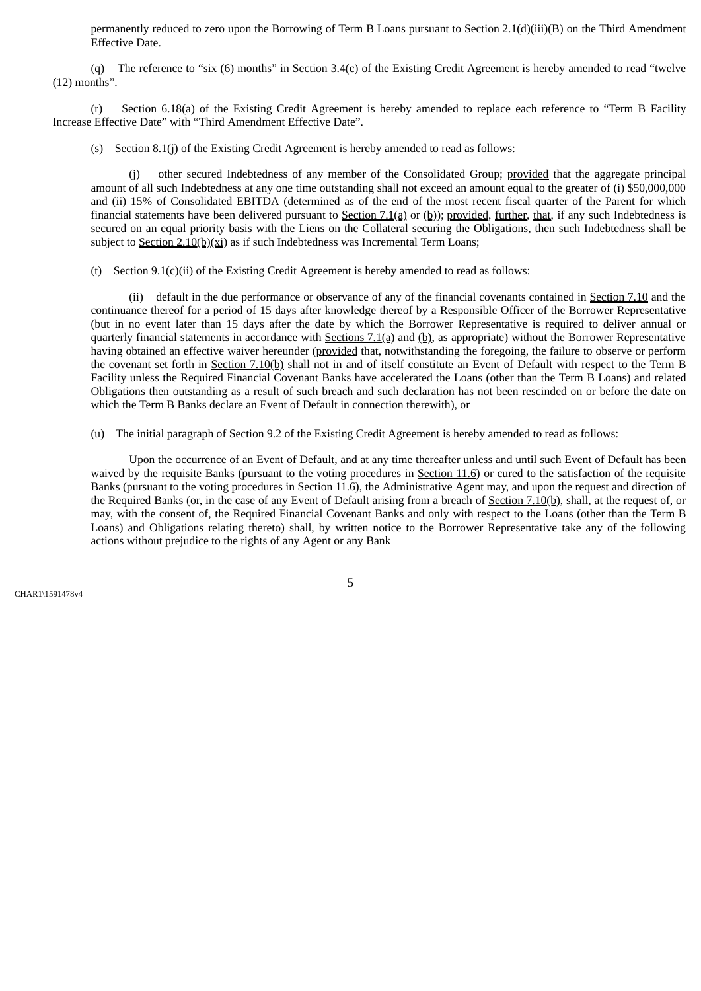permanently reduced to zero upon the Borrowing of Term B Loans pursuant to Section  $2.1(d)(iii)(B)$  on the Third Amendment Effective Date.

(q) The reference to "six (6) months" in Section 3.4(c) of the Existing Credit Agreement is hereby amended to read "twelve (12) months".

(r) Section 6.18(a) of the Existing Credit Agreement is hereby amended to replace each reference to "Term B Facility Increase Effective Date" with "Third Amendment Effective Date".

(s) Section 8.1(j) of the Existing Credit Agreement is hereby amended to read as follows:

(j) other secured Indebtedness of any member of the Consolidated Group; provided that the aggregate principal amount of all such Indebtedness at any one time outstanding shall not exceed an amount equal to the greater of (i) \$50,000,000 and (ii) 15% of Consolidated EBITDA (determined as of the end of the most recent fiscal quarter of the Parent for which financial statements have been delivered pursuant to Section 7.1(a) or (b)); provided, further, that, if any such Indebtedness is secured on an equal priority basis with the Liens on the Collateral securing the Obligations, then such Indebtedness shall be subject to Section 2.10(b)(xi) as if such Indebtedness was Incremental Term Loans;

(t) Section 9.1(c)(ii) of the Existing Credit Agreement is hereby amended to read as follows:

(ii) default in the due performance or observance of any of the financial covenants contained in Section 7.10 and the continuance thereof for a period of 15 days after knowledge thereof by a Responsible Officer of the Borrower Representative (but in no event later than 15 days after the date by which the Borrower Representative is required to deliver annual or quarterly financial statements in accordance with Sections  $7.1(a)$  and (b), as appropriate) without the Borrower Representative having obtained an effective waiver hereunder (provided that, notwithstanding the foregoing, the failure to observe or perform the covenant set forth in Section 7.10(b) shall not in and of itself constitute an Event of Default with respect to the Term B Facility unless the Required Financial Covenant Banks have accelerated the Loans (other than the Term B Loans) and related Obligations then outstanding as a result of such breach and such declaration has not been rescinded on or before the date on which the Term B Banks declare an Event of Default in connection therewith), or

(u) The initial paragraph of Section 9.2 of the Existing Credit Agreement is hereby amended to read as follows:

Upon the occurrence of an Event of Default, and at any time thereafter unless and until such Event of Default has been waived by the requisite Banks (pursuant to the voting procedures in Section 11.6) or cured to the satisfaction of the requisite Banks (pursuant to the voting procedures in Section 11.6), the Administrative Agent may, and upon the request and direction of the Required Banks (or, in the case of any Event of Default arising from a breach of Section 7.10(b), shall, at the request of, or may, with the consent of, the Required Financial Covenant Banks and only with respect to the Loans (other than the Term B Loans) and Obligations relating thereto) shall, by written notice to the Borrower Representative take any of the following actions without prejudice to the rights of any Agent or any Bank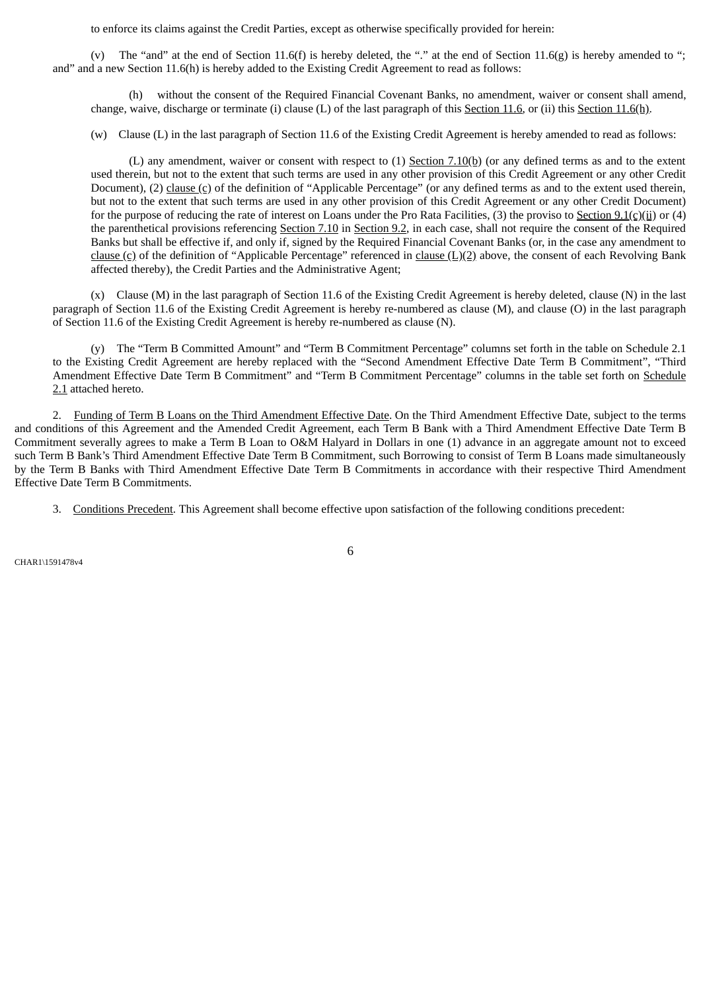to enforce its claims against the Credit Parties, except as otherwise specifically provided for herein:

(v) The "and" at the end of Section 11.6(f) is hereby deleted, the "." at the end of Section 11.6(g) is hereby amended to "; and" and a new Section 11.6(h) is hereby added to the Existing Credit Agreement to read as follows:

(h) without the consent of the Required Financial Covenant Banks, no amendment, waiver or consent shall amend, change, waive, discharge or terminate (i) clause (L) of the last paragraph of this Section 11.6, or (ii) this Section 11.6(h).

(w) Clause (L) in the last paragraph of Section 11.6 of the Existing Credit Agreement is hereby amended to read as follows:

(L) any amendment, waiver or consent with respect to  $(1)$  Section 7.10(b) (or any defined terms as and to the extent used therein, but not to the extent that such terms are used in any other provision of this Credit Agreement or any other Credit Document), (2) clause (c) of the definition of "Applicable Percentage" (or any defined terms as and to the extent used therein, but not to the extent that such terms are used in any other provision of this Credit Agreement or any other Credit Document) for the purpose of reducing the rate of interest on Loans under the Pro Rata Facilities, (3) the proviso to Section 9.1(c)(ii) or (4) the parenthetical provisions referencing Section 7.10 in Section 9.2, in each case, shall not require the consent of the Required Banks but shall be effective if, and only if, signed by the Required Financial Covenant Banks (or, in the case any amendment to clause (c) of the definition of "Applicable Percentage" referenced in clause ( $L(2)$  above, the consent of each Revolving Bank affected thereby), the Credit Parties and the Administrative Agent;

(x) Clause (M) in the last paragraph of Section 11.6 of the Existing Credit Agreement is hereby deleted, clause (N) in the last paragraph of Section 11.6 of the Existing Credit Agreement is hereby re-numbered as clause (M), and clause (O) in the last paragraph of Section 11.6 of the Existing Credit Agreement is hereby re-numbered as clause (N).

(y) The "Term B Committed Amount" and "Term B Commitment Percentage" columns set forth in the table on Schedule 2.1 to the Existing Credit Agreement are hereby replaced with the "Second Amendment Effective Date Term B Commitment", "Third Amendment Effective Date Term B Commitment" and "Term B Commitment Percentage" columns in the table set forth on Schedule 2.1 attached hereto.

2. Funding of Term B Loans on the Third Amendment Effective Date. On the Third Amendment Effective Date, subject to the terms and conditions of this Agreement and the Amended Credit Agreement, each Term B Bank with a Third Amendment Effective Date Term B Commitment severally agrees to make a Term B Loan to O&M Halyard in Dollars in one (1) advance in an aggregate amount not to exceed such Term B Bank's Third Amendment Effective Date Term B Commitment, such Borrowing to consist of Term B Loans made simultaneously by the Term B Banks with Third Amendment Effective Date Term B Commitments in accordance with their respective Third Amendment Effective Date Term B Commitments.

3. Conditions Precedent. This Agreement shall become effective upon satisfaction of the following conditions precedent:

6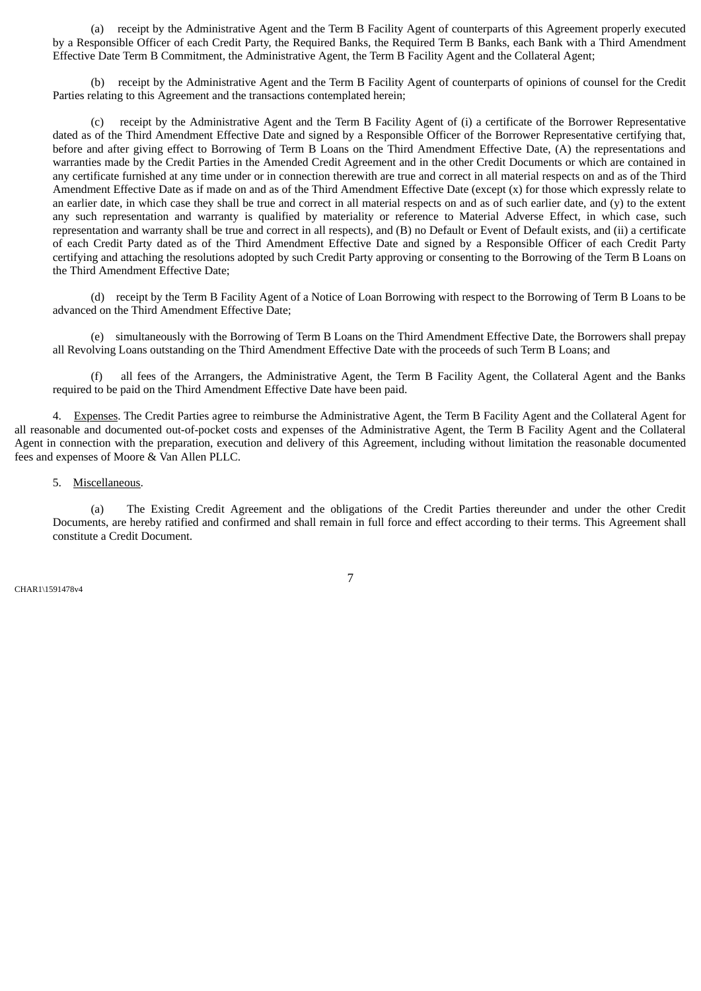(a) receipt by the Administrative Agent and the Term B Facility Agent of counterparts of this Agreement properly executed by a Responsible Officer of each Credit Party, the Required Banks, the Required Term B Banks, each Bank with a Third Amendment Effective Date Term B Commitment, the Administrative Agent, the Term B Facility Agent and the Collateral Agent;

(b) receipt by the Administrative Agent and the Term B Facility Agent of counterparts of opinions of counsel for the Credit Parties relating to this Agreement and the transactions contemplated herein;

(c) receipt by the Administrative Agent and the Term B Facility Agent of (i) a certificate of the Borrower Representative dated as of the Third Amendment Effective Date and signed by a Responsible Officer of the Borrower Representative certifying that, before and after giving effect to Borrowing of Term B Loans on the Third Amendment Effective Date, (A) the representations and warranties made by the Credit Parties in the Amended Credit Agreement and in the other Credit Documents or which are contained in any certificate furnished at any time under or in connection therewith are true and correct in all material respects on and as of the Third Amendment Effective Date as if made on and as of the Third Amendment Effective Date (except (x) for those which expressly relate to an earlier date, in which case they shall be true and correct in all material respects on and as of such earlier date, and  $(y)$  to the extent any such representation and warranty is qualified by materiality or reference to Material Adverse Effect, in which case, such representation and warranty shall be true and correct in all respects), and (B) no Default or Event of Default exists, and (ii) a certificate of each Credit Party dated as of the Third Amendment Effective Date and signed by a Responsible Officer of each Credit Party certifying and attaching the resolutions adopted by such Credit Party approving or consenting to the Borrowing of the Term B Loans on the Third Amendment Effective Date;

(d) receipt by the Term B Facility Agent of a Notice of Loan Borrowing with respect to the Borrowing of Term B Loans to be advanced on the Third Amendment Effective Date;

(e) simultaneously with the Borrowing of Term B Loans on the Third Amendment Effective Date, the Borrowers shall prepay all Revolving Loans outstanding on the Third Amendment Effective Date with the proceeds of such Term B Loans; and

(f) all fees of the Arrangers, the Administrative Agent, the Term B Facility Agent, the Collateral Agent and the Banks required to be paid on the Third Amendment Effective Date have been paid.

4. Expenses. The Credit Parties agree to reimburse the Administrative Agent, the Term B Facility Agent and the Collateral Agent for all reasonable and documented out-of-pocket costs and expenses of the Administrative Agent, the Term B Facility Agent and the Collateral Agent in connection with the preparation, execution and delivery of this Agreement, including without limitation the reasonable documented fees and expenses of Moore & Van Allen PLLC.

#### 5. Miscellaneous.

(a) The Existing Credit Agreement and the obligations of the Credit Parties thereunder and under the other Credit Documents, are hereby ratified and confirmed and shall remain in full force and effect according to their terms. This Agreement shall constitute a Credit Document.

CHAR1\1591478v4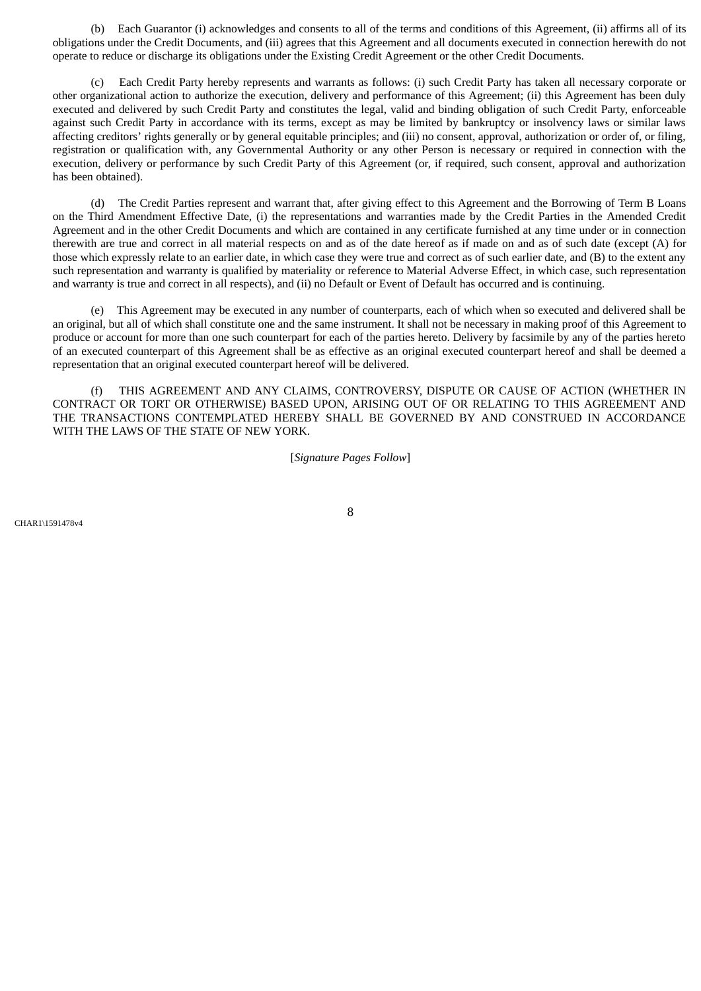(b) Each Guarantor (i) acknowledges and consents to all of the terms and conditions of this Agreement, (ii) affirms all of its obligations under the Credit Documents, and (iii) agrees that this Agreement and all documents executed in connection herewith do not operate to reduce or discharge its obligations under the Existing Credit Agreement or the other Credit Documents.

Each Credit Party hereby represents and warrants as follows: (i) such Credit Party has taken all necessary corporate or other organizational action to authorize the execution, delivery and performance of this Agreement; (ii) this Agreement has been duly executed and delivered by such Credit Party and constitutes the legal, valid and binding obligation of such Credit Party, enforceable against such Credit Party in accordance with its terms, except as may be limited by bankruptcy or insolvency laws or similar laws affecting creditors' rights generally or by general equitable principles; and (iii) no consent, approval, authorization or order of, or filing, registration or qualification with, any Governmental Authority or any other Person is necessary or required in connection with the execution, delivery or performance by such Credit Party of this Agreement (or, if required, such consent, approval and authorization has been obtained).

(d) The Credit Parties represent and warrant that, after giving effect to this Agreement and the Borrowing of Term B Loans on the Third Amendment Effective Date, (i) the representations and warranties made by the Credit Parties in the Amended Credit Agreement and in the other Credit Documents and which are contained in any certificate furnished at any time under or in connection therewith are true and correct in all material respects on and as of the date hereof as if made on and as of such date (except (A) for those which expressly relate to an earlier date, in which case they were true and correct as of such earlier date, and (B) to the extent any such representation and warranty is qualified by materiality or reference to Material Adverse Effect, in which case, such representation and warranty is true and correct in all respects), and (ii) no Default or Event of Default has occurred and is continuing.

(e) This Agreement may be executed in any number of counterparts, each of which when so executed and delivered shall be an original, but all of which shall constitute one and the same instrument. It shall not be necessary in making proof of this Agreement to produce or account for more than one such counterpart for each of the parties hereto. Delivery by facsimile by any of the parties hereto of an executed counterpart of this Agreement shall be as effective as an original executed counterpart hereof and shall be deemed a representation that an original executed counterpart hereof will be delivered.

(f) THIS AGREEMENT AND ANY CLAIMS, CONTROVERSY, DISPUTE OR CAUSE OF ACTION (WHETHER IN CONTRACT OR TORT OR OTHERWISE) BASED UPON, ARISING OUT OF OR RELATING TO THIS AGREEMENT AND THE TRANSACTIONS CONTEMPLATED HEREBY SHALL BE GOVERNED BY AND CONSTRUED IN ACCORDANCE WITH THE LAWS OF THE STATE OF NEW YORK.

[*Signature Pages Follow*]

CHAR1\1591478v4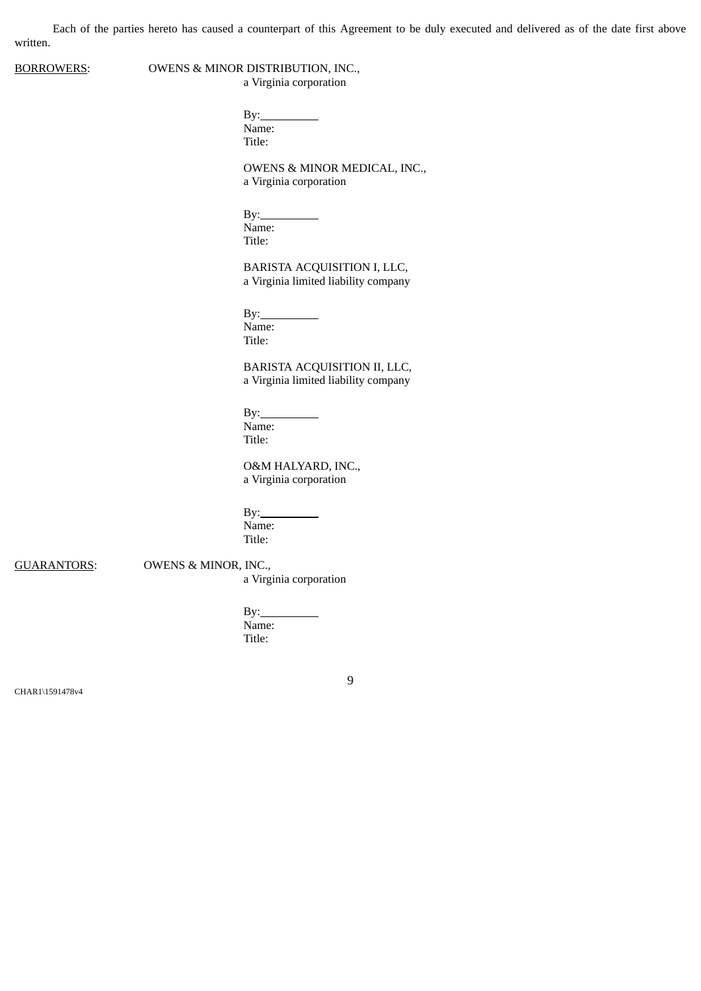Each of the parties hereto has caused a counterpart of this Agreement to be duly executed and delivered as of the date first above written.

BORROWERS: OWENS & MINOR DISTRIBUTION, INC., a Virginia corporation

> $By:$ Name: Title:

OWENS & MINOR MEDICAL, INC., a Virginia corporation

By: Name: Title:

BARISTA ACQUISITION I, LLC, a Virginia limited liability company

By: Name: Title:

BARISTA ACQUISITION II, LLC, a Virginia limited liability company

 $By:$ Name: Title:

O&M HALYARD, INC., a Virginia corporation

 $By:$ Name: Title:

GUARANTORS: OWENS & MINOR, INC., a Virginia corporation

> $By:$ Name: Title:

CHAR1\1591478v4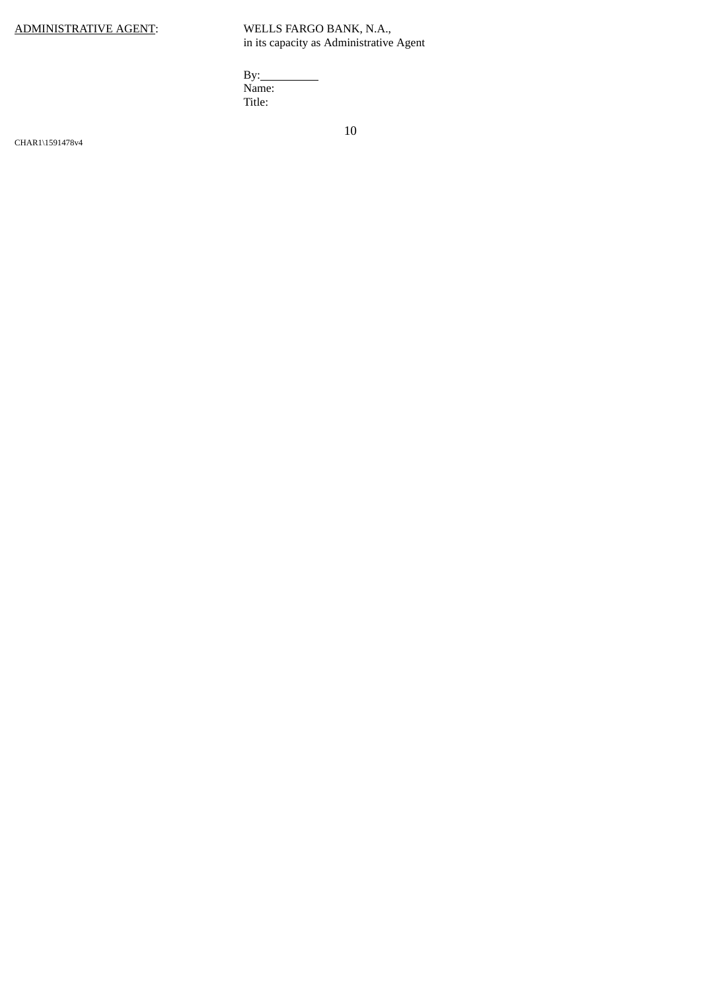## ADMINISTRATIVE AGENT: WELLS FARGO BANK, N.A., in its capacity as Administrative Agent

| By:    |  |
|--------|--|
| Name:  |  |
| Title: |  |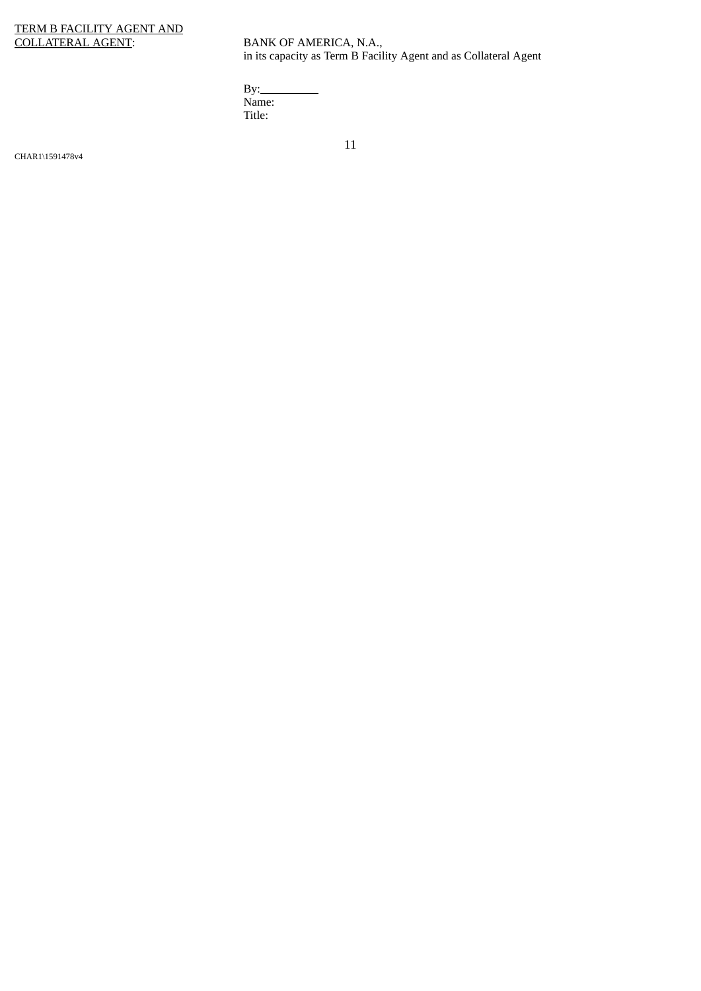## TERM B FACILITY AGENT AND COLLATERAL AGENT: BANK OF AMERICA, N.A.,

in its capacity as Term B Facility Agent and as Collateral Agent

By: Name: Title: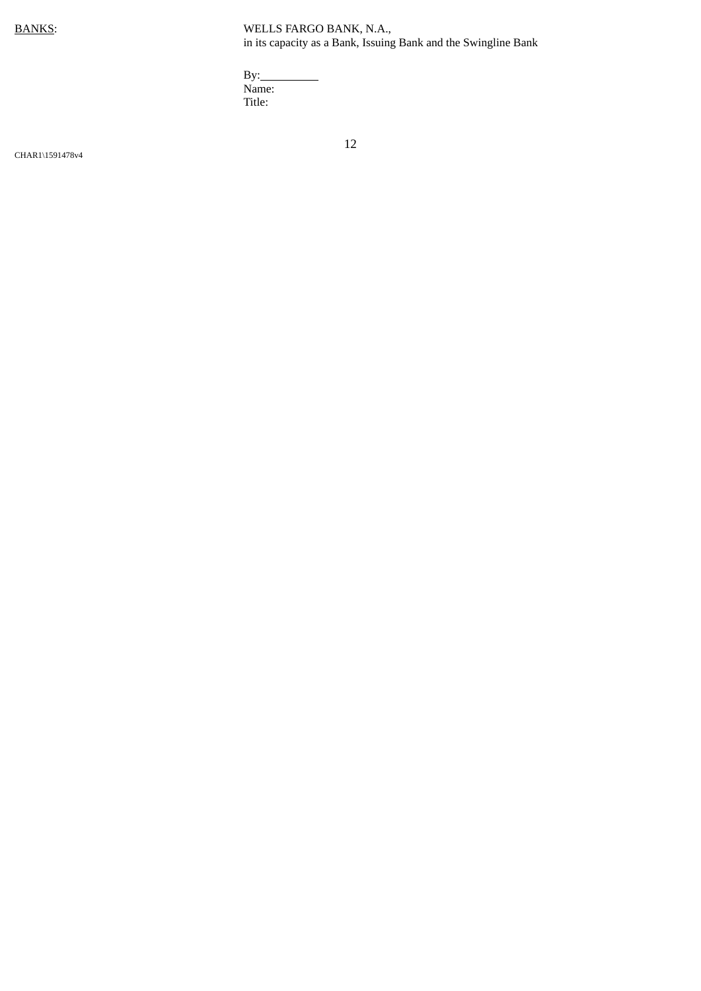## BANKS: WELLS FARGO BANK, N.A., in its capacity as a Bank, Issuing Bank and the Swingline Bank

By: Name: Title: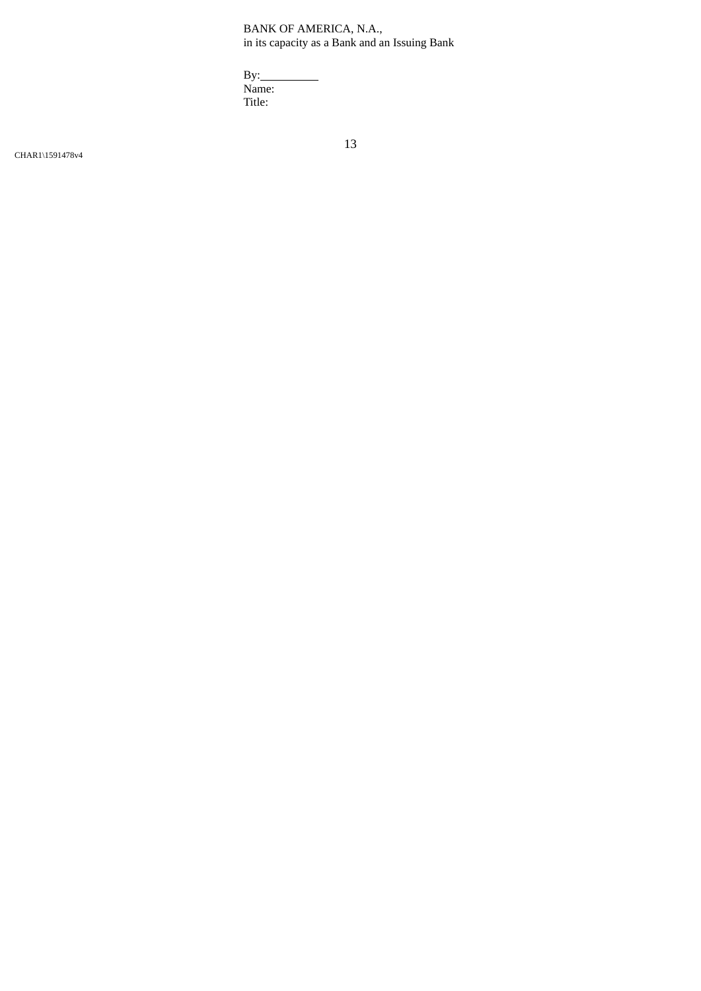BANK OF AMERICA, N.A., in its capacity as a Bank and an Issuing Bank

By: Name: Title: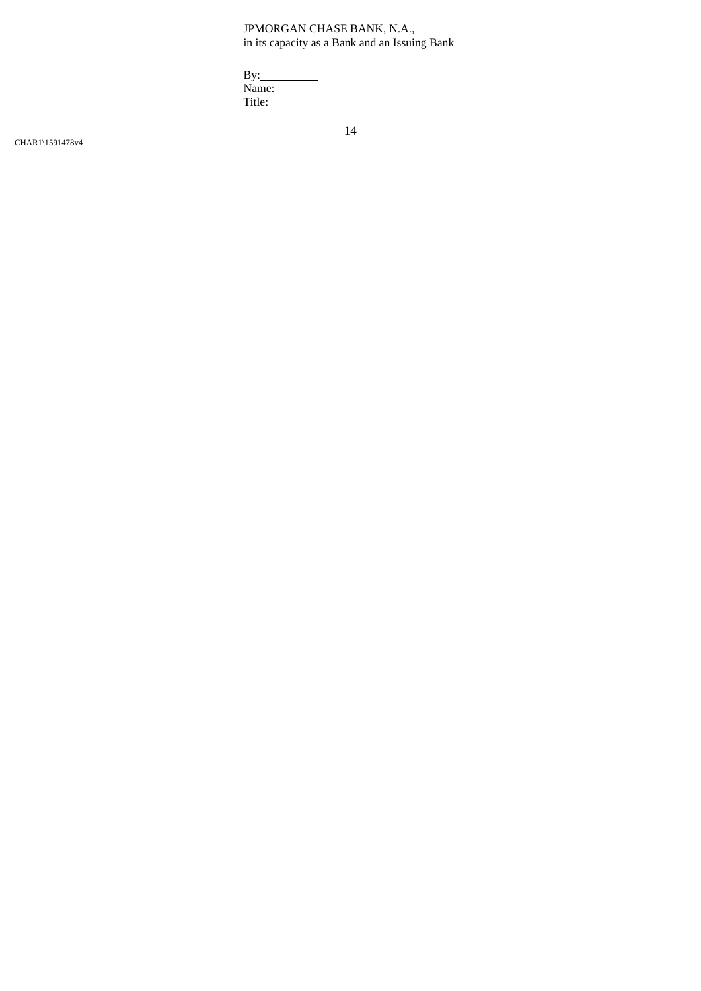## JPMORGAN CHASE BANK, N.A., in its capacity as a Bank and an Issuing Bank

By: Name: Title: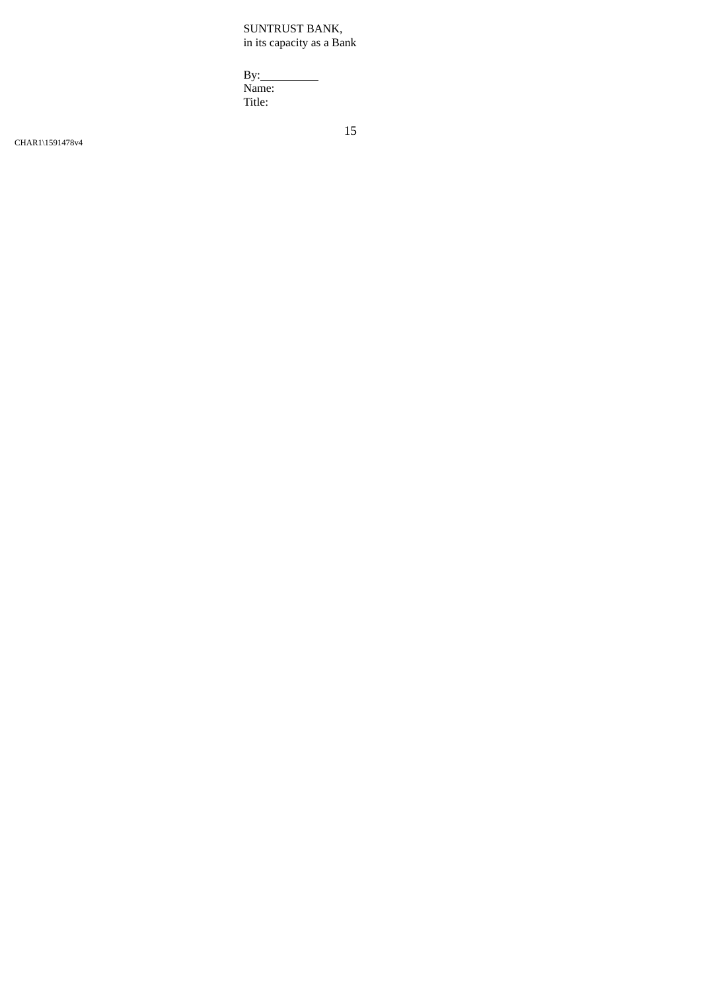#### SUNTRUST BANK, SUNTRUST BANK,<br>in its capacity as a Bank

By: Nam e: Title: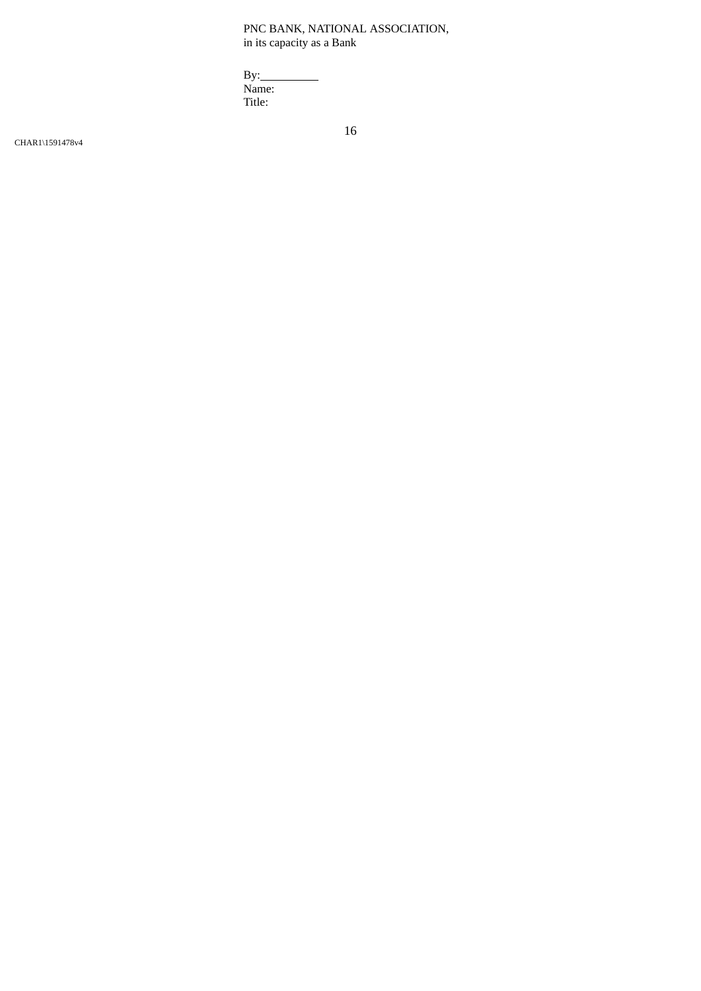## PNC BANK, NATIONAL ASSOCIATION, in its capacity as a Bank

By: Name: Title: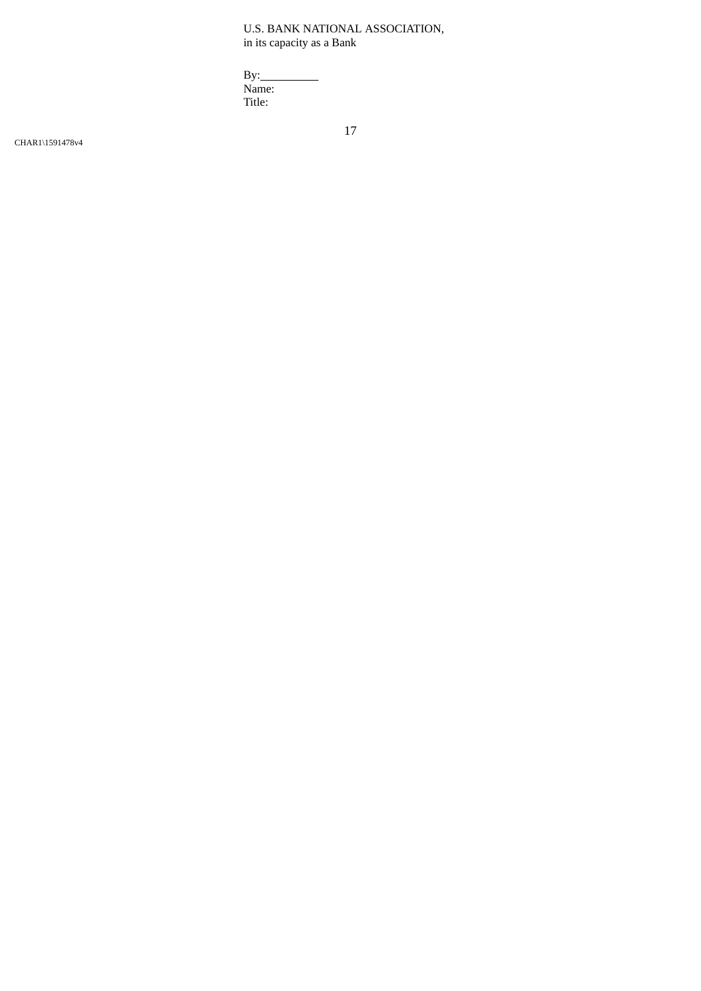## U.S. BANK NATIONAL ASSOCIATION, in its capacity as a Bank

By: Name: Title: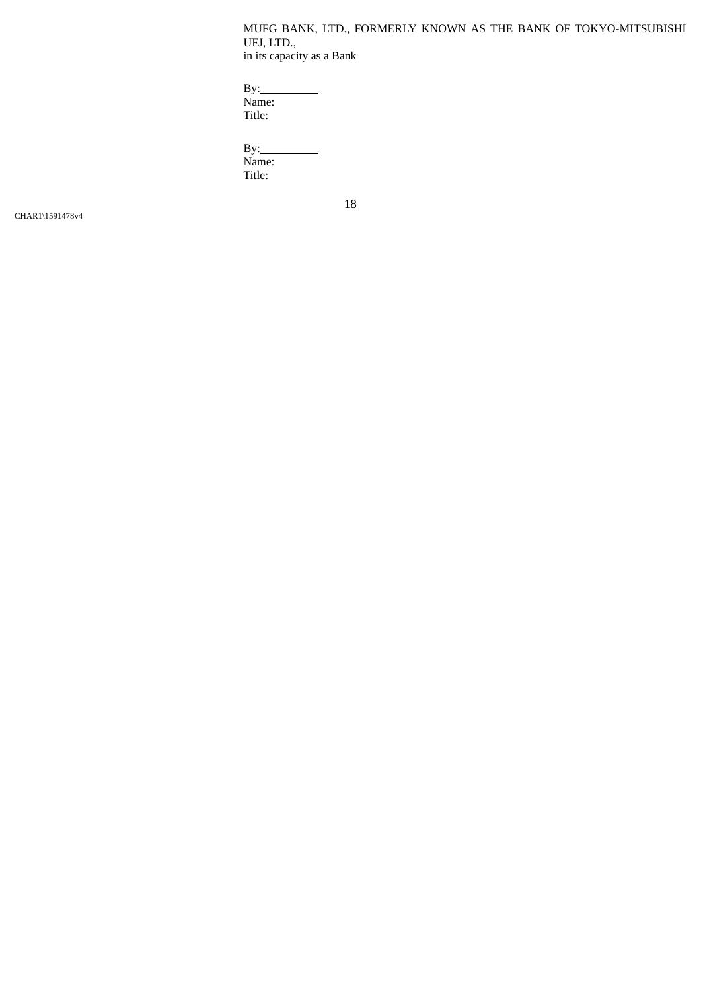## MUFG BANK, LTD., FORMERLY KNOWN AS THE BANK OF TOKYO-MITSUBISHI UFJ, LTD., in its capacity as a Bank

By: Name: Title:

By: Name: Title:

CHAR1\1591478v4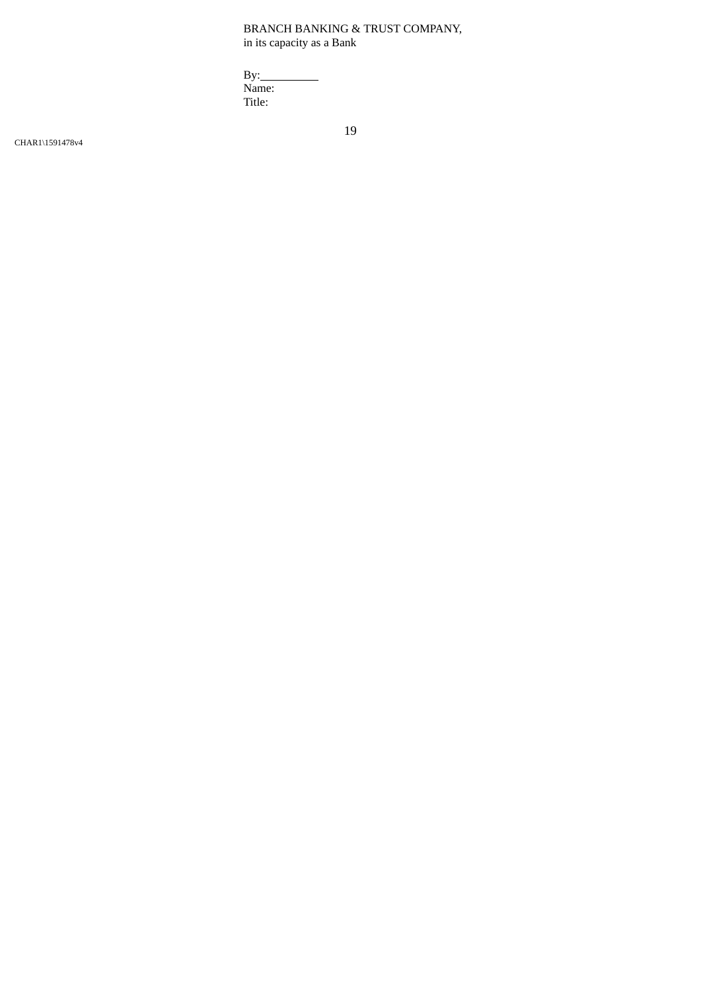## BRANCH BANKING & TRUST COMPANY, in its capacity as a Bank

By: Name: Title: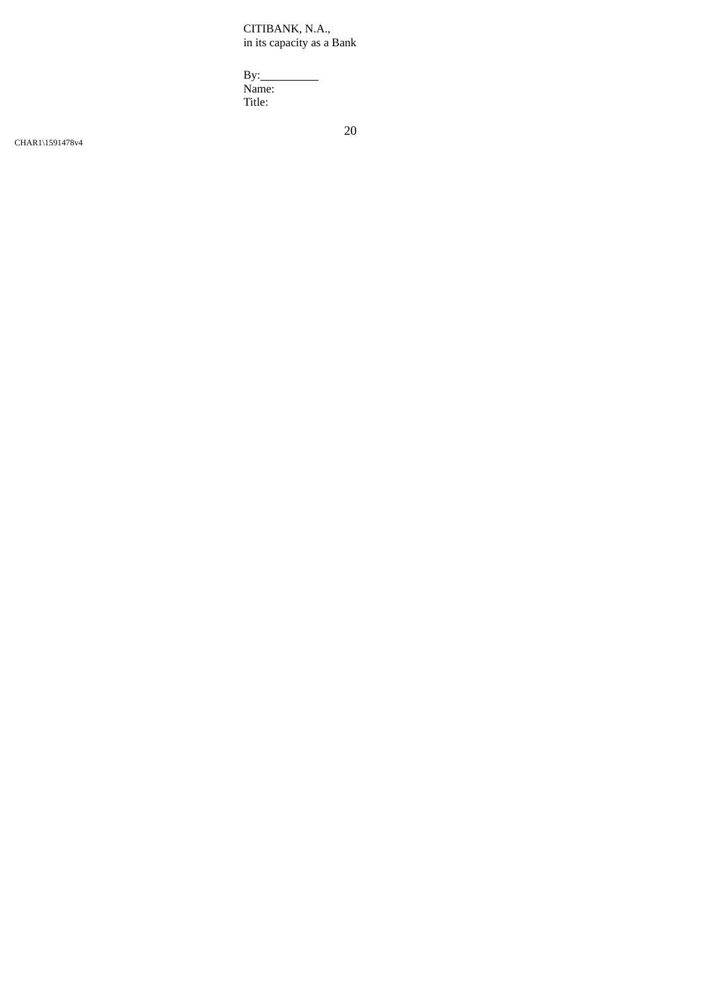CITIBANK, N.A., in its capacity as a Bank

By: Nam e: Title: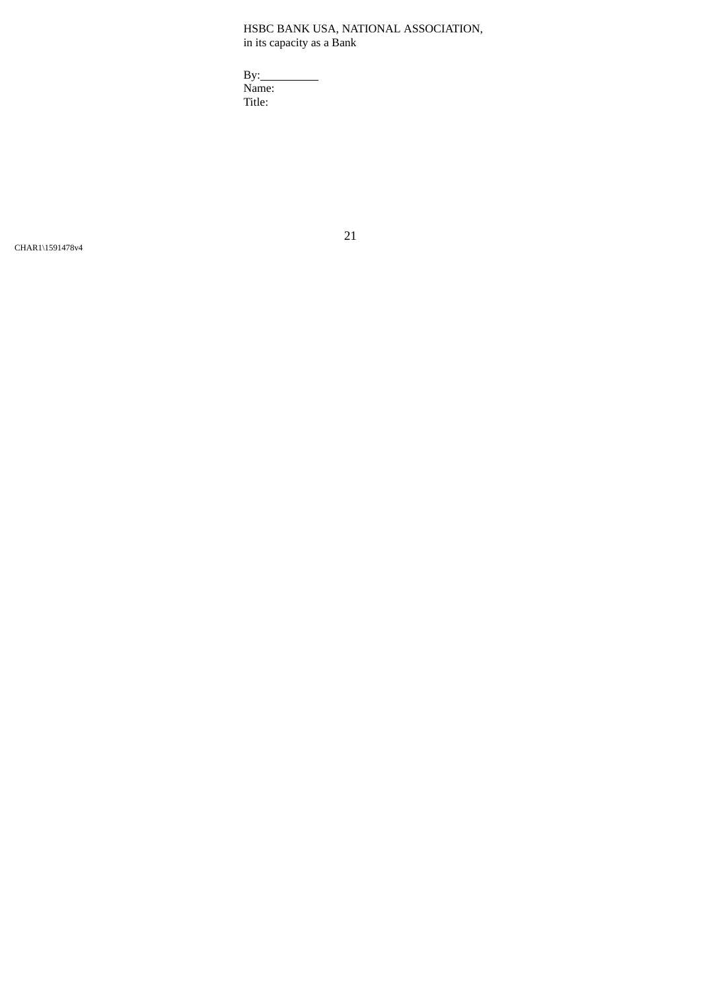## HSBC BANK USA, NATIONAL ASSOCIATION, in its capacity as a Bank

By: Name: Title: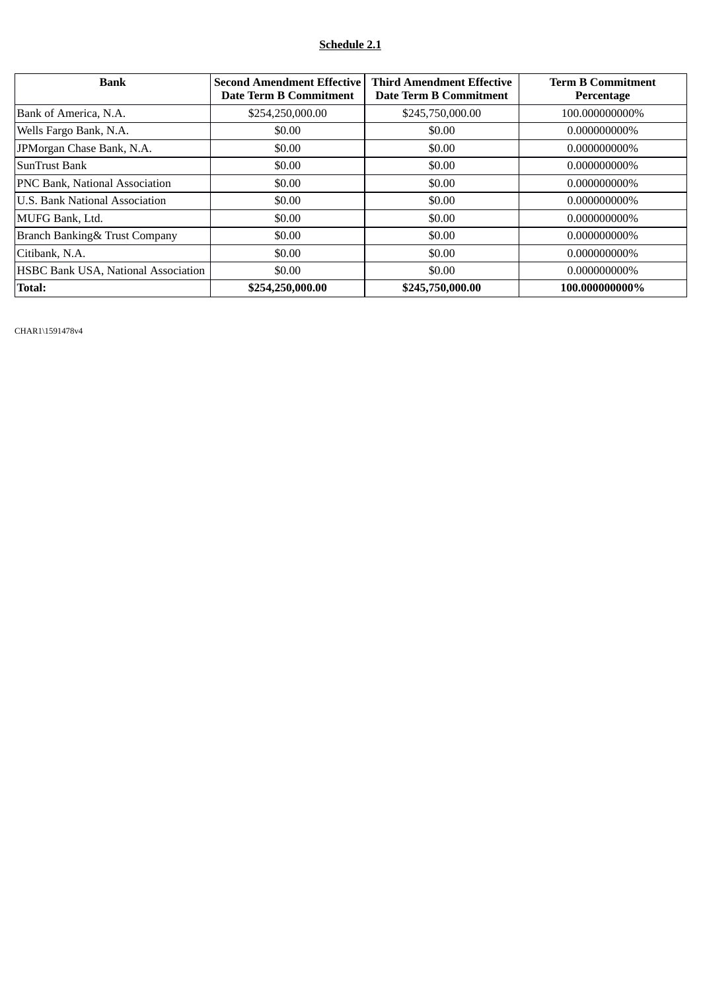## **Schedule 2.1**

| <b>Bank</b>                                | <b>Second Amendment Effective</b><br><b>Date Term B Commitment</b> | <b>Third Amendment Effective</b><br><b>Date Term B Commitment</b> | <b>Term B Commitment</b><br>Percentage |
|--------------------------------------------|--------------------------------------------------------------------|-------------------------------------------------------------------|----------------------------------------|
| Bank of America, N.A.                      | \$254,250,000.00                                                   | \$245,750,000.00                                                  | 100.000000000%                         |
| Wells Fargo Bank, N.A.                     | \$0.00                                                             | \$0.00                                                            | 0.000000000%                           |
| JPMorgan Chase Bank, N.A.                  | \$0.00                                                             | \$0.00                                                            | 0.000000000%                           |
| SunTrust Bank                              | \$0.00                                                             | \$0.00                                                            | 0.000000000%                           |
| <b>PNC Bank, National Association</b>      | \$0.00                                                             | \$0.00                                                            | 0.000000000%                           |
| U.S. Bank National Association             | \$0.00                                                             | \$0.00                                                            | 0.000000000%                           |
| MUFG Bank, Ltd.                            | \$0.00                                                             | \$0.00                                                            | 0.000000000%                           |
| Branch Banking& Trust Company              | \$0.00                                                             | \$0.00                                                            | 0.000000000%                           |
| Citibank, N.A.                             | \$0.00                                                             | \$0.00                                                            | 0.000000000%                           |
| <b>HSBC Bank USA, National Association</b> | \$0.00                                                             | \$0.00                                                            | 0.000000000%                           |
| Total:                                     | \$254,250,000.00                                                   | \$245,750,000.00                                                  | 100.000000000%                         |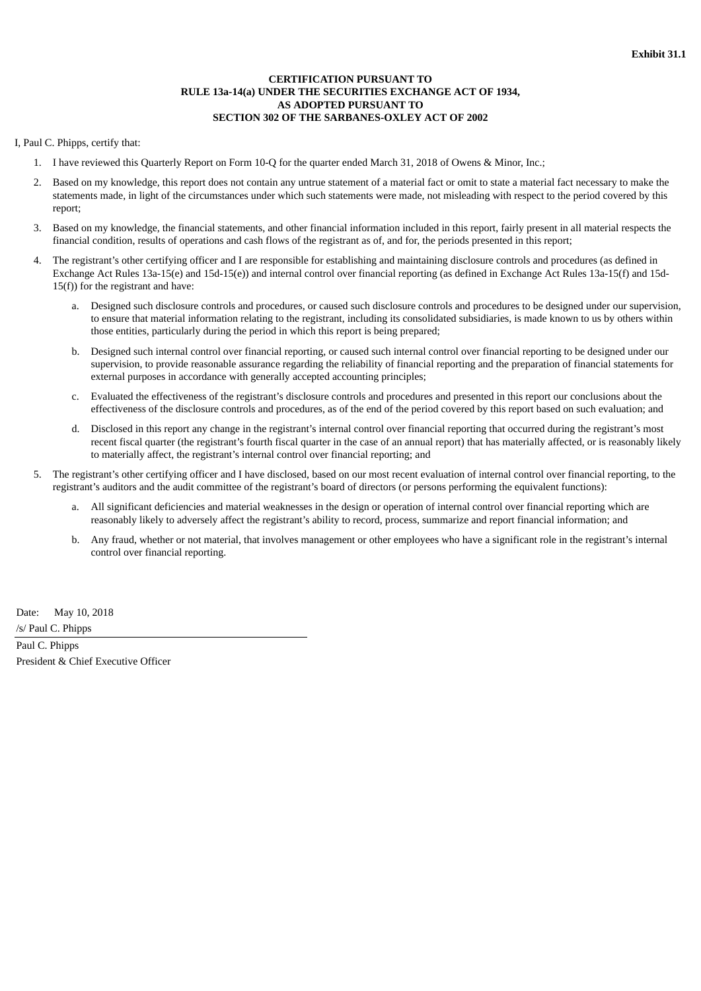#### **CERTIFICATION PURSUANT TO RULE 13a-14(a) UNDER THE SECURITIES EXCHANGE ACT OF 1934, AS ADOPTED PURSUANT TO SECTION 302 OF THE SARBANES-OXLEY ACT OF 2002**

<span id="page-64-0"></span>I, Paul C. Phipps, certify that:

- 1. I have reviewed this Quarterly Report on Form 10-Q for the quarter ended March 31, 2018 of Owens & Minor, Inc.;
- 2. Based on my knowledge, this report does not contain any untrue statement of a material fact or omit to state a material fact necessary to make the statements made, in light of the circumstances under which such statements were made, not misleading with respect to the period covered by this report;
- 3. Based on my knowledge, the financial statements, and other financial information included in this report, fairly present in all material respects the financial condition, results of operations and cash flows of the registrant as of, and for, the periods presented in this report;
- 4. The registrant's other certifying officer and I are responsible for establishing and maintaining disclosure controls and procedures (as defined in Exchange Act Rules 13a-15(e) and 15d-15(e)) and internal control over financial reporting (as defined in Exchange Act Rules 13a-15(f) and 15d- $15(f)$ ) for the registrant and have:
	- a. Designed such disclosure controls and procedures, or caused such disclosure controls and procedures to be designed under our supervision, to ensure that material information relating to the registrant, including its consolidated subsidiaries, is made known to us by others within those entities, particularly during the period in which this report is being prepared;
	- b. Designed such internal control over financial reporting, or caused such internal control over financial reporting to be designed under our supervision, to provide reasonable assurance regarding the reliability of financial reporting and the preparation of financial statements for external purposes in accordance with generally accepted accounting principles;
	- c. Evaluated the effectiveness of the registrant's disclosure controls and procedures and presented in this report our conclusions about the effectiveness of the disclosure controls and procedures, as of the end of the period covered by this report based on such evaluation; and
	- d. Disclosed in this report any change in the registrant's internal control over financial reporting that occurred during the registrant's most recent fiscal quarter (the registrant's fourth fiscal quarter in the case of an annual report) that has materially affected, or is reasonably likely to materially affect, the registrant's internal control over financial reporting; and
- 5. The registrant's other certifying officer and I have disclosed, based on our most recent evaluation of internal control over financial reporting, to the registrant's auditors and the audit committee of the registrant's board of directors (or persons performing the equivalent functions):
	- a. All significant deficiencies and material weaknesses in the design or operation of internal control over financial reporting which are reasonably likely to adversely affect the registrant's ability to record, process, summarize and report financial information; and
	- b. Any fraud, whether or not material, that involves management or other employees who have a significant role in the registrant's internal control over financial reporting.

Date: May 10, 2018

/s/ Paul C. Phipps

Paul C. Phipps President & Chief Executive Officer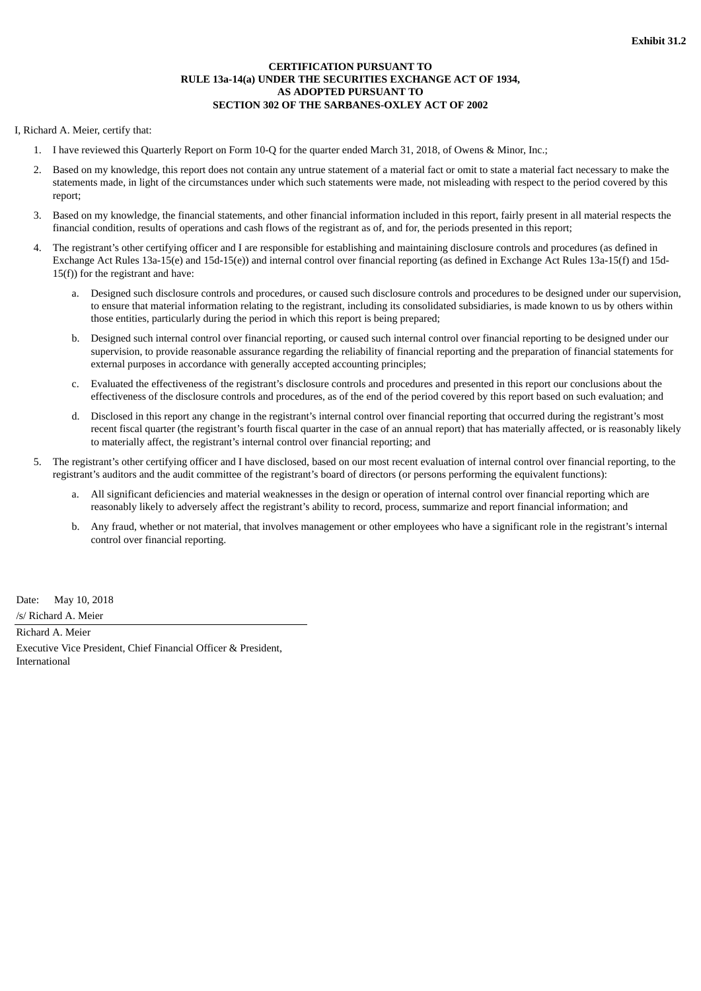### **CERTIFICATION PURSUANT TO RULE 13a-14(a) UNDER THE SECURITIES EXCHANGE ACT OF 1934, AS ADOPTED PURSUANT TO SECTION 302 OF THE SARBANES-OXLEY ACT OF 2002**

#### <span id="page-65-0"></span>I, Richard A. Meier, certify that:

- 1. I have reviewed this Quarterly Report on Form 10-Q for the quarter ended March 31, 2018, of Owens & Minor, Inc.;
- 2. Based on my knowledge, this report does not contain any untrue statement of a material fact or omit to state a material fact necessary to make the statements made, in light of the circumstances under which such statements were made, not misleading with respect to the period covered by this report;
- 3. Based on my knowledge, the financial statements, and other financial information included in this report, fairly present in all material respects the financial condition, results of operations and cash flows of the registrant as of, and for, the periods presented in this report;
- 4. The registrant's other certifying officer and I are responsible for establishing and maintaining disclosure controls and procedures (as defined in Exchange Act Rules 13a-15(e) and 15d-15(e)) and internal control over financial reporting (as defined in Exchange Act Rules 13a-15(f) and 15d- $15(f)$ ) for the registrant and have:
	- a. Designed such disclosure controls and procedures, or caused such disclosure controls and procedures to be designed under our supervision, to ensure that material information relating to the registrant, including its consolidated subsidiaries, is made known to us by others within those entities, particularly during the period in which this report is being prepared;
	- b. Designed such internal control over financial reporting, or caused such internal control over financial reporting to be designed under our supervision, to provide reasonable assurance regarding the reliability of financial reporting and the preparation of financial statements for external purposes in accordance with generally accepted accounting principles;
	- c. Evaluated the effectiveness of the registrant's disclosure controls and procedures and presented in this report our conclusions about the effectiveness of the disclosure controls and procedures, as of the end of the period covered by this report based on such evaluation; and
	- d. Disclosed in this report any change in the registrant's internal control over financial reporting that occurred during the registrant's most recent fiscal quarter (the registrant's fourth fiscal quarter in the case of an annual report) that has materially affected, or is reasonably likely to materially affect, the registrant's internal control over financial reporting; and
- 5. The registrant's other certifying officer and I have disclosed, based on our most recent evaluation of internal control over financial reporting, to the registrant's auditors and the audit committee of the registrant's board of directors (or persons performing the equivalent functions):
	- a. All significant deficiencies and material weaknesses in the design or operation of internal control over financial reporting which are reasonably likely to adversely affect the registrant's ability to record, process, summarize and report financial information; and
	- b. Any fraud, whether or not material, that involves management or other employees who have a significant role in the registrant's internal control over financial reporting.

Date: May 10, 2018 /s/ Richard A. Meier

Richard A. Meier Executive Vice President, Chief Financial Officer & President, International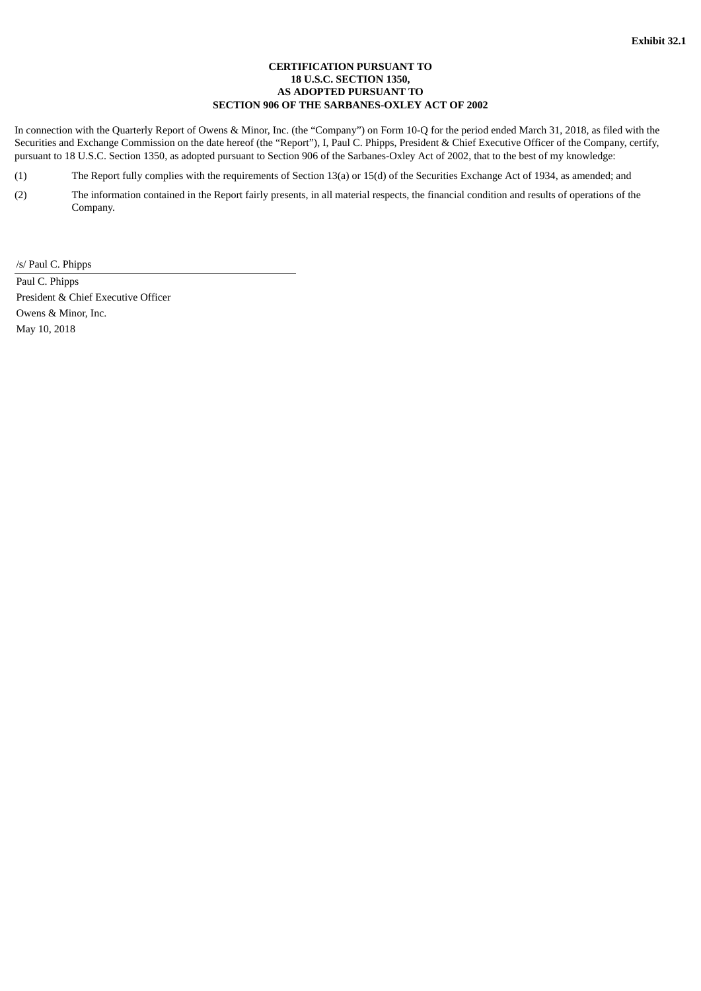#### **CERTIFICATION PURSUANT TO 18 U.S.C. SECTION 1350, AS ADOPTED PURSUANT TO SECTION 906 OF THE SARBANES-OXLEY ACT OF 2002**

<span id="page-66-0"></span>In connection with the Quarterly Report of Owens & Minor, Inc. (the "Company") on Form 10-Q for the period ended March 31, 2018, as filed with the Securities and Exchange Commission on the date hereof (the "Report"), I, Paul C. Phipps, President & Chief Executive Officer of the Company, certify, pursuant to 18 U.S.C. Section 1350, as adopted pursuant to Section 906 of the Sarbanes-Oxley Act of 2002, that to the best of my knowledge:

(1) The Report fully complies with the requirements of Section 13(a) or 15(d) of the Securities Exchange Act of 1934, as amended; and

(2) The information contained in the Report fairly presents, in all material respects, the financial condition and results of operations of the Company.

/s/ Paul C. Phipps

Paul C. Phipps President & Chief Executive Officer Owens & Minor, Inc. May 10, 2018